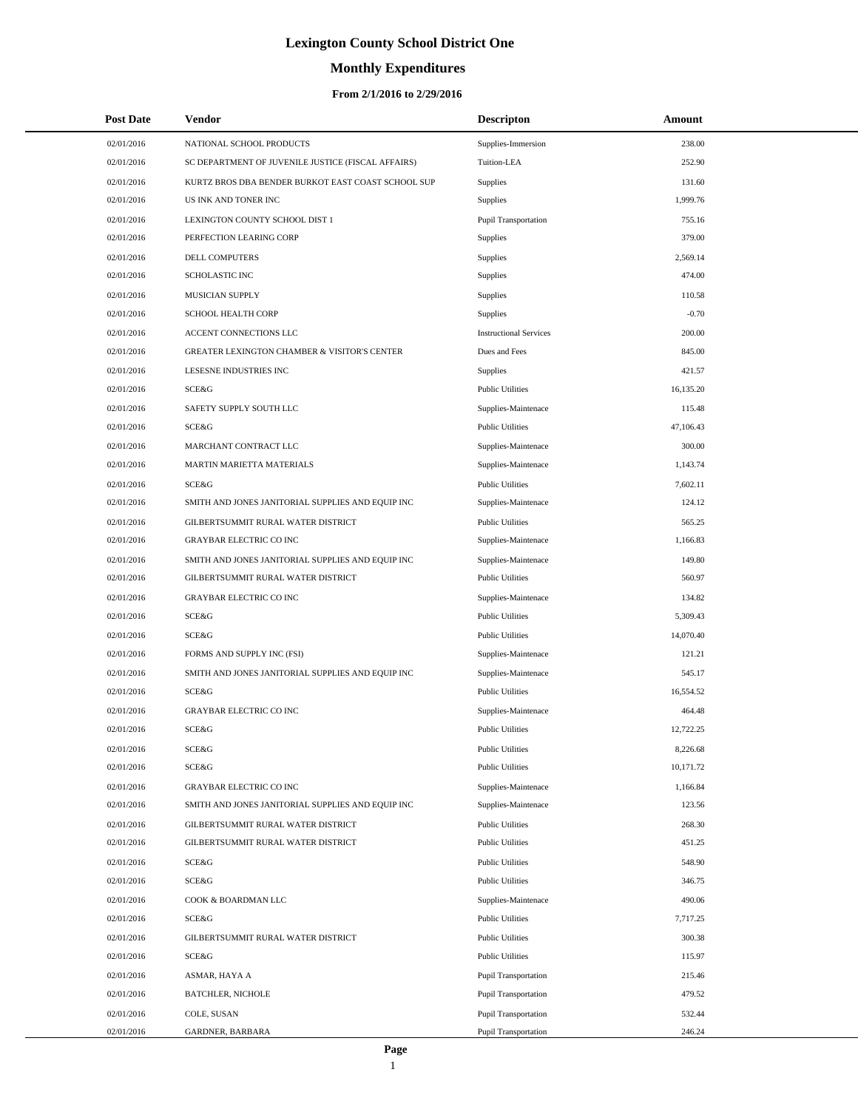# **Monthly Expenditures**

#### **From 2/1/2016 to 2/29/2016**

| <b>Post Date</b> | <b>Vendor</b>                                           | <b>Descripton</b>             | Amount    |  |
|------------------|---------------------------------------------------------|-------------------------------|-----------|--|
| 02/01/2016       | NATIONAL SCHOOL PRODUCTS                                | Supplies-Immersion            | 238.00    |  |
| 02/01/2016       | SC DEPARTMENT OF JUVENILE JUSTICE (FISCAL AFFAIRS)      | Tuition-LEA                   | 252.90    |  |
| 02/01/2016       | KURTZ BROS DBA BENDER BURKOT EAST COAST SCHOOL SUP      | Supplies                      | 131.60    |  |
| 02/01/2016       | US INK AND TONER INC                                    | Supplies                      | 1,999.76  |  |
| 02/01/2016       | LEXINGTON COUNTY SCHOOL DIST 1                          | Pupil Transportation          | 755.16    |  |
| 02/01/2016       | PERFECTION LEARING CORP                                 | Supplies                      | 379.00    |  |
| 02/01/2016       | DELL COMPUTERS                                          | Supplies                      | 2,569.14  |  |
| 02/01/2016       | <b>SCHOLASTIC INC</b>                                   | Supplies                      | 474.00    |  |
| 02/01/2016       | MUSICIAN SUPPLY                                         | Supplies                      | 110.58    |  |
| 02/01/2016       | SCHOOL HEALTH CORP                                      | Supplies                      | $-0.70$   |  |
| 02/01/2016       | ACCENT CONNECTIONS LLC                                  | <b>Instructional Services</b> | 200.00    |  |
| 02/01/2016       | <b>GREATER LEXINGTON CHAMBER &amp; VISITOR'S CENTER</b> | Dues and Fees                 | 845.00    |  |
| 02/01/2016       | LESESNE INDUSTRIES INC                                  | Supplies                      | 421.57    |  |
| 02/01/2016       | SCE&G                                                   | <b>Public Utilities</b>       | 16,135.20 |  |
| 02/01/2016       | SAFETY SUPPLY SOUTH LLC                                 | Supplies-Maintenace           | 115.48    |  |
| 02/01/2016       | SCE&G                                                   | <b>Public Utilities</b>       | 47,106.43 |  |
| 02/01/2016       | MARCHANT CONTRACT LLC                                   | Supplies-Maintenace           | 300.00    |  |
| 02/01/2016       | MARTIN MARIETTA MATERIALS                               | Supplies-Maintenace           | 1,143.74  |  |
| 02/01/2016       | SCE&G                                                   | <b>Public Utilities</b>       | 7,602.11  |  |
| 02/01/2016       | SMITH AND JONES JANITORIAL SUPPLIES AND EQUIP INC       | Supplies-Maintenace           | 124.12    |  |
| 02/01/2016       | GILBERTSUMMIT RURAL WATER DISTRICT                      | <b>Public Utilities</b>       | 565.25    |  |
| 02/01/2016       | <b>GRAYBAR ELECTRIC CO INC</b>                          | Supplies-Maintenace           | 1,166.83  |  |
| 02/01/2016       | SMITH AND JONES JANITORIAL SUPPLIES AND EQUIP INC       | Supplies-Maintenace           | 149.80    |  |
| 02/01/2016       | GILBERTSUMMIT RURAL WATER DISTRICT                      | <b>Public Utilities</b>       | 560.97    |  |
| 02/01/2016       | <b>GRAYBAR ELECTRIC CO INC</b>                          | Supplies-Maintenace           | 134.82    |  |
| 02/01/2016       | SCE&G                                                   | <b>Public Utilities</b>       | 5,309.43  |  |
| 02/01/2016       | SCE&G                                                   | <b>Public Utilities</b>       | 14,070.40 |  |
| 02/01/2016       | FORMS AND SUPPLY INC (FSI)                              | Supplies-Maintenace           | 121.21    |  |
| 02/01/2016       | SMITH AND JONES JANITORIAL SUPPLIES AND EQUIP INC       | Supplies-Maintenace           | 545.17    |  |
| 02/01/2016       | SCE&G                                                   | <b>Public Utilities</b>       | 16,554.52 |  |
| 02/01/2016       | <b>GRAYBAR ELECTRIC CO INC</b>                          | Supplies-Maintenace           | 464.48    |  |
| 02/01/2016       | SCE&G                                                   | <b>Public Utilities</b>       | 12,722.25 |  |
| 02/01/2016       | SCE&G                                                   | <b>Public Utilities</b>       | 8,226.68  |  |
| 02/01/2016       | SCE&G                                                   | <b>Public Utilities</b>       | 10,171.72 |  |
| 02/01/2016       | <b>GRAYBAR ELECTRIC CO INC</b>                          | Supplies-Maintenace           | 1,166.84  |  |
| 02/01/2016       | SMITH AND JONES JANITORIAL SUPPLIES AND EQUIP INC       | Supplies-Maintenace           | 123.56    |  |
| 02/01/2016       | GILBERTSUMMIT RURAL WATER DISTRICT                      | <b>Public Utilities</b>       | 268.30    |  |
| 02/01/2016       | GILBERTSUMMIT RURAL WATER DISTRICT                      | <b>Public Utilities</b>       | 451.25    |  |
| 02/01/2016       | SCE&G                                                   | <b>Public Utilities</b>       | 548.90    |  |
| 02/01/2016       | SCE&G                                                   | <b>Public Utilities</b>       | 346.75    |  |
| 02/01/2016       | COOK & BOARDMAN LLC                                     | Supplies-Maintenace           | 490.06    |  |
| 02/01/2016       | SCE&G                                                   | <b>Public Utilities</b>       | 7,717.25  |  |
| 02/01/2016       | GILBERTSUMMIT RURAL WATER DISTRICT                      | <b>Public Utilities</b>       | 300.38    |  |
| 02/01/2016       | SCE&G                                                   | <b>Public Utilities</b>       | 115.97    |  |
| 02/01/2016       | ASMAR, HAYA A                                           | <b>Pupil Transportation</b>   | 215.46    |  |
| 02/01/2016       | <b>BATCHLER, NICHOLE</b>                                | Pupil Transportation          | 479.52    |  |
| 02/01/2016       | COLE, SUSAN                                             | Pupil Transportation          | 532.44    |  |
| 02/01/2016       | GARDNER, BARBARA                                        | Pupil Transportation          | 246.24    |  |

÷.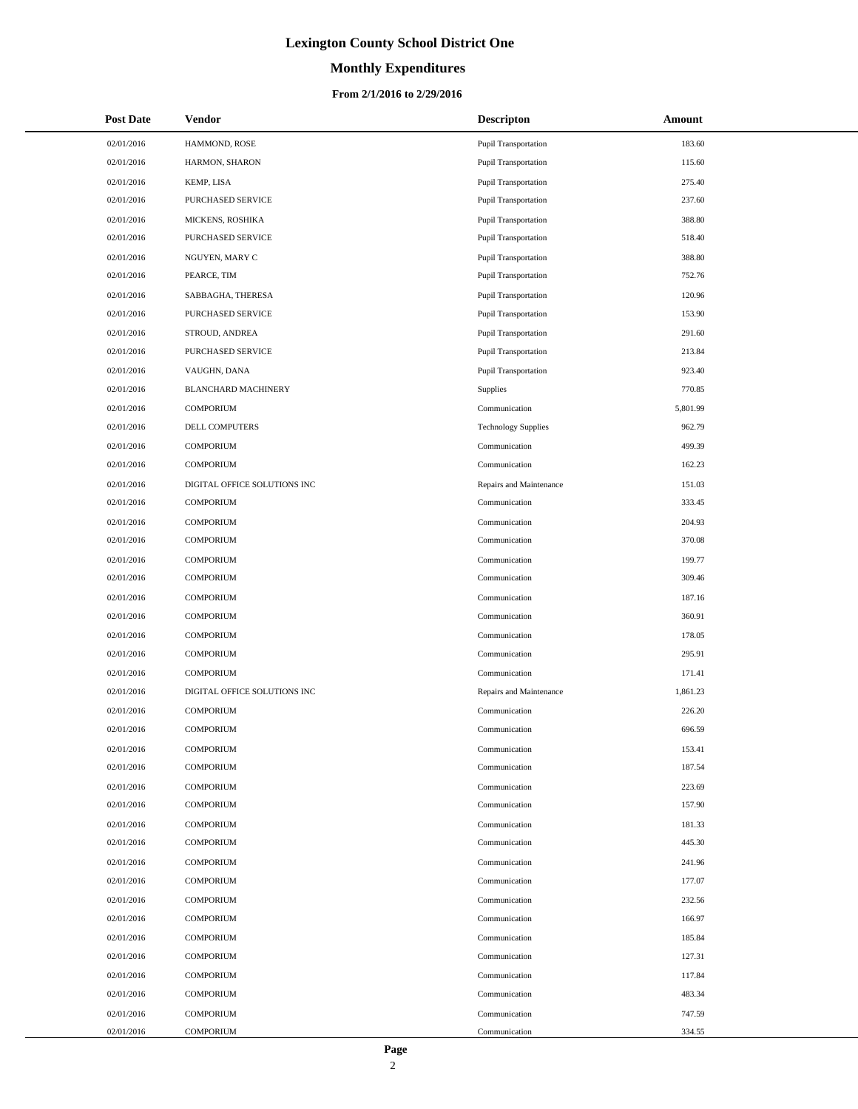# **Monthly Expenditures**

| <b>Post Date</b> | <b>Vendor</b>                | <b>Descripton</b>          | Amount   |
|------------------|------------------------------|----------------------------|----------|
| 02/01/2016       | HAMMOND, ROSE                | Pupil Transportation       | 183.60   |
| 02/01/2016       | HARMON, SHARON               | Pupil Transportation       | 115.60   |
| 02/01/2016       | KEMP, LISA                   | Pupil Transportation       | 275.40   |
| 02/01/2016       | PURCHASED SERVICE            | Pupil Transportation       | 237.60   |
| 02/01/2016       | MICKENS, ROSHIKA             | Pupil Transportation       | 388.80   |
| 02/01/2016       | PURCHASED SERVICE            | Pupil Transportation       | 518.40   |
| 02/01/2016       | NGUYEN, MARY C               | Pupil Transportation       | 388.80   |
| 02/01/2016       | PEARCE, TIM                  | Pupil Transportation       | 752.76   |
| 02/01/2016       | SABBAGHA, THERESA            | Pupil Transportation       | 120.96   |
| 02/01/2016       | <b>PURCHASED SERVICE</b>     | Pupil Transportation       | 153.90   |
| 02/01/2016       | STROUD, ANDREA               | Pupil Transportation       | 291.60   |
| 02/01/2016       | PURCHASED SERVICE            | Pupil Transportation       | 213.84   |
| 02/01/2016       | VAUGHN, DANA                 | Pupil Transportation       | 923.40   |
| 02/01/2016       | <b>BLANCHARD MACHINERY</b>   | <b>Supplies</b>            | 770.85   |
| 02/01/2016       | <b>COMPORIUM</b>             | Communication              | 5,801.99 |
| 02/01/2016       | <b>DELL COMPUTERS</b>        | <b>Technology Supplies</b> | 962.79   |
| 02/01/2016       | <b>COMPORIUM</b>             | Communication              | 499.39   |
| 02/01/2016       | <b>COMPORIUM</b>             | Communication              | 162.23   |
| 02/01/2016       | DIGITAL OFFICE SOLUTIONS INC | Repairs and Maintenance    | 151.03   |
| 02/01/2016       | <b>COMPORIUM</b>             | Communication              | 333.45   |
| 02/01/2016       | <b>COMPORIUM</b>             | Communication              | 204.93   |
| 02/01/2016       | <b>COMPORIUM</b>             | Communication              | 370.08   |
| 02/01/2016       | <b>COMPORIUM</b>             | Communication              | 199.77   |
| 02/01/2016       | <b>COMPORIUM</b>             | Communication              | 309.46   |
| 02/01/2016       | <b>COMPORIUM</b>             | Communication              | 187.16   |
| 02/01/2016       | <b>COMPORIUM</b>             | Communication              | 360.91   |
| 02/01/2016       | <b>COMPORIUM</b>             | Communication              | 178.05   |
| 02/01/2016       | <b>COMPORIUM</b>             | Communication              | 295.91   |
| 02/01/2016       | <b>COMPORIUM</b>             | Communication              | 171.41   |
| 02/01/2016       | DIGITAL OFFICE SOLUTIONS INC | Repairs and Maintenance    | 1,861.23 |
| 02/01/2016       | <b>COMPORIUM</b>             | Communication              | 226.20   |
| 02/01/2016       | <b>COMPORIUM</b>             | Communication              | 696.59   |
| 02/01/2016       | <b>COMPORIUM</b>             | Communication              | 153.41   |
| 02/01/2016       | <b>COMPORIUM</b>             | Communication              | 187.54   |
| 02/01/2016       | <b>COMPORIUM</b>             | Communication              | 223.69   |
| 02/01/2016       | <b>COMPORIUM</b>             | Communication              | 157.90   |
| 02/01/2016       | <b>COMPORIUM</b>             | Communication              | 181.33   |
| 02/01/2016       | <b>COMPORIUM</b>             | Communication              | 445.30   |
| 02/01/2016       | <b>COMPORIUM</b>             | Communication              | 241.96   |
| 02/01/2016       | <b>COMPORIUM</b>             | Communication              | 177.07   |
| 02/01/2016       | <b>COMPORIUM</b>             | Communication              | 232.56   |
| 02/01/2016       | <b>COMPORIUM</b>             | Communication              | 166.97   |
| 02/01/2016       | <b>COMPORIUM</b>             | Communication              | 185.84   |
| 02/01/2016       | <b>COMPORIUM</b>             | Communication              | 127.31   |
| 02/01/2016       | <b>COMPORIUM</b>             | Communication              | 117.84   |
| 02/01/2016       | <b>COMPORIUM</b>             | Communication              | 483.34   |
| 02/01/2016       | <b>COMPORIUM</b>             | Communication              | 747.59   |
| 02/01/2016       | <b>COMPORIUM</b>             | Communication              | 334.55   |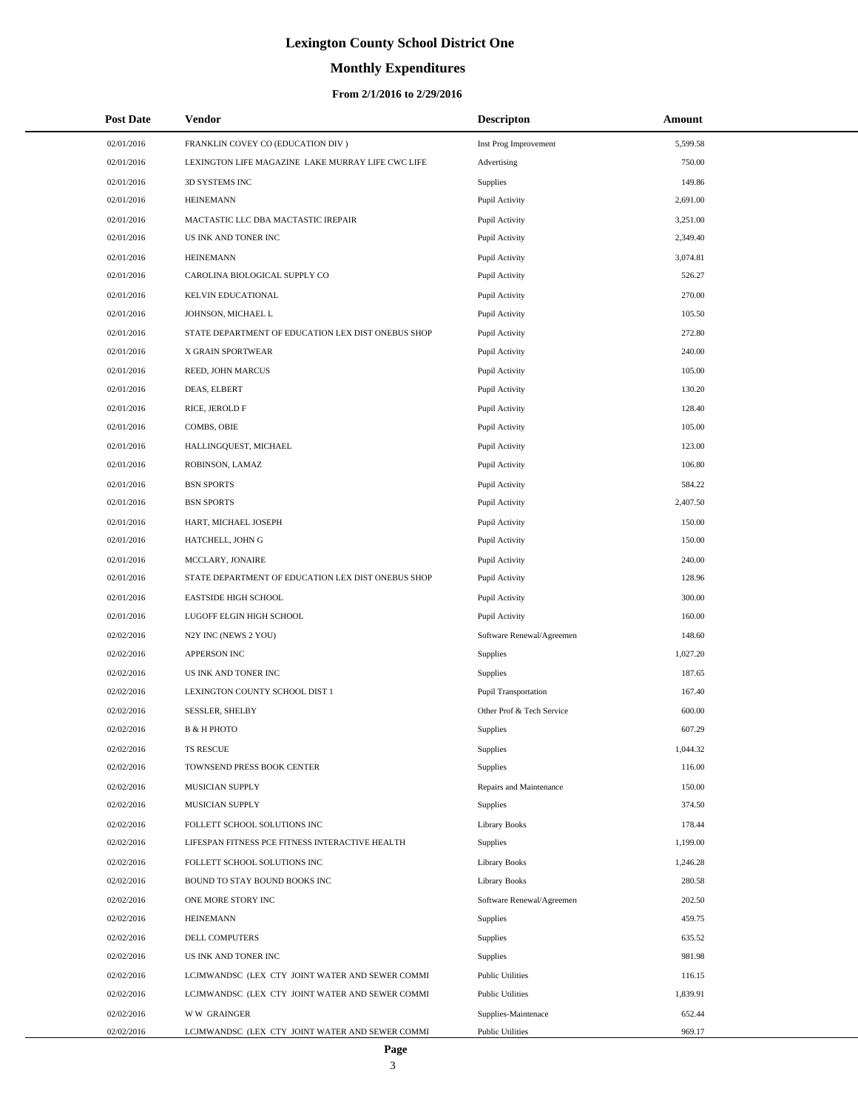# **Monthly Expenditures**

#### **From 2/1/2016 to 2/29/2016**

| <b>Post Date</b> | Vendor                                             | <b>Descripton</b>         | Amount   |  |
|------------------|----------------------------------------------------|---------------------------|----------|--|
| 02/01/2016       | FRANKLIN COVEY CO (EDUCATION DIV)                  | Inst Prog Improvement     | 5,599.58 |  |
| 02/01/2016       | LEXINGTON LIFE MAGAZINE LAKE MURRAY LIFE CWC LIFE  | Advertising               | 750.00   |  |
| 02/01/2016       | 3D SYSTEMS INC                                     | Supplies                  | 149.86   |  |
| 02/01/2016       | <b>HEINEMANN</b>                                   | Pupil Activity            | 2,691.00 |  |
| 02/01/2016       | MACTASTIC LLC DBA MACTASTIC IREPAIR                | Pupil Activity            | 3,251.00 |  |
| 02/01/2016       | US INK AND TONER INC                               | Pupil Activity            | 2,349.40 |  |
| 02/01/2016       | <b>HEINEMANN</b>                                   | Pupil Activity            | 3,074.81 |  |
| 02/01/2016       | CAROLINA BIOLOGICAL SUPPLY CO                      | Pupil Activity            | 526.27   |  |
| 02/01/2016       | KELVIN EDUCATIONAL                                 | Pupil Activity            | 270.00   |  |
| 02/01/2016       | JOHNSON, MICHAEL L                                 | Pupil Activity            | 105.50   |  |
| 02/01/2016       | STATE DEPARTMENT OF EDUCATION LEX DIST ONEBUS SHOP | Pupil Activity            | 272.80   |  |
| 02/01/2016       | X GRAIN SPORTWEAR                                  | Pupil Activity            | 240.00   |  |
| 02/01/2016       | REED, JOHN MARCUS                                  | Pupil Activity            | 105.00   |  |
| 02/01/2016       | DEAS, ELBERT                                       | Pupil Activity            | 130.20   |  |
| 02/01/2016       | RICE, JEROLD F                                     | Pupil Activity            | 128.40   |  |
| 02/01/2016       | COMBS, OBIE                                        | Pupil Activity            | 105.00   |  |
| 02/01/2016       | HALLINGQUEST, MICHAEL                              | Pupil Activity            | 123.00   |  |
| 02/01/2016       | ROBINSON, LAMAZ                                    | Pupil Activity            | 106.80   |  |
| 02/01/2016       | <b>BSN SPORTS</b>                                  | Pupil Activity            | 584.22   |  |
| 02/01/2016       | <b>BSN SPORTS</b>                                  | Pupil Activity            | 2,407.50 |  |
| 02/01/2016       | HART, MICHAEL JOSEPH                               | Pupil Activity            | 150.00   |  |
| 02/01/2016       | HATCHELL, JOHN G                                   | Pupil Activity            | 150.00   |  |
| 02/01/2016       | MCCLARY, JONAIRE                                   | Pupil Activity            | 240.00   |  |
| 02/01/2016       | STATE DEPARTMENT OF EDUCATION LEX DIST ONEBUS SHOP | Pupil Activity            | 128.96   |  |
| 02/01/2016       | <b>EASTSIDE HIGH SCHOOL</b>                        | Pupil Activity            | 300.00   |  |
| 02/01/2016       | LUGOFF ELGIN HIGH SCHOOL                           | Pupil Activity            | 160.00   |  |
| 02/02/2016       | N2Y INC (NEWS 2 YOU)                               | Software Renewal/Agreemen | 148.60   |  |
| 02/02/2016       | <b>APPERSON INC</b>                                | Supplies                  | 1,027.20 |  |
| 02/02/2016       | US INK AND TONER INC                               | Supplies                  | 187.65   |  |
| 02/02/2016       | LEXINGTON COUNTY SCHOOL DIST 1                     | Pupil Transportation      | 167.40   |  |
| 02/02/2016       | SESSLER, SHELBY                                    | Other Prof & Tech Service | 600.00   |  |
| 02/02/2016       | <b>B &amp; H PHOTO</b>                             | Supplies                  | 607.29   |  |
| 02/02/2016       | TS RESCUE                                          | Supplies                  | 1,044.32 |  |
| 02/02/2016       | TOWNSEND PRESS BOOK CENTER                         | Supplies                  | 116.00   |  |
| 02/02/2016       | MUSICIAN SUPPLY                                    | Repairs and Maintenance   | 150.00   |  |
| 02/02/2016       | MUSICIAN SUPPLY                                    | Supplies                  | 374.50   |  |
| 02/02/2016       | FOLLETT SCHOOL SOLUTIONS INC                       | <b>Library Books</b>      | 178.44   |  |
| 02/02/2016       | LIFESPAN FITNESS PCE FITNESS INTERACTIVE HEALTH    | Supplies                  | 1,199.00 |  |
| 02/02/2016       | FOLLETT SCHOOL SOLUTIONS INC                       | <b>Library Books</b>      | 1,246.28 |  |
| 02/02/2016       | BOUND TO STAY BOUND BOOKS INC                      | <b>Library Books</b>      | 280.58   |  |
| 02/02/2016       | ONE MORE STORY INC                                 | Software Renewal/Agreemen | 202.50   |  |
| 02/02/2016       | <b>HEINEMANN</b>                                   | Supplies                  | 459.75   |  |
| 02/02/2016       | DELL COMPUTERS                                     | Supplies                  | 635.52   |  |
| 02/02/2016       | US INK AND TONER INC                               | Supplies                  | 981.98   |  |
| 02/02/2016       | LCJMWANDSC (LEX CTY JOINT WATER AND SEWER COMMI    | <b>Public Utilities</b>   | 116.15   |  |
| 02/02/2016       | LCJMWANDSC (LEX CTY JOINT WATER AND SEWER COMMI    | <b>Public Utilities</b>   | 1,839.91 |  |
| 02/02/2016       | <b>WW GRAINGER</b>                                 | Supplies-Maintenace       | 652.44   |  |
| 02/02/2016       | LCJMWANDSC (LEX CTY JOINT WATER AND SEWER COMMI    | <b>Public Utilities</b>   | 969.17   |  |

 $\overline{\phantom{0}}$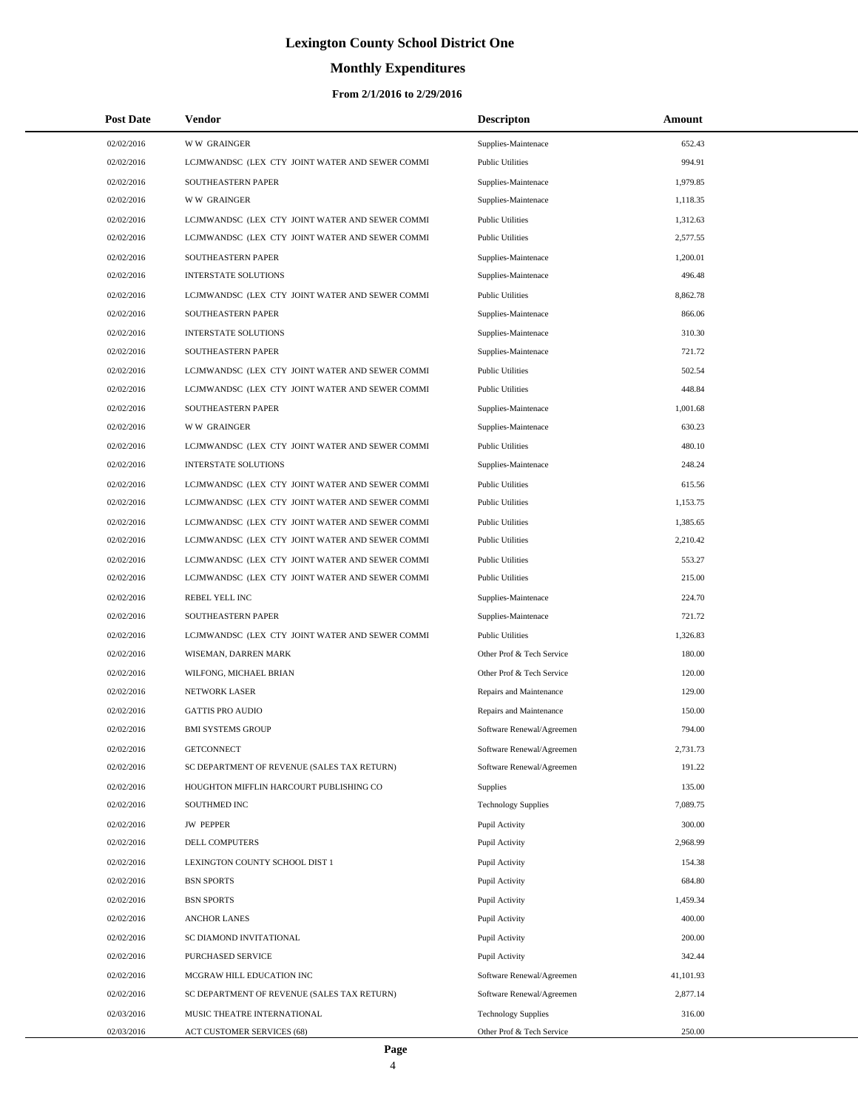# **Monthly Expenditures**

| <b>Post Date</b> | Vendor                                          | <b>Descripton</b>          | Amount    |
|------------------|-------------------------------------------------|----------------------------|-----------|
| 02/02/2016       | <b>WW GRAINGER</b>                              | Supplies-Maintenace        | 652.43    |
| 02/02/2016       | LCJMWANDSC (LEX CTY JOINT WATER AND SEWER COMMI | <b>Public Utilities</b>    | 994.91    |
| 02/02/2016       | <b>SOUTHEASTERN PAPER</b>                       | Supplies-Maintenace        | 1,979.85  |
| 02/02/2016       | <b>WW GRAINGER</b>                              | Supplies-Maintenace        | 1.118.35  |
| 02/02/2016       | LCJMWANDSC (LEX CTY JOINT WATER AND SEWER COMMI | <b>Public Utilities</b>    | 1,312.63  |
| 02/02/2016       | LCJMWANDSC (LEX CTY JOINT WATER AND SEWER COMMI | <b>Public Utilities</b>    | 2,577.55  |
| 02/02/2016       | SOUTHEASTERN PAPER                              | Supplies-Maintenace        | 1,200.01  |
| 02/02/2016       | <b>INTERSTATE SOLUTIONS</b>                     | Supplies-Maintenace        | 496.48    |
| 02/02/2016       | LCJMWANDSC (LEX CTY JOINT WATER AND SEWER COMMI | <b>Public Utilities</b>    | 8,862.78  |
| 02/02/2016       | SOUTHEASTERN PAPER                              | Supplies-Maintenace        | 866.06    |
| 02/02/2016       | <b>INTERSTATE SOLUTIONS</b>                     | Supplies-Maintenace        | 310.30    |
| 02/02/2016       | SOUTHEASTERN PAPER                              | Supplies-Maintenace        | 721.72    |
| 02/02/2016       | LCJMWANDSC (LEX CTY JOINT WATER AND SEWER COMMI | <b>Public Utilities</b>    | 502.54    |
| 02/02/2016       | LCJMWANDSC (LEX CTY JOINT WATER AND SEWER COMMI | <b>Public Utilities</b>    | 448.84    |
| 02/02/2016       | <b>SOUTHEASTERN PAPER</b>                       | Supplies-Maintenace        | 1,001.68  |
| 02/02/2016       | <b>WW GRAINGER</b>                              | Supplies-Maintenace        | 630.23    |
| 02/02/2016       | LCJMWANDSC (LEX CTY JOINT WATER AND SEWER COMMI | <b>Public Utilities</b>    | 480.10    |
| 02/02/2016       | <b>INTERSTATE SOLUTIONS</b>                     | Supplies-Maintenace        | 248.24    |
| 02/02/2016       | LCJMWANDSC (LEX CTY JOINT WATER AND SEWER COMMI | <b>Public Utilities</b>    | 615.56    |
| 02/02/2016       | LCJMWANDSC (LEX CTY JOINT WATER AND SEWER COMMI | <b>Public Utilities</b>    | 1,153.75  |
| 02/02/2016       | LCJMWANDSC (LEX CTY JOINT WATER AND SEWER COMMI | <b>Public Utilities</b>    | 1,385.65  |
| 02/02/2016       | LCJMWANDSC (LEX CTY JOINT WATER AND SEWER COMMI | <b>Public Utilities</b>    | 2,210.42  |
| 02/02/2016       | LCJMWANDSC (LEX CTY JOINT WATER AND SEWER COMMI | <b>Public Utilities</b>    | 553.27    |
| 02/02/2016       | LCJMWANDSC (LEX CTY JOINT WATER AND SEWER COMMI | <b>Public Utilities</b>    | 215.00    |
| 02/02/2016       | REBEL YELL INC                                  | Supplies-Maintenace        | 224.70    |
| 02/02/2016       | SOUTHEASTERN PAPER                              | Supplies-Maintenace        | 721.72    |
| 02/02/2016       | LCJMWANDSC (LEX CTY JOINT WATER AND SEWER COMMI | <b>Public Utilities</b>    | 1,326.83  |
| 02/02/2016       | WISEMAN, DARREN MARK                            | Other Prof & Tech Service  | 180.00    |
| 02/02/2016       | WILFONG, MICHAEL BRIAN                          | Other Prof & Tech Service  | 120.00    |
| 02/02/2016       | NETWORK LASER                                   | Repairs and Maintenance    | 129.00    |
| 02/02/2016       | <b>GATTIS PRO AUDIO</b>                         | Repairs and Maintenance    | 150.00    |
| 02/02/2016       | <b>BMI SYSTEMS GROUP</b>                        | Software Renewal/Agreemen  | 794.00    |
| 02/02/2016       | <b>GETCONNECT</b>                               | Software Renewal/Agreemen  | 2,731.73  |
| 02/02/2016       | SC DEPARTMENT OF REVENUE (SALES TAX RETURN)     | Software Renewal/Agreemen  | 191.22    |
| 02/02/2016       | HOUGHTON MIFFLIN HARCOURT PUBLISHING CO         | <b>Supplies</b>            | 135.00    |
| 02/02/2016       | SOUTHMED INC                                    | <b>Technology Supplies</b> | 7,089.75  |
| 02/02/2016       | <b>JW PEPPER</b>                                | Pupil Activity             | 300.00    |
| 02/02/2016       | <b>DELL COMPUTERS</b>                           | Pupil Activity             | 2,968.99  |
| 02/02/2016       | LEXINGTON COUNTY SCHOOL DIST 1                  | Pupil Activity             | 154.38    |
| 02/02/2016       | <b>BSN SPORTS</b>                               | Pupil Activity             | 684.80    |
| 02/02/2016       | <b>BSN SPORTS</b>                               | Pupil Activity             | 1,459.34  |
| 02/02/2016       | <b>ANCHOR LANES</b>                             | Pupil Activity             | 400.00    |
| 02/02/2016       | SC DIAMOND INVITATIONAL                         | Pupil Activity             | 200.00    |
| 02/02/2016       | PURCHASED SERVICE                               | Pupil Activity             | 342.44    |
| 02/02/2016       | MCGRAW HILL EDUCATION INC                       | Software Renewal/Agreemen  | 41,101.93 |
| 02/02/2016       | SC DEPARTMENT OF REVENUE (SALES TAX RETURN)     | Software Renewal/Agreemen  | 2,877.14  |
| 02/03/2016       | MUSIC THEATRE INTERNATIONAL                     | <b>Technology Supplies</b> | 316.00    |
| 02/03/2016       | ACT CUSTOMER SERVICES (68)                      | Other Prof & Tech Service  | 250.00    |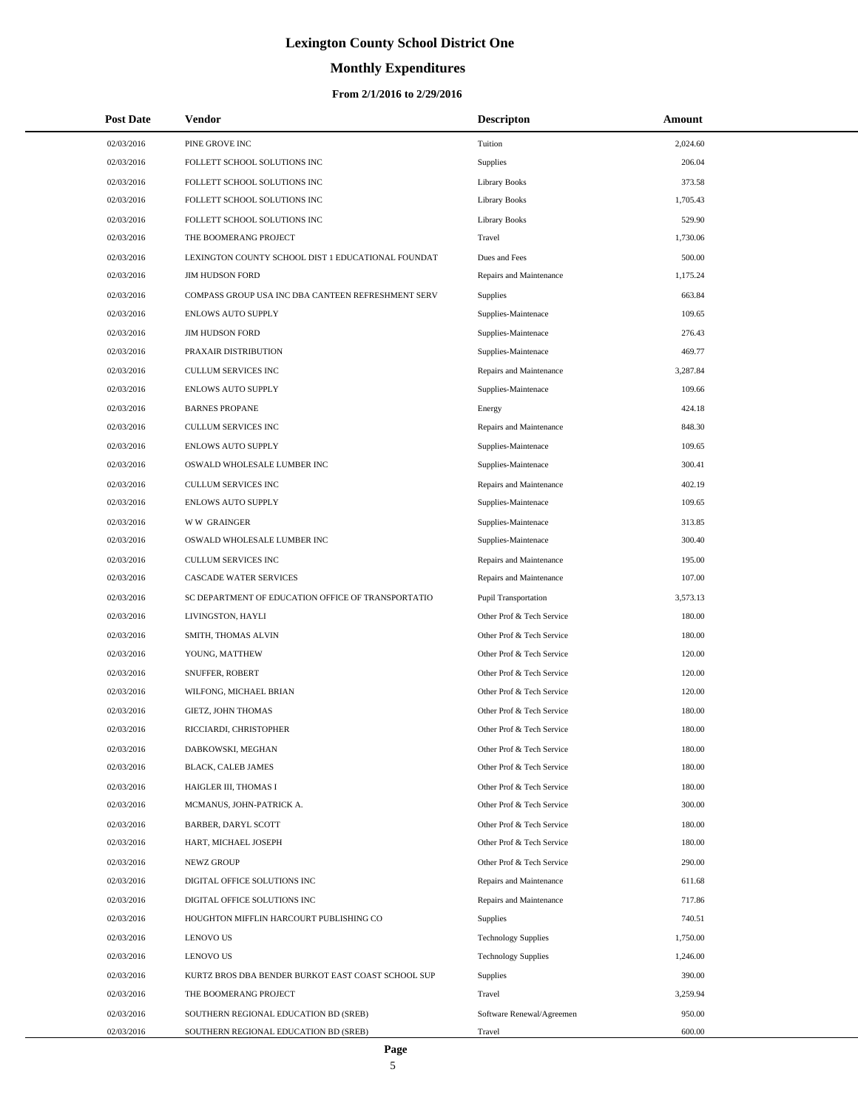# **Monthly Expenditures**

#### **From 2/1/2016 to 2/29/2016**

| <b>Post Date</b> | Vendor                                             | <b>Descripton</b>          | Amount   |  |
|------------------|----------------------------------------------------|----------------------------|----------|--|
| 02/03/2016       | PINE GROVE INC                                     | Tuition                    | 2,024.60 |  |
| 02/03/2016       | FOLLETT SCHOOL SOLUTIONS INC                       | Supplies                   | 206.04   |  |
| 02/03/2016       | FOLLETT SCHOOL SOLUTIONS INC                       | <b>Library Books</b>       | 373.58   |  |
| 02/03/2016       | FOLLETT SCHOOL SOLUTIONS INC                       | <b>Library Books</b>       | 1,705.43 |  |
| 02/03/2016       | FOLLETT SCHOOL SOLUTIONS INC                       | <b>Library Books</b>       | 529.90   |  |
| 02/03/2016       | THE BOOMERANG PROJECT                              | Travel                     | 1,730.06 |  |
| 02/03/2016       | LEXINGTON COUNTY SCHOOL DIST 1 EDUCATIONAL FOUNDAT | Dues and Fees              | 500.00   |  |
| 02/03/2016       | <b>JIM HUDSON FORD</b>                             | Repairs and Maintenance    | 1,175.24 |  |
| 02/03/2016       | COMPASS GROUP USA INC DBA CANTEEN REFRESHMENT SERV | <b>Supplies</b>            | 663.84   |  |
| 02/03/2016       | <b>ENLOWS AUTO SUPPLY</b>                          | Supplies-Maintenace        | 109.65   |  |
| 02/03/2016       | <b>JIM HUDSON FORD</b>                             | Supplies-Maintenace        | 276.43   |  |
| 02/03/2016       | PRAXAIR DISTRIBUTION                               | Supplies-Maintenace        | 469.77   |  |
| 02/03/2016       | CULLUM SERVICES INC                                | Repairs and Maintenance    | 3,287.84 |  |
| 02/03/2016       | <b>ENLOWS AUTO SUPPLY</b>                          | Supplies-Maintenace        | 109.66   |  |
| 02/03/2016       | <b>BARNES PROPANE</b>                              | Energy                     | 424.18   |  |
| 02/03/2016       | CULLUM SERVICES INC                                | Repairs and Maintenance    | 848.30   |  |
| 02/03/2016       | <b>ENLOWS AUTO SUPPLY</b>                          | Supplies-Maintenace        | 109.65   |  |
| 02/03/2016       | OSWALD WHOLESALE LUMBER INC                        | Supplies-Maintenace        | 300.41   |  |
| 02/03/2016       | CULLUM SERVICES INC                                | Repairs and Maintenance    | 402.19   |  |
| 02/03/2016       | <b>ENLOWS AUTO SUPPLY</b>                          | Supplies-Maintenace        | 109.65   |  |
| 02/03/2016       | <b>WW GRAINGER</b>                                 | Supplies-Maintenace        | 313.85   |  |
| 02/03/2016       | OSWALD WHOLESALE LUMBER INC                        | Supplies-Maintenace        | 300.40   |  |
| 02/03/2016       | CULLUM SERVICES INC                                | Repairs and Maintenance    | 195.00   |  |
| 02/03/2016       | <b>CASCADE WATER SERVICES</b>                      | Repairs and Maintenance    | 107.00   |  |
| 02/03/2016       | SC DEPARTMENT OF EDUCATION OFFICE OF TRANSPORTATIO | Pupil Transportation       | 3,573.13 |  |
| 02/03/2016       | LIVINGSTON, HAYLI                                  | Other Prof & Tech Service  | 180.00   |  |
| 02/03/2016       | SMITH, THOMAS ALVIN                                | Other Prof & Tech Service  | 180.00   |  |
| 02/03/2016       | YOUNG, MATTHEW                                     | Other Prof & Tech Service  | 120.00   |  |
| 02/03/2016       | SNUFFER, ROBERT                                    | Other Prof & Tech Service  | 120.00   |  |
| 02/03/2016       | WILFONG, MICHAEL BRIAN                             | Other Prof & Tech Service  | 120.00   |  |
| 02/03/2016       | GIETZ, JOHN THOMAS                                 | Other Prof & Tech Service  | 180.00   |  |
| 02/03/2016       | RICCIARDI, CHRISTOPHER                             | Other Prof & Tech Service  | 180.00   |  |
| 02/03/2016       | DABKOWSKI, MEGHAN                                  | Other Prof & Tech Service  | 180.00   |  |
| 02/03/2016       | <b>BLACK, CALEB JAMES</b>                          | Other Prof & Tech Service  | 180.00   |  |
| 02/03/2016       | HAIGLER III, THOMAS I                              | Other Prof & Tech Service  | 180.00   |  |
| 02/03/2016       | MCMANUS, JOHN-PATRICK A.                           | Other Prof & Tech Service  | 300.00   |  |
| 02/03/2016       | <b>BARBER, DARYL SCOTT</b>                         | Other Prof & Tech Service  | 180.00   |  |
| 02/03/2016       | HART, MICHAEL JOSEPH                               | Other Prof & Tech Service  | 180.00   |  |
| 02/03/2016       | NEWZ GROUP                                         | Other Prof & Tech Service  | 290.00   |  |
| 02/03/2016       | DIGITAL OFFICE SOLUTIONS INC                       | Repairs and Maintenance    | 611.68   |  |
| 02/03/2016       | DIGITAL OFFICE SOLUTIONS INC                       | Repairs and Maintenance    | 717.86   |  |
| 02/03/2016       | HOUGHTON MIFFLIN HARCOURT PUBLISHING CO            | Supplies                   | 740.51   |  |
| 02/03/2016       | <b>LENOVO US</b>                                   | <b>Technology Supplies</b> | 1,750.00 |  |
| 02/03/2016       | <b>LENOVO US</b>                                   | <b>Technology Supplies</b> | 1,246.00 |  |
| 02/03/2016       | KURTZ BROS DBA BENDER BURKOT EAST COAST SCHOOL SUP | Supplies                   | 390.00   |  |
| 02/03/2016       | THE BOOMERANG PROJECT                              | Travel                     | 3,259.94 |  |
| 02/03/2016       | SOUTHERN REGIONAL EDUCATION BD (SREB)              | Software Renewal/Agreemen  | 950.00   |  |
| 02/03/2016       | SOUTHERN REGIONAL EDUCATION BD (SREB)              | Travel                     | 600.00   |  |

 $\overline{\phantom{0}}$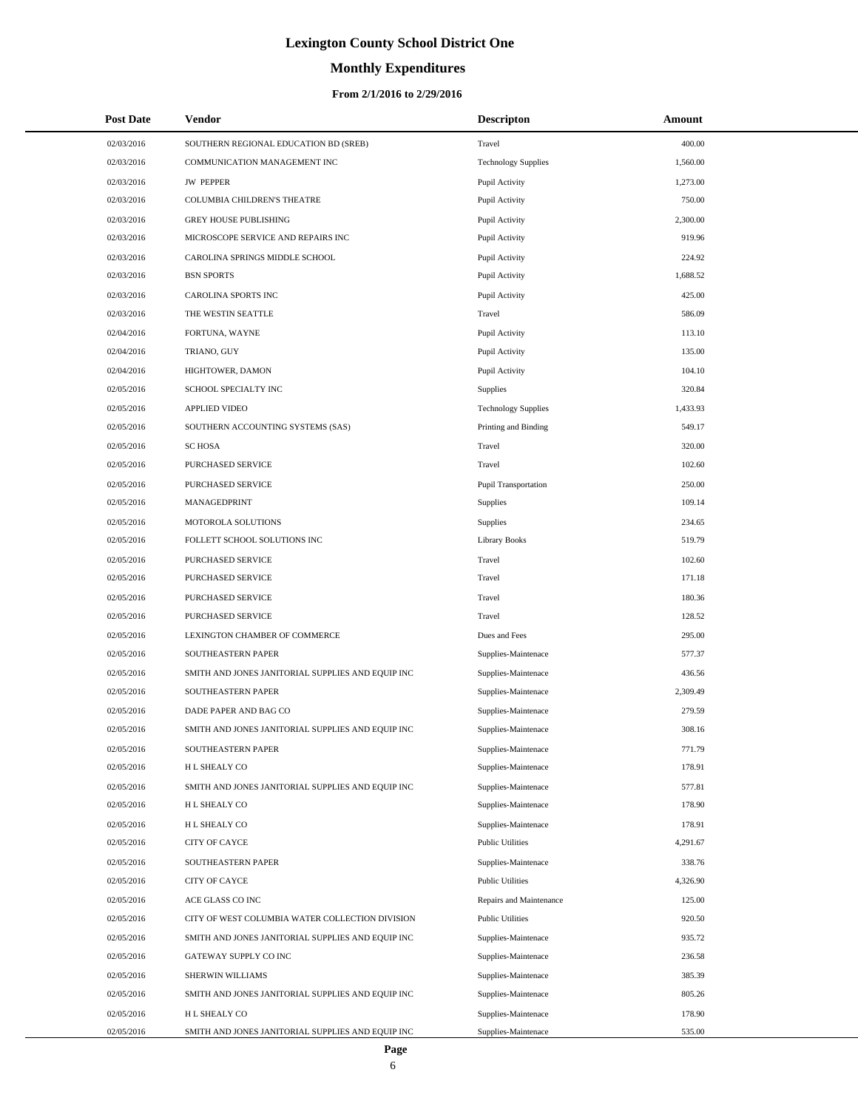# **Monthly Expenditures**

#### **From 2/1/2016 to 2/29/2016**

| <b>Post Date</b> | <b>Vendor</b>                                     | <b>Descripton</b>          | Amount   |
|------------------|---------------------------------------------------|----------------------------|----------|
| 02/03/2016       | SOUTHERN REGIONAL EDUCATION BD (SREB)             | Travel                     | 400.00   |
| 02/03/2016       | COMMUNICATION MANAGEMENT INC                      | <b>Technology Supplies</b> | 1,560.00 |
| 02/03/2016       | <b>JW PEPPER</b>                                  | Pupil Activity             | 1,273.00 |
| 02/03/2016       | COLUMBIA CHILDREN'S THEATRE                       | Pupil Activity             | 750.00   |
| 02/03/2016       | <b>GREY HOUSE PUBLISHING</b>                      | Pupil Activity             | 2,300.00 |
| 02/03/2016       | MICROSCOPE SERVICE AND REPAIRS INC                | Pupil Activity             | 919.96   |
| 02/03/2016       | CAROLINA SPRINGS MIDDLE SCHOOL                    | Pupil Activity             | 224.92   |
| 02/03/2016       | <b>BSN SPORTS</b>                                 | Pupil Activity             | 1,688.52 |
| 02/03/2016       | CAROLINA SPORTS INC                               | Pupil Activity             | 425.00   |
| 02/03/2016       | THE WESTIN SEATTLE                                | Travel                     | 586.09   |
| 02/04/2016       | FORTUNA, WAYNE                                    | Pupil Activity             | 113.10   |
| 02/04/2016       | TRIANO, GUY                                       | Pupil Activity             | 135.00   |
| 02/04/2016       | HIGHTOWER, DAMON                                  | Pupil Activity             | 104.10   |
| 02/05/2016       | SCHOOL SPECIALTY INC                              | Supplies                   | 320.84   |
| 02/05/2016       | <b>APPLIED VIDEO</b>                              | <b>Technology Supplies</b> | 1,433.93 |
| 02/05/2016       | SOUTHERN ACCOUNTING SYSTEMS (SAS)                 | Printing and Binding       | 549.17   |
| 02/05/2016       | <b>SC HOSA</b>                                    | Travel                     | 320.00   |
| 02/05/2016       | <b>PURCHASED SERVICE</b>                          | Travel                     | 102.60   |
| 02/05/2016       | PURCHASED SERVICE                                 | Pupil Transportation       | 250.00   |
| 02/05/2016       | MANAGEDPRINT                                      | Supplies                   | 109.14   |
| 02/05/2016       | MOTOROLA SOLUTIONS                                | Supplies                   | 234.65   |
| 02/05/2016       | FOLLETT SCHOOL SOLUTIONS INC                      | <b>Library Books</b>       | 519.79   |
| 02/05/2016       | PURCHASED SERVICE                                 | Travel                     | 102.60   |
| 02/05/2016       | PURCHASED SERVICE                                 | Travel                     | 171.18   |
| 02/05/2016       | PURCHASED SERVICE                                 | Travel                     | 180.36   |
| 02/05/2016       | PURCHASED SERVICE                                 | Travel                     | 128.52   |
| 02/05/2016       | LEXINGTON CHAMBER OF COMMERCE                     | Dues and Fees              | 295.00   |
| 02/05/2016       | SOUTHEASTERN PAPER                                | Supplies-Maintenace        | 577.37   |
| 02/05/2016       | SMITH AND JONES JANITORIAL SUPPLIES AND EQUIP INC | Supplies-Maintenace        | 436.56   |
| 02/05/2016       | SOUTHEASTERN PAPER                                | Supplies-Maintenace        | 2,309.49 |
| 02/05/2016       | DADE PAPER AND BAG CO                             | Supplies-Maintenace        | 279.59   |
| 02/05/2016       | SMITH AND JONES JANITORIAL SUPPLIES AND EQUIP INC | Supplies-Maintenace        | 308.16   |
| 02/05/2016       | SOUTHEASTERN PAPER                                | Supplies-Maintenace        | 771.79   |
| 02/05/2016       | H L SHEALY CO                                     | Supplies-Maintenace        | 178.91   |
| 02/05/2016       | SMITH AND JONES JANITORIAL SUPPLIES AND EQUIP INC | Supplies-Maintenace        | 577.81   |
| 02/05/2016       | H L SHEALY CO                                     | Supplies-Maintenace        | 178.90   |
| 02/05/2016       | H L SHEALY CO                                     | Supplies-Maintenace        | 178.91   |
| 02/05/2016       | CITY OF CAYCE                                     | <b>Public Utilities</b>    | 4,291.67 |
| 02/05/2016       | SOUTHEASTERN PAPER                                | Supplies-Maintenace        | 338.76   |
| 02/05/2016       | <b>CITY OF CAYCE</b>                              | <b>Public Utilities</b>    | 4,326.90 |
| 02/05/2016       | ACE GLASS CO INC                                  | Repairs and Maintenance    | 125.00   |
| 02/05/2016       | CITY OF WEST COLUMBIA WATER COLLECTION DIVISION   | <b>Public Utilities</b>    | 920.50   |
| 02/05/2016       | SMITH AND JONES JANITORIAL SUPPLIES AND EQUIP INC | Supplies-Maintenace        | 935.72   |
| 02/05/2016       | GATEWAY SUPPLY CO INC                             | Supplies-Maintenace        | 236.58   |
| 02/05/2016       | SHERWIN WILLIAMS                                  | Supplies-Maintenace        | 385.39   |
| 02/05/2016       | SMITH AND JONES JANITORIAL SUPPLIES AND EQUIP INC | Supplies-Maintenace        | 805.26   |
| 02/05/2016       | H L SHEALY CO                                     | Supplies-Maintenace        | 178.90   |
| 02/05/2016       | SMITH AND JONES JANITORIAL SUPPLIES AND EQUIP INC | Supplies-Maintenace        | 535.00   |

 $\overline{a}$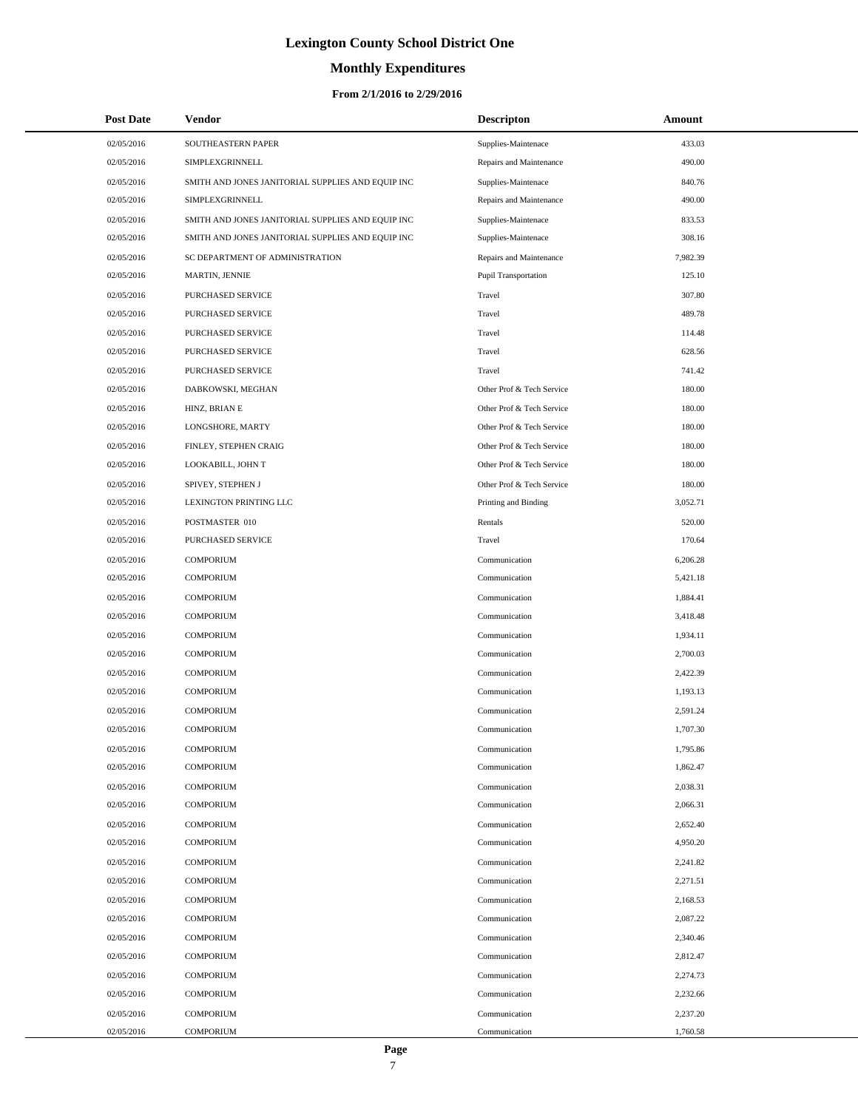#### **Monthly Expenditures**

| <b>Post Date</b> | Vendor                                            | <b>Descripton</b>         | Amount   |
|------------------|---------------------------------------------------|---------------------------|----------|
| 02/05/2016       | SOUTHEASTERN PAPER                                | Supplies-Maintenace       | 433.03   |
| 02/05/2016       | SIMPLEXGRINNELL                                   | Repairs and Maintenance   | 490.00   |
| 02/05/2016       | SMITH AND JONES JANITORIAL SUPPLIES AND EQUIP INC | Supplies-Maintenace       | 840.76   |
| 02/05/2016       | SIMPLEXGRINNELL                                   | Repairs and Maintenance   | 490.00   |
| 02/05/2016       | SMITH AND JONES JANITORIAL SUPPLIES AND EQUIP INC | Supplies-Maintenace       | 833.53   |
| 02/05/2016       | SMITH AND JONES JANITORIAL SUPPLIES AND EQUIP INC | Supplies-Maintenace       | 308.16   |
| 02/05/2016       | SC DEPARTMENT OF ADMINISTRATION                   | Repairs and Maintenance   | 7,982.39 |
| 02/05/2016       | MARTIN, JENNIE                                    | Pupil Transportation      | 125.10   |
| 02/05/2016       | PURCHASED SERVICE                                 | Travel                    | 307.80   |
| 02/05/2016       | PURCHASED SERVICE                                 | Travel                    | 489.78   |
| 02/05/2016       | PURCHASED SERVICE                                 | Travel                    | 114.48   |
| 02/05/2016       | PURCHASED SERVICE                                 | Travel                    | 628.56   |
| 02/05/2016       | PURCHASED SERVICE                                 | Travel                    | 741.42   |
| 02/05/2016       | DABKOWSKI, MEGHAN                                 | Other Prof & Tech Service | 180.00   |
| 02/05/2016       | HINZ, BRIAN E                                     | Other Prof & Tech Service | 180.00   |
| 02/05/2016       | LONGSHORE, MARTY                                  | Other Prof & Tech Service | 180.00   |
| 02/05/2016       | FINLEY, STEPHEN CRAIG                             | Other Prof & Tech Service | 180.00   |
| 02/05/2016       | LOOKABILL, JOHN T                                 | Other Prof & Tech Service | 180.00   |
| 02/05/2016       | SPIVEY, STEPHEN J                                 | Other Prof & Tech Service | 180.00   |
| 02/05/2016       | LEXINGTON PRINTING LLC                            | Printing and Binding      | 3,052.71 |
| 02/05/2016       | POSTMASTER 010                                    | Rentals                   | 520.00   |
| 02/05/2016       | PURCHASED SERVICE                                 | Travel                    | 170.64   |
| 02/05/2016       | <b>COMPORIUM</b>                                  | Communication             | 6,206.28 |
| 02/05/2016       | <b>COMPORIUM</b>                                  | Communication             | 5,421.18 |
| 02/05/2016       | <b>COMPORIUM</b>                                  | Communication             | 1,884.41 |
| 02/05/2016       | <b>COMPORIUM</b>                                  | Communication             | 3,418.48 |
| 02/05/2016       | <b>COMPORIUM</b>                                  | Communication             | 1,934.11 |
| 02/05/2016       | <b>COMPORIUM</b>                                  | Communication             | 2,700.03 |
| 02/05/2016       | <b>COMPORIUM</b>                                  | Communication             | 2,422.39 |
| 02/05/2016       | <b>COMPORIUM</b>                                  | Communication             | 1,193.13 |
| 02/05/2016       | <b>COMPORIUM</b>                                  | Communication             | 2,591.24 |
| 02/05/2016       | <b>COMPORIUM</b>                                  | Communication             | 1,707.30 |
| 02/05/2016       | <b>COMPORIUM</b>                                  | Communication             | 1,795.86 |
| 02/05/2016       | <b>COMPORIUM</b>                                  | Communication             | 1,862.47 |
| 02/05/2016       | <b>COMPORIUM</b>                                  | Communication             | 2.038.31 |
| 02/05/2016       | <b>COMPORIUM</b>                                  | Communication             | 2,066.31 |
| 02/05/2016       | <b>COMPORIUM</b>                                  | Communication             | 2,652.40 |
| 02/05/2016       | <b>COMPORIUM</b>                                  | Communication             | 4,950.20 |
| 02/05/2016       | <b>COMPORIUM</b>                                  | Communication             | 2,241.82 |
| 02/05/2016       | <b>COMPORIUM</b>                                  | Communication             | 2,271.51 |
| 02/05/2016       | <b>COMPORIUM</b>                                  | Communication             | 2,168.53 |
| 02/05/2016       | <b>COMPORIUM</b>                                  | Communication             | 2,087.22 |
| 02/05/2016       | <b>COMPORIUM</b>                                  | Communication             | 2,340.46 |
| 02/05/2016       | <b>COMPORIUM</b>                                  | Communication             | 2,812.47 |
| 02/05/2016       | <b>COMPORIUM</b>                                  | Communication             | 2,274.73 |
| 02/05/2016       | <b>COMPORIUM</b>                                  | Communication             | 2,232.66 |
| 02/05/2016       | <b>COMPORIUM</b>                                  | Communication             | 2,237.20 |
| 02/05/2016       | COMPORIUM                                         | Communication             | 1,760.58 |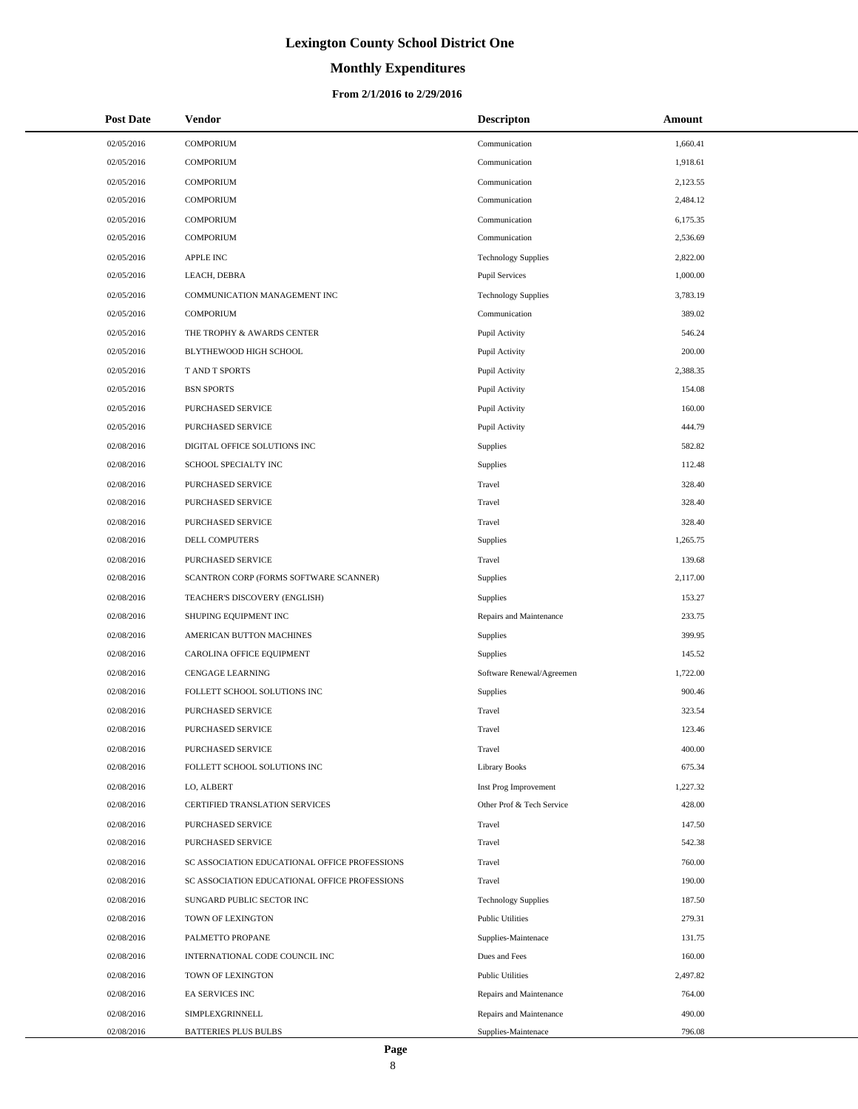# **Monthly Expenditures**

#### **From 2/1/2016 to 2/29/2016**

| <b>Post Date</b> | Vendor                                        | <b>Descripton</b>          | Amount   |
|------------------|-----------------------------------------------|----------------------------|----------|
| 02/05/2016       | <b>COMPORIUM</b>                              | Communication              | 1,660.41 |
| 02/05/2016       | <b>COMPORIUM</b>                              | Communication              | 1,918.61 |
| 02/05/2016       | <b>COMPORIUM</b>                              | Communication              | 2,123.55 |
| 02/05/2016       | <b>COMPORIUM</b>                              | Communication              | 2,484.12 |
| 02/05/2016       | <b>COMPORIUM</b>                              | Communication              | 6,175.35 |
| 02/05/2016       | <b>COMPORIUM</b>                              | Communication              | 2,536.69 |
| 02/05/2016       | <b>APPLE INC</b>                              | <b>Technology Supplies</b> | 2,822.00 |
| 02/05/2016       | LEACH, DEBRA                                  | <b>Pupil Services</b>      | 1,000.00 |
| 02/05/2016       | COMMUNICATION MANAGEMENT INC                  | <b>Technology Supplies</b> | 3.783.19 |
| 02/05/2016       | <b>COMPORIUM</b>                              | Communication              | 389.02   |
| 02/05/2016       | THE TROPHY & AWARDS CENTER                    | Pupil Activity             | 546.24   |
| 02/05/2016       | BLYTHEWOOD HIGH SCHOOL                        | Pupil Activity             | 200.00   |
| 02/05/2016       | <b>TAND T SPORTS</b>                          | Pupil Activity             | 2,388.35 |
| 02/05/2016       | <b>BSN SPORTS</b>                             | Pupil Activity             | 154.08   |
| 02/05/2016       | PURCHASED SERVICE                             | Pupil Activity             | 160.00   |
| 02/05/2016       | PURCHASED SERVICE                             | Pupil Activity             | 444.79   |
| 02/08/2016       | DIGITAL OFFICE SOLUTIONS INC                  | Supplies                   | 582.82   |
| 02/08/2016       | SCHOOL SPECIALTY INC                          | Supplies                   | 112.48   |
| 02/08/2016       | PURCHASED SERVICE                             | Travel                     | 328.40   |
| 02/08/2016       | PURCHASED SERVICE                             | Travel                     | 328.40   |
| 02/08/2016       | PURCHASED SERVICE                             | Travel                     | 328.40   |
| 02/08/2016       | DELL COMPUTERS                                | Supplies                   | 1,265.75 |
| 02/08/2016       | PURCHASED SERVICE                             | Travel                     | 139.68   |
| 02/08/2016       | SCANTRON CORP (FORMS SOFTWARE SCANNER)        | Supplies                   | 2,117.00 |
| 02/08/2016       | TEACHER'S DISCOVERY (ENGLISH)                 | Supplies                   | 153.27   |
| 02/08/2016       | SHUPING EQUIPMENT INC                         | Repairs and Maintenance    | 233.75   |
| 02/08/2016       | AMERICAN BUTTON MACHINES                      | Supplies                   | 399.95   |
| 02/08/2016       | CAROLINA OFFICE EQUIPMENT                     | Supplies                   | 145.52   |
| 02/08/2016       | <b>CENGAGE LEARNING</b>                       | Software Renewal/Agreemen  | 1,722.00 |
| 02/08/2016       | FOLLETT SCHOOL SOLUTIONS INC                  | Supplies                   | 900.46   |
| 02/08/2016       | PURCHASED SERVICE                             | Travel                     | 323.54   |
| 02/08/2016       | PURCHASED SERVICE                             | Travel                     | 123.46   |
| 02/08/2016       | <b>PURCHASED SERVICE</b>                      | Travel                     | 400.00   |
| 02/08/2016       | FOLLETT SCHOOL SOLUTIONS INC                  | <b>Library Books</b>       | 675.34   |
| 02/08/2016       | LO, ALBERT                                    | Inst Prog Improvement      | 1,227.32 |
| 02/08/2016       | CERTIFIED TRANSLATION SERVICES                | Other Prof & Tech Service  | 428.00   |
| 02/08/2016       | PURCHASED SERVICE                             | Travel                     | 147.50   |
| 02/08/2016       | PURCHASED SERVICE                             | Travel                     | 542.38   |
| 02/08/2016       | SC ASSOCIATION EDUCATIONAL OFFICE PROFESSIONS | Travel                     | 760.00   |
| 02/08/2016       | SC ASSOCIATION EDUCATIONAL OFFICE PROFESSIONS | Travel                     | 190.00   |
| 02/08/2016       | SUNGARD PUBLIC SECTOR INC                     | <b>Technology Supplies</b> | 187.50   |
| 02/08/2016       | TOWN OF LEXINGTON                             | <b>Public Utilities</b>    | 279.31   |
| 02/08/2016       | PALMETTO PROPANE                              | Supplies-Maintenace        | 131.75   |
| 02/08/2016       | INTERNATIONAL CODE COUNCIL INC                | Dues and Fees              | 160.00   |
| 02/08/2016       | TOWN OF LEXINGTON                             | <b>Public Utilities</b>    | 2,497.82 |
| 02/08/2016       | EA SERVICES INC                               | Repairs and Maintenance    | 764.00   |
| 02/08/2016       | SIMPLEXGRINNELL                               | Repairs and Maintenance    | 490.00   |
| 02/08/2016       | <b>BATTERIES PLUS BULBS</b>                   | Supplies-Maintenace        | 796.08   |

 $\overline{\phantom{0}}$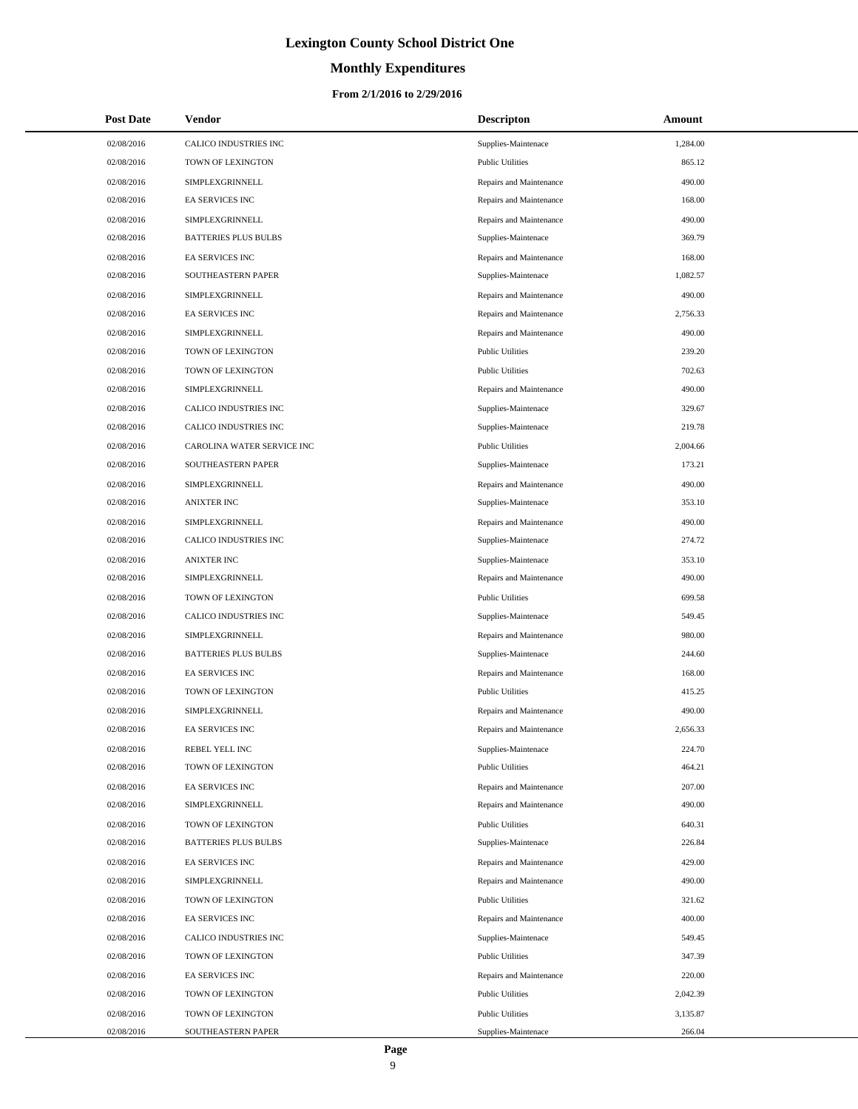# **Monthly Expenditures**

| <b>Post Date</b> | <b>Vendor</b>               | <b>Descripton</b>       | Amount   |
|------------------|-----------------------------|-------------------------|----------|
| 02/08/2016       | CALICO INDUSTRIES INC       | Supplies-Maintenace     | 1,284.00 |
| 02/08/2016       | TOWN OF LEXINGTON           | <b>Public Utilities</b> | 865.12   |
| 02/08/2016       | SIMPLEXGRINNELL             | Repairs and Maintenance | 490.00   |
| 02/08/2016       | <b>EA SERVICES INC</b>      | Repairs and Maintenance | 168.00   |
| 02/08/2016       | SIMPLEXGRINNELL             | Repairs and Maintenance | 490.00   |
| 02/08/2016       | <b>BATTERIES PLUS BULBS</b> | Supplies-Maintenace     | 369.79   |
| 02/08/2016       | <b>EA SERVICES INC</b>      | Repairs and Maintenance | 168.00   |
| 02/08/2016       | SOUTHEASTERN PAPER          | Supplies-Maintenace     | 1,082.57 |
| 02/08/2016       | SIMPLEXGRINNELL             | Repairs and Maintenance | 490.00   |
| 02/08/2016       | <b>EA SERVICES INC</b>      | Repairs and Maintenance | 2,756.33 |
| 02/08/2016       | SIMPLEXGRINNELL             | Repairs and Maintenance | 490.00   |
| 02/08/2016       | TOWN OF LEXINGTON           | <b>Public Utilities</b> | 239.20   |
| 02/08/2016       | TOWN OF LEXINGTON           | <b>Public Utilities</b> | 702.63   |
| 02/08/2016       | SIMPLEXGRINNELL             | Repairs and Maintenance | 490.00   |
| 02/08/2016       | CALICO INDUSTRIES INC       | Supplies-Maintenace     | 329.67   |
| 02/08/2016       | CALICO INDUSTRIES INC       | Supplies-Maintenace     | 219.78   |
| 02/08/2016       | CAROLINA WATER SERVICE INC  | <b>Public Utilities</b> | 2,004.66 |
| 02/08/2016       | SOUTHEASTERN PAPER          | Supplies-Maintenace     | 173.21   |
| 02/08/2016       | SIMPLEXGRINNELL             | Repairs and Maintenance | 490.00   |
| 02/08/2016       | <b>ANIXTER INC</b>          | Supplies-Maintenace     | 353.10   |
| 02/08/2016       | SIMPLEXGRINNELL             | Repairs and Maintenance | 490.00   |
| 02/08/2016       | CALICO INDUSTRIES INC       | Supplies-Maintenace     | 274.72   |
| 02/08/2016       | <b>ANIXTER INC</b>          | Supplies-Maintenace     | 353.10   |
| 02/08/2016       | SIMPLEXGRINNELL             | Repairs and Maintenance | 490.00   |
| 02/08/2016       | TOWN OF LEXINGTON           | <b>Public Utilities</b> | 699.58   |
| 02/08/2016       | CALICO INDUSTRIES INC       | Supplies-Maintenace     | 549.45   |
| 02/08/2016       | SIMPLEXGRINNELL             | Repairs and Maintenance | 980.00   |
| 02/08/2016       | <b>BATTERIES PLUS BULBS</b> | Supplies-Maintenace     | 244.60   |
| 02/08/2016       | <b>EA SERVICES INC</b>      | Repairs and Maintenance | 168.00   |
| 02/08/2016       | TOWN OF LEXINGTON           | <b>Public Utilities</b> | 415.25   |
| 02/08/2016       | SIMPLEXGRINNELL             | Repairs and Maintenance | 490.00   |
| 02/08/2016       | <b>EA SERVICES INC</b>      | Repairs and Maintenance | 2,656.33 |
| 02/08/2016       | REBEL YELL INC              | Supplies-Maintenace     | 224.70   |
| 02/08/2016       | TOWN OF LEXINGTON           | <b>Public Utilities</b> | 464.21   |
| 02/08/2016       | <b>EA SERVICES INC</b>      | Repairs and Maintenance | 207.00   |
| 02/08/2016       | SIMPLEXGRINNELL             | Repairs and Maintenance | 490.00   |
| 02/08/2016       | TOWN OF LEXINGTON           | <b>Public Utilities</b> | 640.31   |
| 02/08/2016       | <b>BATTERIES PLUS BULBS</b> | Supplies-Maintenace     | 226.84   |
| 02/08/2016       | <b>EA SERVICES INC</b>      | Repairs and Maintenance | 429.00   |
| 02/08/2016       | SIMPLEXGRINNELL             | Repairs and Maintenance | 490.00   |
| 02/08/2016       | TOWN OF LEXINGTON           | <b>Public Utilities</b> | 321.62   |
| 02/08/2016       | <b>EA SERVICES INC</b>      | Repairs and Maintenance | 400.00   |
| 02/08/2016       | CALICO INDUSTRIES INC       | Supplies-Maintenace     | 549.45   |
| 02/08/2016       | TOWN OF LEXINGTON           | <b>Public Utilities</b> | 347.39   |
| 02/08/2016       | <b>EA SERVICES INC</b>      | Repairs and Maintenance | 220.00   |
| 02/08/2016       | TOWN OF LEXINGTON           | <b>Public Utilities</b> | 2,042.39 |
| 02/08/2016       | TOWN OF LEXINGTON           | <b>Public Utilities</b> | 3,135.87 |
| 02/08/2016       | SOUTHEASTERN PAPER          | Supplies-Maintenace     | 266.04   |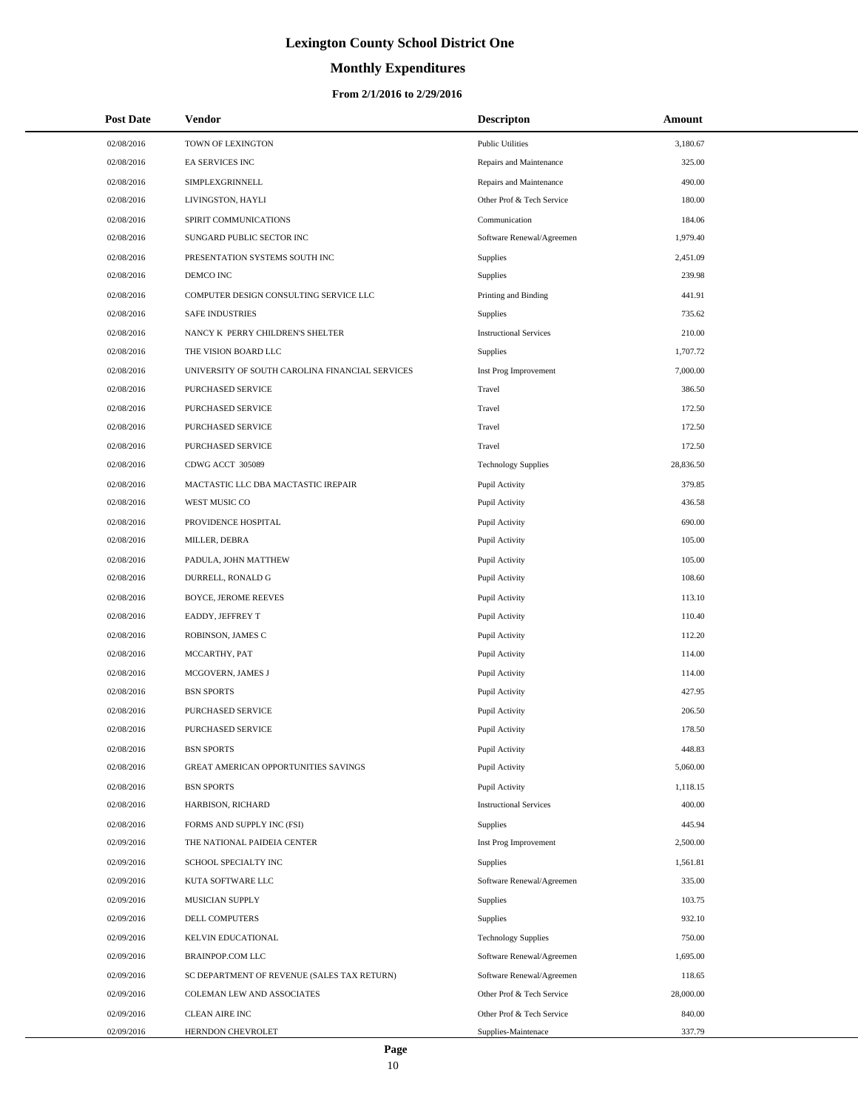# **Monthly Expenditures**

#### **From 2/1/2016 to 2/29/2016**

| <b>Post Date</b> | Vendor                                          | <b>Descripton</b>             | Amount    |
|------------------|-------------------------------------------------|-------------------------------|-----------|
| 02/08/2016       | TOWN OF LEXINGTON                               | <b>Public Utilities</b>       | 3,180.67  |
| 02/08/2016       | EA SERVICES INC                                 | Repairs and Maintenance       | 325.00    |
| 02/08/2016       | SIMPLEXGRINNELL                                 | Repairs and Maintenance       | 490.00    |
| 02/08/2016       | LIVINGSTON, HAYLI                               | Other Prof & Tech Service     | 180.00    |
| 02/08/2016       | SPIRIT COMMUNICATIONS                           | Communication                 | 184.06    |
| 02/08/2016       | SUNGARD PUBLIC SECTOR INC                       | Software Renewal/Agreemen     | 1,979.40  |
| 02/08/2016       | PRESENTATION SYSTEMS SOUTH INC                  | <b>Supplies</b>               | 2,451.09  |
| 02/08/2016       | DEMCO INC                                       | Supplies                      | 239.98    |
| 02/08/2016       | COMPUTER DESIGN CONSULTING SERVICE LLC          | Printing and Binding          | 441.91    |
| 02/08/2016       | <b>SAFE INDUSTRIES</b>                          | Supplies                      | 735.62    |
| 02/08/2016       | NANCY K PERRY CHILDREN'S SHELTER                | <b>Instructional Services</b> | 210.00    |
| 02/08/2016       | THE VISION BOARD LLC                            | <b>Supplies</b>               | 1,707.72  |
| 02/08/2016       | UNIVERSITY OF SOUTH CAROLINA FINANCIAL SERVICES | Inst Prog Improvement         | 7,000.00  |
| 02/08/2016       | PURCHASED SERVICE                               | Travel                        | 386.50    |
| 02/08/2016       | PURCHASED SERVICE                               | Travel                        | 172.50    |
| 02/08/2016       | PURCHASED SERVICE                               | Travel                        | 172.50    |
| 02/08/2016       | PURCHASED SERVICE                               | Travel                        | 172.50    |
| 02/08/2016       | CDWG ACCT 305089                                | <b>Technology Supplies</b>    | 28,836.50 |
| 02/08/2016       | MACTASTIC LLC DBA MACTASTIC IREPAIR             | Pupil Activity                | 379.85    |
| 02/08/2016       | WEST MUSIC CO                                   | Pupil Activity                | 436.58    |
| 02/08/2016       | PROVIDENCE HOSPITAL                             | Pupil Activity                | 690.00    |
| 02/08/2016       | MILLER, DEBRA                                   | Pupil Activity                | 105.00    |
| 02/08/2016       | PADULA, JOHN MATTHEW                            | Pupil Activity                | 105.00    |
| 02/08/2016       | DURRELL, RONALD G                               | Pupil Activity                | 108.60    |
| 02/08/2016       | <b>BOYCE, JEROME REEVES</b>                     | Pupil Activity                | 113.10    |
| 02/08/2016       | EADDY, JEFFREY T                                | Pupil Activity                | 110.40    |
| 02/08/2016       | ROBINSON, JAMES C                               | Pupil Activity                | 112.20    |
| 02/08/2016       | MCCARTHY, PAT                                   | Pupil Activity                | 114.00    |
| 02/08/2016       | MCGOVERN, JAMES J                               | Pupil Activity                | 114.00    |
| 02/08/2016       | <b>BSN SPORTS</b>                               | Pupil Activity                | 427.95    |
| 02/08/2016       | PURCHASED SERVICE                               | Pupil Activity                | 206.50    |
| 02/08/2016       | PURCHASED SERVICE                               | Pupil Activity                | 178.50    |
| 02/08/2016       | <b>BSN SPORTS</b>                               | Pupil Activity                | 448.83    |
| 02/08/2016       | GREAT AMERICAN OPPORTUNITIES SAVINGS            | Pupil Activity                | 5,060.00  |
| 02/08/2016       | <b>BSN SPORTS</b>                               | Pupil Activity                | 1,118.15  |
| 02/08/2016       | HARBISON, RICHARD                               | <b>Instructional Services</b> | 400.00    |
| 02/08/2016       | FORMS AND SUPPLY INC (FSI)                      | Supplies                      | 445.94    |
| 02/09/2016       | THE NATIONAL PAIDEIA CENTER                     | Inst Prog Improvement         | 2,500.00  |
| 02/09/2016       | SCHOOL SPECIALTY INC                            | Supplies                      | 1,561.81  |
| 02/09/2016       | KUTA SOFTWARE LLC                               | Software Renewal/Agreemen     | 335.00    |
| 02/09/2016       | MUSICIAN SUPPLY                                 | Supplies                      | 103.75    |
| 02/09/2016       | <b>DELL COMPUTERS</b>                           | Supplies                      | 932.10    |
| 02/09/2016       | KELVIN EDUCATIONAL                              | <b>Technology Supplies</b>    | 750.00    |
| 02/09/2016       | BRAINPOP.COM LLC                                | Software Renewal/Agreemen     | 1,695.00  |
| 02/09/2016       | SC DEPARTMENT OF REVENUE (SALES TAX RETURN)     | Software Renewal/Agreemen     | 118.65    |
| 02/09/2016       | COLEMAN LEW AND ASSOCIATES                      | Other Prof & Tech Service     | 28,000.00 |
| 02/09/2016       | <b>CLEAN AIRE INC</b>                           | Other Prof & Tech Service     | 840.00    |
| 02/09/2016       | HERNDON CHEVROLET                               | Supplies-Maintenace           | 337.79    |

 $\overline{\phantom{a}}$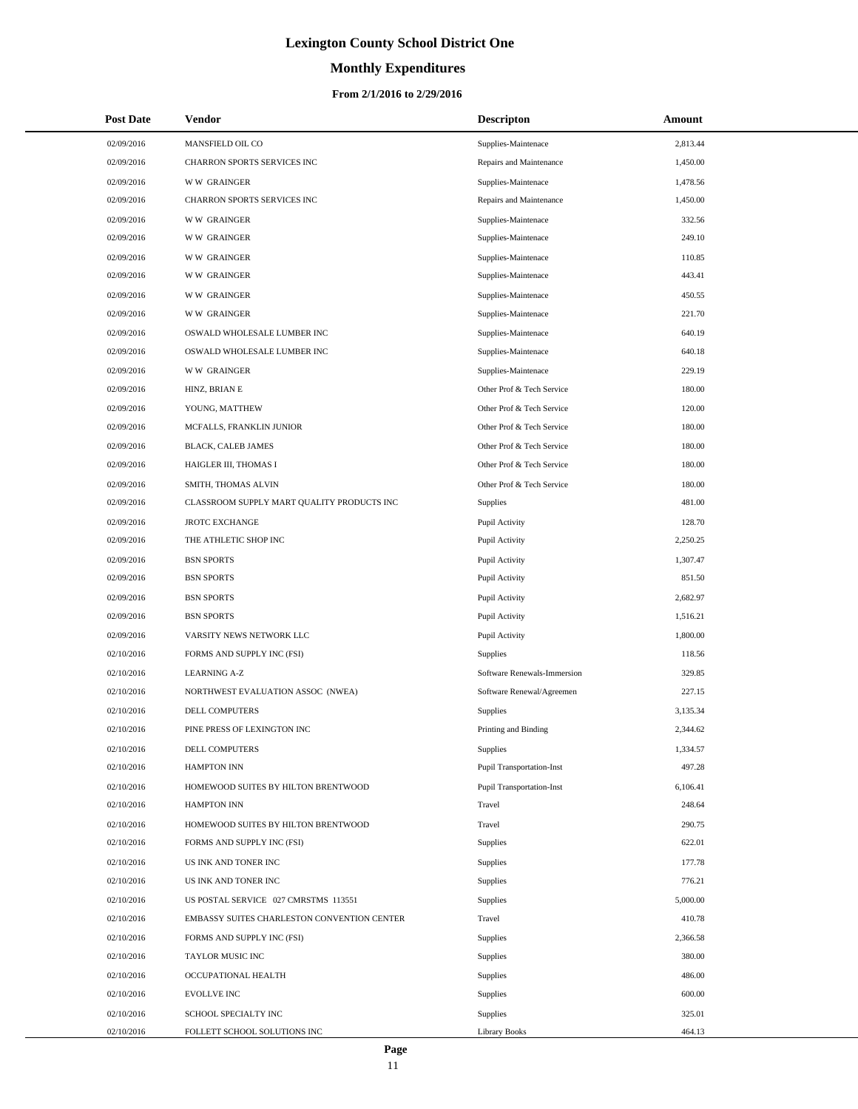# **Monthly Expenditures**

#### **From 2/1/2016 to 2/29/2016**

| <b>Post Date</b> | Vendor                                      | <b>Descripton</b>                | Amount   |
|------------------|---------------------------------------------|----------------------------------|----------|
| 02/09/2016       | MANSFIELD OIL CO                            | Supplies-Maintenace              | 2,813.44 |
| 02/09/2016       | CHARRON SPORTS SERVICES INC                 | Repairs and Maintenance          | 1,450.00 |
| 02/09/2016       | <b>WW GRAINGER</b>                          | Supplies-Maintenace              | 1.478.56 |
| 02/09/2016       | CHARRON SPORTS SERVICES INC                 | Repairs and Maintenance          | 1,450.00 |
| 02/09/2016       | <b>WW GRAINGER</b>                          | Supplies-Maintenace              | 332.56   |
| 02/09/2016       | <b>WW GRAINGER</b>                          | Supplies-Maintenace              | 249.10   |
| 02/09/2016       | <b>WW GRAINGER</b>                          | Supplies-Maintenace              | 110.85   |
| 02/09/2016       | <b>WW GRAINGER</b>                          | Supplies-Maintenace              | 443.41   |
| 02/09/2016       | <b>WW GRAINGER</b>                          | Supplies-Maintenace              | 450.55   |
| 02/09/2016       | <b>WW GRAINGER</b>                          | Supplies-Maintenace              | 221.70   |
| 02/09/2016       | OSWALD WHOLESALE LUMBER INC                 | Supplies-Maintenace              | 640.19   |
| 02/09/2016       | OSWALD WHOLESALE LUMBER INC                 | Supplies-Maintenace              | 640.18   |
| 02/09/2016       | <b>WW GRAINGER</b>                          | Supplies-Maintenace              | 229.19   |
| 02/09/2016       | HINZ, BRIAN E                               | Other Prof & Tech Service        | 180.00   |
| 02/09/2016       | YOUNG, MATTHEW                              | Other Prof & Tech Service        | 120.00   |
| 02/09/2016       | MCFALLS, FRANKLIN JUNIOR                    | Other Prof & Tech Service        | 180.00   |
| 02/09/2016       | <b>BLACK, CALEB JAMES</b>                   | Other Prof & Tech Service        | 180.00   |
| 02/09/2016       | HAIGLER III, THOMAS I                       | Other Prof & Tech Service        | 180.00   |
| 02/09/2016       | SMITH, THOMAS ALVIN                         | Other Prof & Tech Service        | 180.00   |
| 02/09/2016       | CLASSROOM SUPPLY MART QUALITY PRODUCTS INC  | <b>Supplies</b>                  | 481.00   |
| 02/09/2016       | <b>JROTC EXCHANGE</b>                       | Pupil Activity                   | 128.70   |
| 02/09/2016       | THE ATHLETIC SHOP INC                       | Pupil Activity                   | 2,250.25 |
| 02/09/2016       | <b>BSN SPORTS</b>                           | Pupil Activity                   | 1,307.47 |
| 02/09/2016       | <b>BSN SPORTS</b>                           | Pupil Activity                   | 851.50   |
| 02/09/2016       | <b>BSN SPORTS</b>                           | Pupil Activity                   | 2,682.97 |
| 02/09/2016       | <b>BSN SPORTS</b>                           | Pupil Activity                   | 1,516.21 |
| 02/09/2016       | VARSITY NEWS NETWORK LLC                    | Pupil Activity                   | 1,800.00 |
| 02/10/2016       | FORMS AND SUPPLY INC (FSI)                  | <b>Supplies</b>                  | 118.56   |
| 02/10/2016       | <b>LEARNING A-Z</b>                         | Software Renewals-Immersion      | 329.85   |
| 02/10/2016       | NORTHWEST EVALUATION ASSOC (NWEA)           | Software Renewal/Agreemen        | 227.15   |
| 02/10/2016       | DELL COMPUTERS                              | Supplies                         | 3,135.34 |
| 02/10/2016       | PINE PRESS OF LEXINGTON INC                 | Printing and Binding             | 2,344.62 |
| 02/10/2016       | <b>DELL COMPUTERS</b>                       | Supplies                         | 1,334.57 |
| 02/10/2016       | <b>HAMPTON INN</b>                          | Pupil Transportation-Inst        | 497.28   |
| 02/10/2016       | HOMEWOOD SUITES BY HILTON BRENTWOOD         | <b>Pupil Transportation-Inst</b> | 6,106.41 |
| 02/10/2016       | <b>HAMPTON INN</b>                          | Travel                           | 248.64   |
| 02/10/2016       | HOMEWOOD SUITES BY HILTON BRENTWOOD         | Travel                           | 290.75   |
| 02/10/2016       | FORMS AND SUPPLY INC (FSI)                  | Supplies                         | 622.01   |
| 02/10/2016       | US INK AND TONER INC                        | Supplies                         | 177.78   |
| 02/10/2016       | US INK AND TONER INC                        | Supplies                         | 776.21   |
| 02/10/2016       | US POSTAL SERVICE 027 CMRSTMS 113551        | Supplies                         | 5,000.00 |
| 02/10/2016       | EMBASSY SUITES CHARLESTON CONVENTION CENTER | Travel                           | 410.78   |
| 02/10/2016       | FORMS AND SUPPLY INC (FSI)                  | Supplies                         | 2,366.58 |
| 02/10/2016       | TAYLOR MUSIC INC                            | Supplies                         | 380.00   |
| 02/10/2016       | OCCUPATIONAL HEALTH                         | Supplies                         | 486.00   |
| 02/10/2016       | <b>EVOLLVE INC</b>                          | Supplies                         | 600.00   |
| 02/10/2016       | SCHOOL SPECIALTY INC                        | Supplies                         | 325.01   |
| 02/10/2016       | FOLLETT SCHOOL SOLUTIONS INC                | <b>Library Books</b>             | 464.13   |

L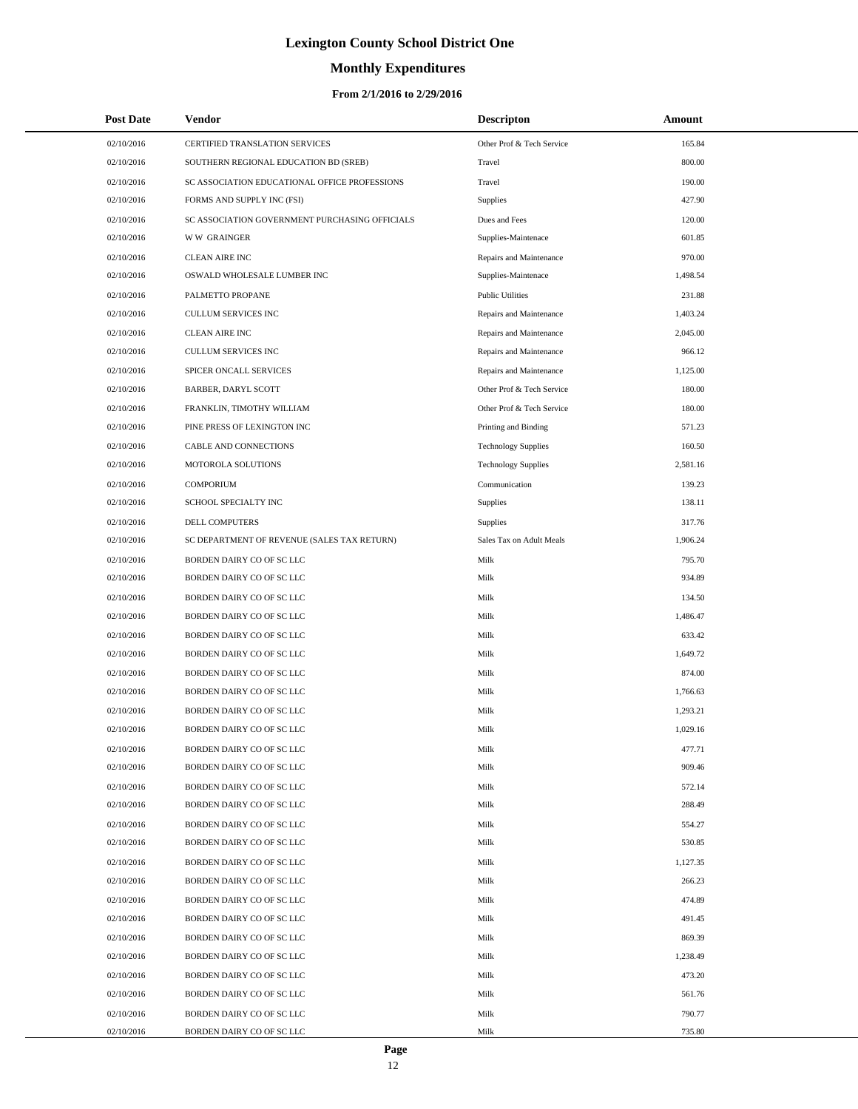# **Monthly Expenditures**

#### **From 2/1/2016 to 2/29/2016**

| <b>Post Date</b> | Vendor                                         | <b>Descripton</b>          | Amount   |  |
|------------------|------------------------------------------------|----------------------------|----------|--|
| 02/10/2016       | CERTIFIED TRANSLATION SERVICES                 | Other Prof & Tech Service  | 165.84   |  |
| 02/10/2016       | SOUTHERN REGIONAL EDUCATION BD (SREB)          | Travel                     | 800.00   |  |
| 02/10/2016       | SC ASSOCIATION EDUCATIONAL OFFICE PROFESSIONS  | Travel                     | 190.00   |  |
| 02/10/2016       | FORMS AND SUPPLY INC (FSI)                     | Supplies                   | 427.90   |  |
| 02/10/2016       | SC ASSOCIATION GOVERNMENT PURCHASING OFFICIALS | Dues and Fees              | 120.00   |  |
| 02/10/2016       | <b>WW GRAINGER</b>                             | Supplies-Maintenace        | 601.85   |  |
| 02/10/2016       | CLEAN AIRE INC                                 | Repairs and Maintenance    | 970.00   |  |
| 02/10/2016       | OSWALD WHOLESALE LUMBER INC                    | Supplies-Maintenace        | 1,498.54 |  |
| 02/10/2016       | PALMETTO PROPANE                               | <b>Public Utilities</b>    | 231.88   |  |
| 02/10/2016       | CULLUM SERVICES INC                            | Repairs and Maintenance    | 1,403.24 |  |
| 02/10/2016       | <b>CLEAN AIRE INC</b>                          | Repairs and Maintenance    | 2,045.00 |  |
| 02/10/2016       | CULLUM SERVICES INC                            | Repairs and Maintenance    | 966.12   |  |
| 02/10/2016       | SPICER ONCALL SERVICES                         | Repairs and Maintenance    | 1,125.00 |  |
| 02/10/2016       | BARBER, DARYL SCOTT                            | Other Prof & Tech Service  | 180.00   |  |
| 02/10/2016       | FRANKLIN, TIMOTHY WILLIAM                      | Other Prof & Tech Service  | 180.00   |  |
| 02/10/2016       | PINE PRESS OF LEXINGTON INC                    | Printing and Binding       | 571.23   |  |
| 02/10/2016       | CABLE AND CONNECTIONS                          | <b>Technology Supplies</b> | 160.50   |  |
| 02/10/2016       | MOTOROLA SOLUTIONS                             | <b>Technology Supplies</b> | 2,581.16 |  |
| 02/10/2016       | <b>COMPORIUM</b>                               | Communication              | 139.23   |  |
| 02/10/2016       | SCHOOL SPECIALTY INC                           | Supplies                   | 138.11   |  |
| 02/10/2016       | DELL COMPUTERS                                 | <b>Supplies</b>            | 317.76   |  |
| 02/10/2016       | SC DEPARTMENT OF REVENUE (SALES TAX RETURN)    | Sales Tax on Adult Meals   | 1,906.24 |  |
| 02/10/2016       | BORDEN DAIRY CO OF SC LLC                      | Milk                       | 795.70   |  |
| 02/10/2016       | BORDEN DAIRY CO OF SC LLC                      | Milk                       | 934.89   |  |
| 02/10/2016       | BORDEN DAIRY CO OF SC LLC                      | Milk                       | 134.50   |  |
| 02/10/2016       | BORDEN DAIRY CO OF SC LLC                      | Milk                       | 1,486.47 |  |
| 02/10/2016       | BORDEN DAIRY CO OF SC LLC                      | Milk                       | 633.42   |  |
| 02/10/2016       | BORDEN DAIRY CO OF SC LLC                      | Milk                       | 1,649.72 |  |
| 02/10/2016       | BORDEN DAIRY CO OF SC LLC                      | Milk                       | 874.00   |  |
| 02/10/2016       | BORDEN DAIRY CO OF SC LLC                      | Milk                       | 1,766.63 |  |
| 02/10/2016       | BORDEN DAIRY CO OF SC LLC                      | Milk                       | 1,293.21 |  |
| 02/10/2016       | BORDEN DAIRY CO OF SC LLC                      | Milk                       | 1,029.16 |  |
| 02/10/2016       | BORDEN DAIRY CO OF SC LLC                      | Milk                       | 477.71   |  |
| 02/10/2016       | BORDEN DAIRY CO OF SC LLC                      | Milk                       | 909.46   |  |
| 02/10/2016       | BORDEN DAIRY CO OF SC LLC                      | Milk                       | 572.14   |  |
| 02/10/2016       | BORDEN DAIRY CO OF SC LLC                      | Milk                       | 288.49   |  |
| 02/10/2016       | BORDEN DAIRY CO OF SC LLC                      | Milk                       | 554.27   |  |
| 02/10/2016       | BORDEN DAIRY CO OF SC LLC                      | Milk                       | 530.85   |  |
| 02/10/2016       | BORDEN DAIRY CO OF SC LLC                      | Milk                       | 1,127.35 |  |
| 02/10/2016       | BORDEN DAIRY CO OF SC LLC                      | Milk                       | 266.23   |  |
| 02/10/2016       | BORDEN DAIRY CO OF SC LLC                      | Milk                       | 474.89   |  |
| 02/10/2016       | BORDEN DAIRY CO OF SC LLC                      | Milk                       | 491.45   |  |
| 02/10/2016       | BORDEN DAIRY CO OF SC LLC                      | Milk                       | 869.39   |  |
| 02/10/2016       | BORDEN DAIRY CO OF SC LLC                      | Milk                       | 1,238.49 |  |
| 02/10/2016       | BORDEN DAIRY CO OF SC LLC                      | Milk                       | 473.20   |  |
| 02/10/2016       | BORDEN DAIRY CO OF SC LLC                      | Milk                       | 561.76   |  |
| 02/10/2016       | BORDEN DAIRY CO OF SC LLC                      | Milk                       | 790.77   |  |
| 02/10/2016       | BORDEN DAIRY CO OF SC LLC                      | Milk                       | 735.80   |  |

 $\overline{a}$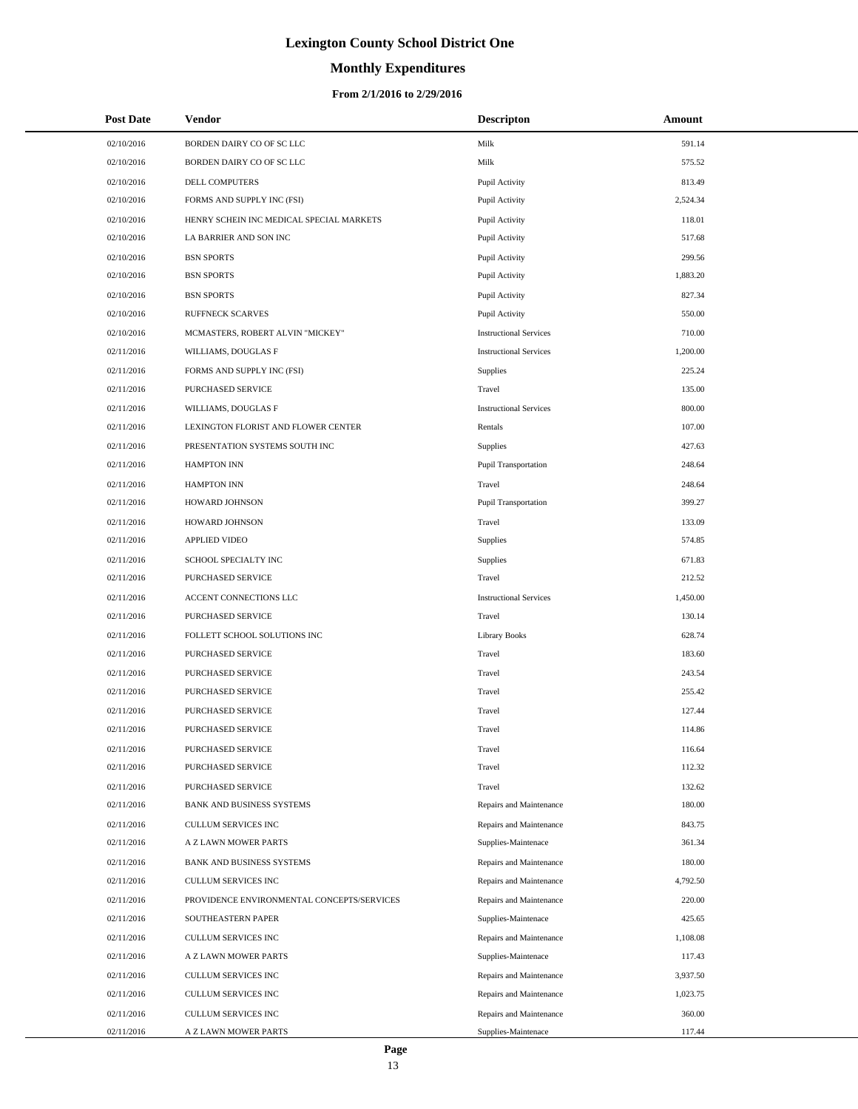# **Monthly Expenditures**

| <b>Post Date</b> | Vendor                                     | <b>Descripton</b>             | Amount   |
|------------------|--------------------------------------------|-------------------------------|----------|
| 02/10/2016       | BORDEN DAIRY CO OF SC LLC                  | Milk                          | 591.14   |
| 02/10/2016       | BORDEN DAIRY CO OF SC LLC                  | Milk                          | 575.52   |
| 02/10/2016       | DELL COMPUTERS                             | Pupil Activity                | 813.49   |
| 02/10/2016       | FORMS AND SUPPLY INC (FSI)                 | Pupil Activity                | 2,524.34 |
| 02/10/2016       | HENRY SCHEIN INC MEDICAL SPECIAL MARKETS   | Pupil Activity                | 118.01   |
| 02/10/2016       | LA BARRIER AND SON INC                     | Pupil Activity                | 517.68   |
| 02/10/2016       | <b>BSN SPORTS</b>                          | Pupil Activity                | 299.56   |
| 02/10/2016       | <b>BSN SPORTS</b>                          | Pupil Activity                | 1,883.20 |
| 02/10/2016       | <b>BSN SPORTS</b>                          | Pupil Activity                | 827.34   |
| 02/10/2016       | <b>RUFFNECK SCARVES</b>                    | Pupil Activity                | 550.00   |
| 02/10/2016       | MCMASTERS, ROBERT ALVIN "MICKEY"           | <b>Instructional Services</b> | 710.00   |
| 02/11/2016       | WILLIAMS, DOUGLAS F                        | <b>Instructional Services</b> | 1,200.00 |
| 02/11/2016       | FORMS AND SUPPLY INC (FSI)                 | Supplies                      | 225.24   |
| 02/11/2016       | PURCHASED SERVICE                          | Travel                        | 135.00   |
| 02/11/2016       | WILLIAMS, DOUGLAS F                        | <b>Instructional Services</b> | 800.00   |
| 02/11/2016       | LEXINGTON FLORIST AND FLOWER CENTER        | Rentals                       | 107.00   |
| 02/11/2016       | PRESENTATION SYSTEMS SOUTH INC             | <b>Supplies</b>               | 427.63   |
| 02/11/2016       | <b>HAMPTON INN</b>                         | Pupil Transportation          | 248.64   |
| 02/11/2016       | <b>HAMPTON INN</b>                         | Travel                        | 248.64   |
| 02/11/2016       | HOWARD JOHNSON                             | Pupil Transportation          | 399.27   |
| 02/11/2016       | HOWARD JOHNSON                             | Travel                        | 133.09   |
| 02/11/2016       | <b>APPLIED VIDEO</b>                       | Supplies                      | 574.85   |
| 02/11/2016       | SCHOOL SPECIALTY INC                       | Supplies                      | 671.83   |
| 02/11/2016       | PURCHASED SERVICE                          | Travel                        | 212.52   |
| 02/11/2016       | ACCENT CONNECTIONS LLC                     | <b>Instructional Services</b> | 1,450.00 |
| 02/11/2016       | PURCHASED SERVICE                          | Travel                        | 130.14   |
| 02/11/2016       | FOLLETT SCHOOL SOLUTIONS INC               | <b>Library Books</b>          | 628.74   |
| 02/11/2016       | <b>PURCHASED SERVICE</b>                   | Travel                        | 183.60   |
| 02/11/2016       | PURCHASED SERVICE                          | Travel                        | 243.54   |
| 02/11/2016       | PURCHASED SERVICE                          | Travel                        | 255.42   |
| 02/11/2016       | PURCHASED SERVICE                          | Travel                        | 127.44   |
| 02/11/2016       | <b>PURCHASED SERVICE</b>                   | Travel                        | 114.86   |
| 02/11/2016       | PURCHASED SERVICE                          | Travel                        | 116.64   |
| 02/11/2016       | PURCHASED SERVICE                          | Travel                        | 112.32   |
| 02/11/2016       | PURCHASED SERVICE                          | Travel                        | 132.62   |
| 02/11/2016       | <b>BANK AND BUSINESS SYSTEMS</b>           | Repairs and Maintenance       | 180.00   |
| 02/11/2016       | CULLUM SERVICES INC                        | Repairs and Maintenance       | 843.75   |
| 02/11/2016       | A Z LAWN MOWER PARTS                       | Supplies-Maintenace           | 361.34   |
| 02/11/2016       | <b>BANK AND BUSINESS SYSTEMS</b>           | Repairs and Maintenance       | 180.00   |
| 02/11/2016       | CULLUM SERVICES INC                        | Repairs and Maintenance       | 4,792.50 |
| 02/11/2016       | PROVIDENCE ENVIRONMENTAL CONCEPTS/SERVICES | Repairs and Maintenance       | 220.00   |
| 02/11/2016       | SOUTHEASTERN PAPER                         | Supplies-Maintenace           | 425.65   |
| 02/11/2016       | CULLUM SERVICES INC                        | Repairs and Maintenance       | 1,108.08 |
| 02/11/2016       | A Z LAWN MOWER PARTS                       | Supplies-Maintenace           | 117.43   |
| 02/11/2016       | CULLUM SERVICES INC                        | Repairs and Maintenance       | 3,937.50 |
| 02/11/2016       | CULLUM SERVICES INC                        | Repairs and Maintenance       | 1,023.75 |
| 02/11/2016       | CULLUM SERVICES INC                        | Repairs and Maintenance       | 360.00   |
| 02/11/2016       | A Z LAWN MOWER PARTS                       | Supplies-Maintenace           | 117.44   |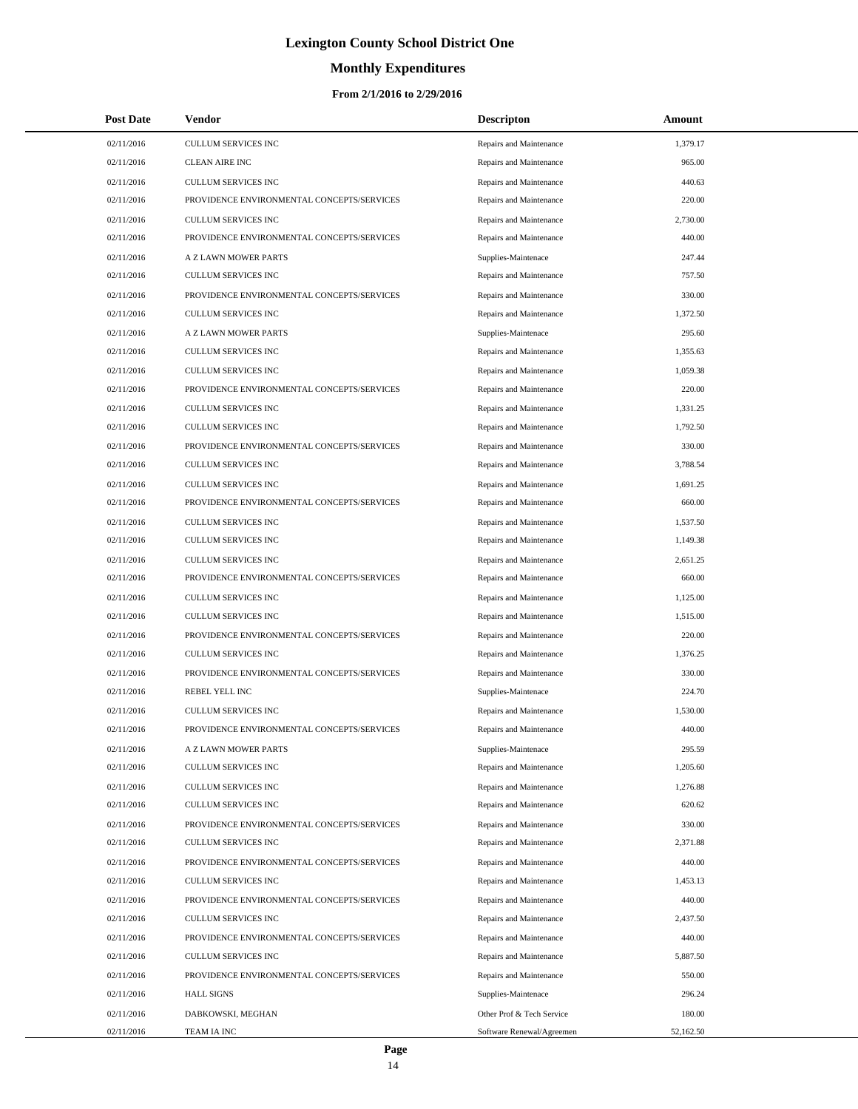# **Monthly Expenditures**

| <b>Post Date</b> | Vendor                                     | <b>Descripton</b>         | Amount    |
|------------------|--------------------------------------------|---------------------------|-----------|
| 02/11/2016       | <b>CULLUM SERVICES INC</b>                 | Repairs and Maintenance   | 1,379.17  |
| 02/11/2016       | <b>CLEAN AIRE INC</b>                      | Repairs and Maintenance   | 965.00    |
| 02/11/2016       | <b>CULLUM SERVICES INC</b>                 | Repairs and Maintenance   | 440.63    |
| 02/11/2016       | PROVIDENCE ENVIRONMENTAL CONCEPTS/SERVICES | Repairs and Maintenance   | 220.00    |
| 02/11/2016       | CULLUM SERVICES INC                        | Repairs and Maintenance   | 2,730.00  |
| 02/11/2016       | PROVIDENCE ENVIRONMENTAL CONCEPTS/SERVICES | Repairs and Maintenance   | 440.00    |
| 02/11/2016       | A Z LAWN MOWER PARTS                       | Supplies-Maintenace       | 247.44    |
| 02/11/2016       | <b>CULLUM SERVICES INC</b>                 | Repairs and Maintenance   | 757.50    |
| 02/11/2016       | PROVIDENCE ENVIRONMENTAL CONCEPTS/SERVICES | Repairs and Maintenance   | 330.00    |
| 02/11/2016       | CULLUM SERVICES INC                        | Repairs and Maintenance   | 1,372.50  |
| 02/11/2016       | A Z LAWN MOWER PARTS                       | Supplies-Maintenace       | 295.60    |
| 02/11/2016       | <b>CULLUM SERVICES INC</b>                 | Repairs and Maintenance   | 1,355.63  |
| 02/11/2016       | CULLUM SERVICES INC                        | Repairs and Maintenance   | 1,059.38  |
| 02/11/2016       | PROVIDENCE ENVIRONMENTAL CONCEPTS/SERVICES | Repairs and Maintenance   | 220.00    |
| 02/11/2016       | <b>CULLUM SERVICES INC</b>                 | Repairs and Maintenance   | 1,331.25  |
| 02/11/2016       | CULLUM SERVICES INC                        | Repairs and Maintenance   | 1,792.50  |
| 02/11/2016       | PROVIDENCE ENVIRONMENTAL CONCEPTS/SERVICES | Repairs and Maintenance   | 330.00    |
| 02/11/2016       | CULLUM SERVICES INC                        | Repairs and Maintenance   | 3,788.54  |
| 02/11/2016       | <b>CULLUM SERVICES INC</b>                 | Repairs and Maintenance   | 1,691.25  |
| 02/11/2016       | PROVIDENCE ENVIRONMENTAL CONCEPTS/SERVICES | Repairs and Maintenance   | 660.00    |
| 02/11/2016       | CULLUM SERVICES INC                        | Repairs and Maintenance   | 1,537.50  |
| 02/11/2016       | CULLUM SERVICES INC                        | Repairs and Maintenance   | 1,149.38  |
| 02/11/2016       | CULLUM SERVICES INC                        | Repairs and Maintenance   | 2,651.25  |
| 02/11/2016       | PROVIDENCE ENVIRONMENTAL CONCEPTS/SERVICES | Repairs and Maintenance   | 660.00    |
| 02/11/2016       | CULLUM SERVICES INC                        | Repairs and Maintenance   | 1,125.00  |
| 02/11/2016       | CULLUM SERVICES INC                        | Repairs and Maintenance   | 1,515.00  |
| 02/11/2016       | PROVIDENCE ENVIRONMENTAL CONCEPTS/SERVICES | Repairs and Maintenance   | 220.00    |
| 02/11/2016       | CULLUM SERVICES INC                        | Repairs and Maintenance   | 1,376.25  |
| 02/11/2016       | PROVIDENCE ENVIRONMENTAL CONCEPTS/SERVICES | Repairs and Maintenance   | 330.00    |
| 02/11/2016       | REBEL YELL INC                             | Supplies-Maintenace       | 224.70    |
| 02/11/2016       | CULLUM SERVICES INC                        | Repairs and Maintenance   | 1,530.00  |
| 02/11/2016       | PROVIDENCE ENVIRONMENTAL CONCEPTS/SERVICES | Repairs and Maintenance   | 440.00    |
| 02/11/2016       | A Z LAWN MOWER PARTS                       | Supplies-Maintenace       | 295.59    |
| 02/11/2016       | CULLUM SERVICES INC                        | Repairs and Maintenance   | 1,205.60  |
| 02/11/2016       | CULLUM SERVICES INC                        | Repairs and Maintenance   | 1,276.88  |
| 02/11/2016       | CULLUM SERVICES INC                        | Repairs and Maintenance   | 620.62    |
| 02/11/2016       | PROVIDENCE ENVIRONMENTAL CONCEPTS/SERVICES | Repairs and Maintenance   | 330.00    |
| 02/11/2016       | CULLUM SERVICES INC                        | Repairs and Maintenance   | 2,371.88  |
| 02/11/2016       | PROVIDENCE ENVIRONMENTAL CONCEPTS/SERVICES | Repairs and Maintenance   | 440.00    |
| 02/11/2016       | CULLUM SERVICES INC                        | Repairs and Maintenance   | 1,453.13  |
| 02/11/2016       | PROVIDENCE ENVIRONMENTAL CONCEPTS/SERVICES | Repairs and Maintenance   | 440.00    |
| 02/11/2016       | CULLUM SERVICES INC                        | Repairs and Maintenance   | 2,437.50  |
| 02/11/2016       | PROVIDENCE ENVIRONMENTAL CONCEPTS/SERVICES | Repairs and Maintenance   | 440.00    |
| 02/11/2016       | CULLUM SERVICES INC                        | Repairs and Maintenance   | 5,887.50  |
| 02/11/2016       | PROVIDENCE ENVIRONMENTAL CONCEPTS/SERVICES | Repairs and Maintenance   | 550.00    |
| 02/11/2016       | <b>HALL SIGNS</b>                          | Supplies-Maintenace       | 296.24    |
| 02/11/2016       | DABKOWSKI, MEGHAN                          | Other Prof & Tech Service | 180.00    |
| 02/11/2016       | TEAM IA INC                                | Software Renewal/Agreemen | 52,162.50 |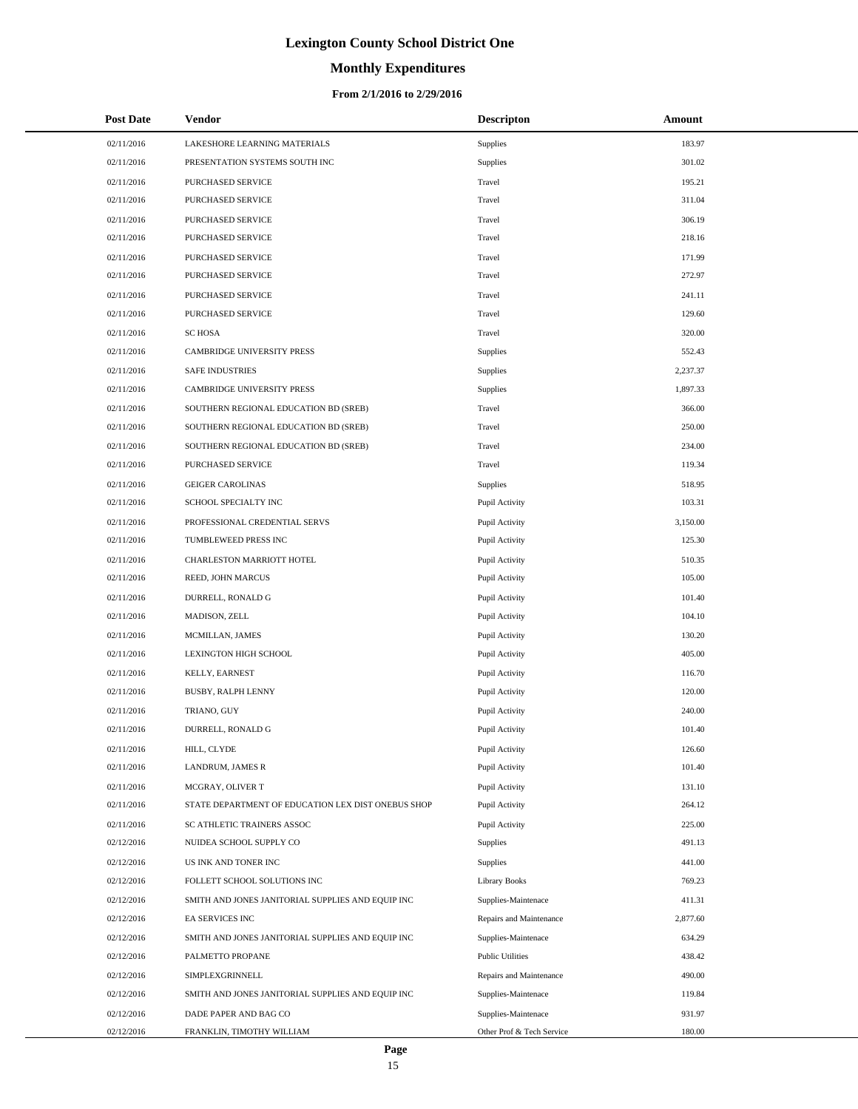# **Monthly Expenditures**

| <b>Post Date</b> | Vendor                                             | <b>Descripton</b>         | Amount   |
|------------------|----------------------------------------------------|---------------------------|----------|
| 02/11/2016       | LAKESHORE LEARNING MATERIALS                       | <b>Supplies</b>           | 183.97   |
| 02/11/2016       | PRESENTATION SYSTEMS SOUTH INC                     | Supplies                  | 301.02   |
| 02/11/2016       | PURCHASED SERVICE                                  | Travel                    | 195.21   |
| 02/11/2016       | PURCHASED SERVICE                                  | Travel                    | 311.04   |
| 02/11/2016       | PURCHASED SERVICE                                  | Travel                    | 306.19   |
| 02/11/2016       | PURCHASED SERVICE                                  | Travel                    | 218.16   |
| 02/11/2016       | PURCHASED SERVICE                                  | Travel                    | 171.99   |
| 02/11/2016       | PURCHASED SERVICE                                  | Travel                    | 272.97   |
| 02/11/2016       | PURCHASED SERVICE                                  | Travel                    | 241.11   |
| 02/11/2016       | <b>PURCHASED SERVICE</b>                           | Travel                    | 129.60   |
| 02/11/2016       | <b>SC HOSA</b>                                     | Travel                    | 320.00   |
| 02/11/2016       | CAMBRIDGE UNIVERSITY PRESS                         | Supplies                  | 552.43   |
| 02/11/2016       | <b>SAFE INDUSTRIES</b>                             | Supplies                  | 2,237.37 |
| 02/11/2016       | CAMBRIDGE UNIVERSITY PRESS                         | Supplies                  | 1,897.33 |
| 02/11/2016       | SOUTHERN REGIONAL EDUCATION BD (SREB)              | Travel                    | 366.00   |
| 02/11/2016       | SOUTHERN REGIONAL EDUCATION BD (SREB)              | Travel                    | 250.00   |
| 02/11/2016       | SOUTHERN REGIONAL EDUCATION BD (SREB)              | Travel                    | 234.00   |
| 02/11/2016       | PURCHASED SERVICE                                  | Travel                    | 119.34   |
| 02/11/2016       | <b>GEIGER CAROLINAS</b>                            | Supplies                  | 518.95   |
| 02/11/2016       | SCHOOL SPECIALTY INC                               | Pupil Activity            | 103.31   |
| 02/11/2016       | PROFESSIONAL CREDENTIAL SERVS                      | Pupil Activity            | 3,150.00 |
| 02/11/2016       | TUMBLEWEED PRESS INC                               | Pupil Activity            | 125.30   |
| 02/11/2016       | CHARLESTON MARRIOTT HOTEL                          | Pupil Activity            | 510.35   |
| 02/11/2016       | REED, JOHN MARCUS                                  | Pupil Activity            | 105.00   |
| 02/11/2016       | DURRELL, RONALD G                                  | Pupil Activity            | 101.40   |
| 02/11/2016       | MADISON, ZELL                                      | Pupil Activity            | 104.10   |
| 02/11/2016       | MCMILLAN, JAMES                                    | Pupil Activity            | 130.20   |
| 02/11/2016       | LEXINGTON HIGH SCHOOL                              | Pupil Activity            | 405.00   |
| 02/11/2016       | KELLY, EARNEST                                     | Pupil Activity            | 116.70   |
| 02/11/2016       | BUSBY, RALPH LENNY                                 | Pupil Activity            | 120.00   |
| 02/11/2016       | TRIANO, GUY                                        | Pupil Activity            | 240.00   |
| 02/11/2016       | DURRELL, RONALD G                                  | Pupil Activity            | 101.40   |
| 02/11/2016       | HILL, CLYDE                                        | Pupil Activity            | 126.60   |
| 02/11/2016       | LANDRUM, JAMES R                                   | Pupil Activity            | 101.40   |
| 02/11/2016       | MCGRAY, OLIVER T                                   | Pupil Activity            | 131.10   |
| 02/11/2016       | STATE DEPARTMENT OF EDUCATION LEX DIST ONEBUS SHOP | Pupil Activity            | 264.12   |
| 02/11/2016       | SC ATHLETIC TRAINERS ASSOC                         | Pupil Activity            | 225.00   |
| 02/12/2016       | NUIDEA SCHOOL SUPPLY CO                            | Supplies                  | 491.13   |
| 02/12/2016       | US INK AND TONER INC                               | <b>Supplies</b>           | 441.00   |
| 02/12/2016       | FOLLETT SCHOOL SOLUTIONS INC                       | <b>Library Books</b>      | 769.23   |
| 02/12/2016       | SMITH AND JONES JANITORIAL SUPPLIES AND EQUIP INC  | Supplies-Maintenace       | 411.31   |
| 02/12/2016       | EA SERVICES INC                                    | Repairs and Maintenance   | 2,877.60 |
| 02/12/2016       | SMITH AND JONES JANITORIAL SUPPLIES AND EQUIP INC  | Supplies-Maintenace       | 634.29   |
| 02/12/2016       | PALMETTO PROPANE                                   | <b>Public Utilities</b>   | 438.42   |
| 02/12/2016       | SIMPLEXGRINNELL                                    | Repairs and Maintenance   | 490.00   |
| 02/12/2016       | SMITH AND JONES JANITORIAL SUPPLIES AND EQUIP INC  | Supplies-Maintenace       | 119.84   |
| 02/12/2016       | DADE PAPER AND BAG CO                              | Supplies-Maintenace       | 931.97   |
| 02/12/2016       | FRANKLIN, TIMOTHY WILLIAM                          | Other Prof & Tech Service | 180.00   |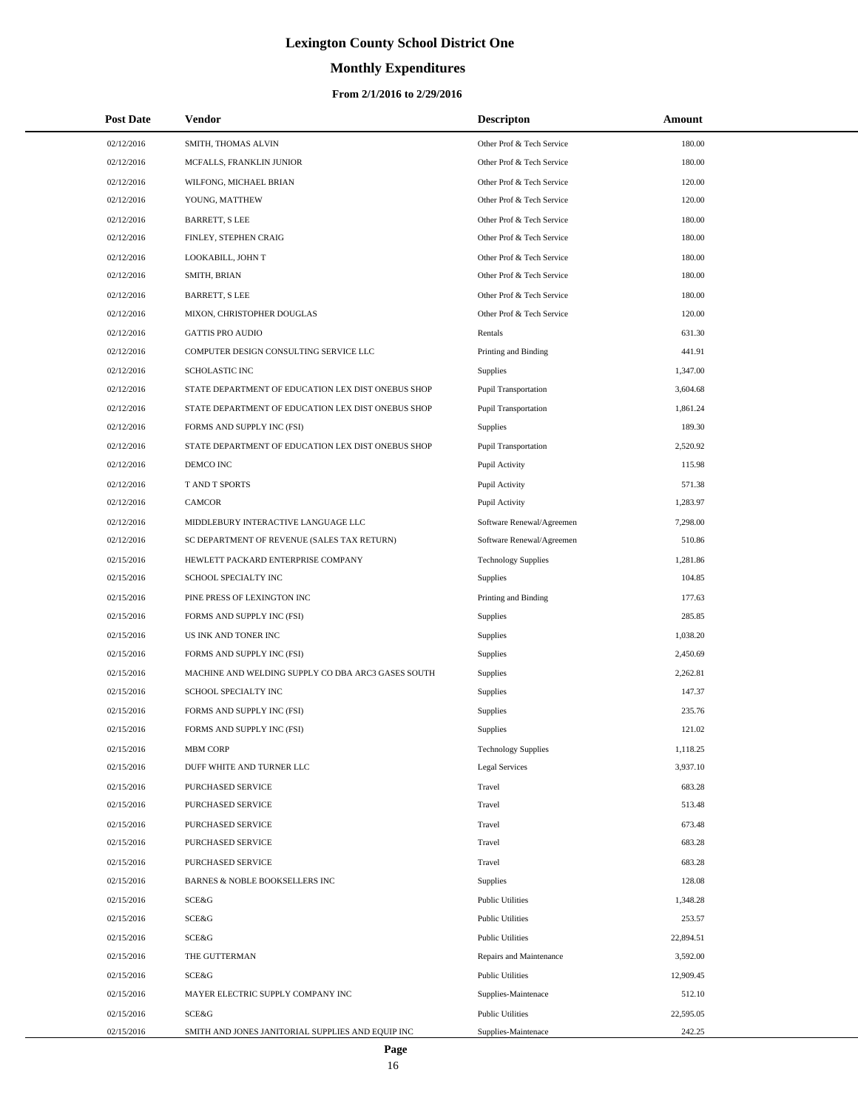# **Monthly Expenditures**

| <b>Post Date</b> | Vendor                                             | <b>Descripton</b>           | Amount    |
|------------------|----------------------------------------------------|-----------------------------|-----------|
| 02/12/2016       | SMITH, THOMAS ALVIN                                | Other Prof & Tech Service   | 180.00    |
| 02/12/2016       | MCFALLS, FRANKLIN JUNIOR                           | Other Prof & Tech Service   | 180.00    |
| 02/12/2016       | WILFONG, MICHAEL BRIAN                             | Other Prof & Tech Service   | 120.00    |
| 02/12/2016       | YOUNG, MATTHEW                                     | Other Prof & Tech Service   | 120.00    |
| 02/12/2016       | <b>BARRETT, S LEE</b>                              | Other Prof & Tech Service   | 180.00    |
| 02/12/2016       | FINLEY, STEPHEN CRAIG                              | Other Prof & Tech Service   | 180.00    |
| 02/12/2016       | LOOKABILL, JOHN T                                  | Other Prof & Tech Service   | 180.00    |
| 02/12/2016       | SMITH, BRIAN                                       | Other Prof & Tech Service   | 180.00    |
| 02/12/2016       | <b>BARRETT, S LEE</b>                              | Other Prof & Tech Service   | 180.00    |
| 02/12/2016       | MIXON, CHRISTOPHER DOUGLAS                         | Other Prof & Tech Service   | 120.00    |
| 02/12/2016       | <b>GATTIS PRO AUDIO</b>                            | Rentals                     | 631.30    |
| 02/12/2016       | COMPUTER DESIGN CONSULTING SERVICE LLC             | Printing and Binding        | 441.91    |
| 02/12/2016       | SCHOLASTIC INC                                     | Supplies                    | 1,347.00  |
| 02/12/2016       | STATE DEPARTMENT OF EDUCATION LEX DIST ONEBUS SHOP | <b>Pupil Transportation</b> | 3,604.68  |
| 02/12/2016       | STATE DEPARTMENT OF EDUCATION LEX DIST ONEBUS SHOP | <b>Pupil Transportation</b> | 1,861.24  |
| 02/12/2016       | FORMS AND SUPPLY INC (FSI)                         | Supplies                    | 189.30    |
| 02/12/2016       | STATE DEPARTMENT OF EDUCATION LEX DIST ONEBUS SHOP | <b>Pupil Transportation</b> | 2,520.92  |
| 02/12/2016       | DEMCO INC                                          | Pupil Activity              | 115.98    |
| 02/12/2016       | T AND T SPORTS                                     | Pupil Activity              | 571.38    |
| 02/12/2016       | <b>CAMCOR</b>                                      | Pupil Activity              | 1,283.97  |
| 02/12/2016       | MIDDLEBURY INTERACTIVE LANGUAGE LLC                | Software Renewal/Agreemen   | 7,298.00  |
| 02/12/2016       | SC DEPARTMENT OF REVENUE (SALES TAX RETURN)        | Software Renewal/Agreemen   | 510.86    |
| 02/15/2016       | HEWLETT PACKARD ENTERPRISE COMPANY                 | <b>Technology Supplies</b>  | 1,281.86  |
| 02/15/2016       | SCHOOL SPECIALTY INC                               | Supplies                    | 104.85    |
| 02/15/2016       | PINE PRESS OF LEXINGTON INC                        | Printing and Binding        | 177.63    |
| 02/15/2016       | FORMS AND SUPPLY INC (FSI)                         | Supplies                    | 285.85    |
| 02/15/2016       | US INK AND TONER INC                               | Supplies                    | 1,038.20  |
| 02/15/2016       | FORMS AND SUPPLY INC (FSI)                         | Supplies                    | 2,450.69  |
| 02/15/2016       | MACHINE AND WELDING SUPPLY CO DBA ARC3 GASES SOUTH | Supplies                    | 2,262.81  |
| 02/15/2016       | SCHOOL SPECIALTY INC                               | Supplies                    | 147.37    |
| 02/15/2016       | FORMS AND SUPPLY INC (FSI)                         | Supplies                    | 235.76    |
| 02/15/2016       | FORMS AND SUPPLY INC (FSI)                         | Supplies                    | 121.02    |
| 02/15/2016       | <b>MBM CORP</b>                                    | <b>Technology Supplies</b>  | 1,118.25  |
| 02/15/2016       | DUFF WHITE AND TURNER LLC                          | Legal Services              | 3,937.10  |
| 02/15/2016       | PURCHASED SERVICE                                  | Travel                      | 683.28    |
| 02/15/2016       | PURCHASED SERVICE                                  | Travel                      | 513.48    |
| 02/15/2016       | PURCHASED SERVICE                                  | Travel                      | 673.48    |
| 02/15/2016       | PURCHASED SERVICE                                  | Travel                      | 683.28    |
| 02/15/2016       | PURCHASED SERVICE                                  | Travel                      | 683.28    |
| 02/15/2016       | BARNES & NOBLE BOOKSELLERS INC                     | Supplies                    | 128.08    |
| 02/15/2016       | SCE&G                                              | <b>Public Utilities</b>     | 1,348.28  |
| 02/15/2016       | SCE&G                                              | <b>Public Utilities</b>     | 253.57    |
| 02/15/2016       | SCE&G                                              | <b>Public Utilities</b>     | 22,894.51 |
| 02/15/2016       | THE GUTTERMAN                                      | Repairs and Maintenance     | 3,592.00  |
| 02/15/2016       | SCE&G                                              | <b>Public Utilities</b>     | 12,909.45 |
| 02/15/2016       | MAYER ELECTRIC SUPPLY COMPANY INC                  | Supplies-Maintenace         | 512.10    |
| 02/15/2016       | SCE&G                                              | <b>Public Utilities</b>     | 22,595.05 |
| 02/15/2016       | SMITH AND JONES JANITORIAL SUPPLIES AND EQUIP INC  | Supplies-Maintenace         | 242.25    |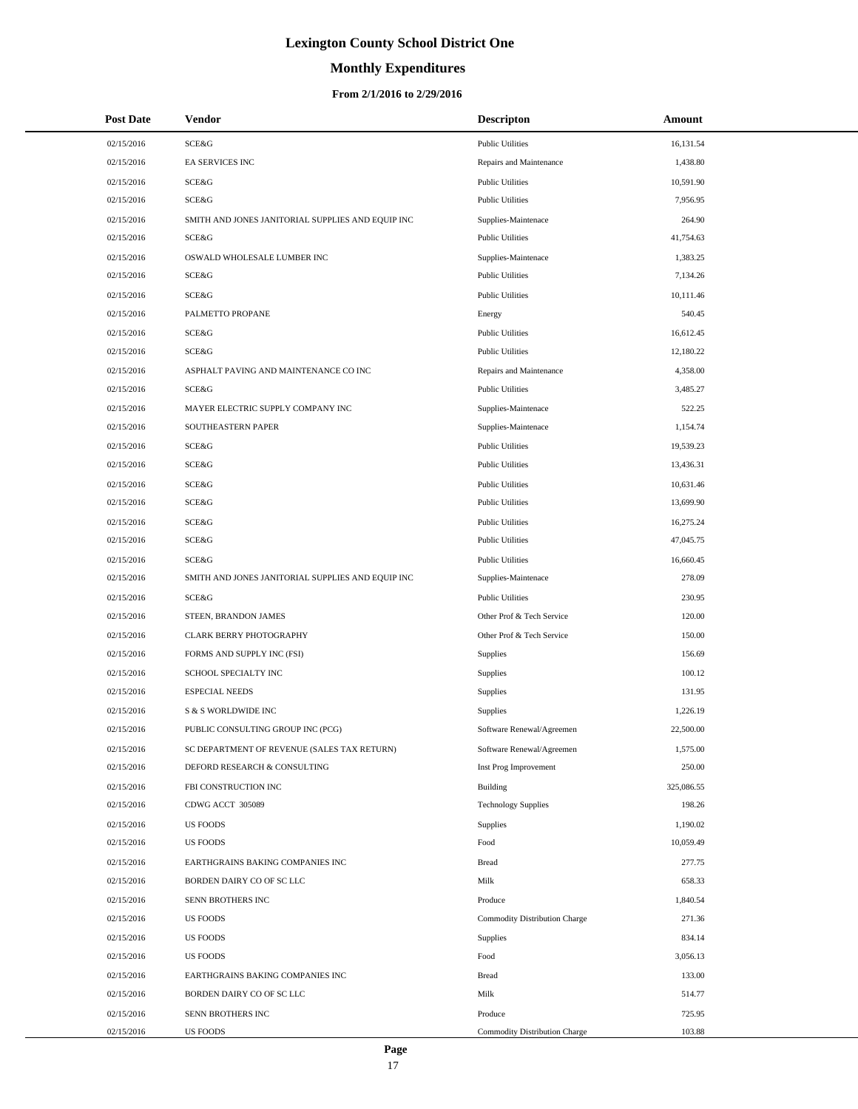# **Monthly Expenditures**

#### **From 2/1/2016 to 2/29/2016**

| <b>Post Date</b> | Vendor                                            | <b>Descripton</b>             | Amount     |
|------------------|---------------------------------------------------|-------------------------------|------------|
| 02/15/2016       | <b>SCE&amp;G</b>                                  | <b>Public Utilities</b>       | 16,131.54  |
| 02/15/2016       | EA SERVICES INC                                   | Repairs and Maintenance       | 1,438.80   |
| 02/15/2016       | <b>SCE&amp;G</b>                                  | <b>Public Utilities</b>       | 10,591.90  |
| 02/15/2016       | <b>SCE&amp;G</b>                                  | <b>Public Utilities</b>       | 7,956.95   |
| 02/15/2016       | SMITH AND JONES JANITORIAL SUPPLIES AND EQUIP INC | Supplies-Maintenace           | 264.90     |
| 02/15/2016       | <b>SCE&amp;G</b>                                  | <b>Public Utilities</b>       | 41,754.63  |
| 02/15/2016       | OSWALD WHOLESALE LUMBER INC                       | Supplies-Maintenace           | 1,383.25   |
| 02/15/2016       | SCE&G                                             | <b>Public Utilities</b>       | 7,134.26   |
| 02/15/2016       | SCE&G                                             | <b>Public Utilities</b>       | 10,111.46  |
| 02/15/2016       | PALMETTO PROPANE                                  | Energy                        | 540.45     |
| 02/15/2016       | <b>SCE&amp;G</b>                                  | <b>Public Utilities</b>       | 16,612.45  |
| 02/15/2016       | <b>SCE&amp;G</b>                                  | <b>Public Utilities</b>       | 12,180.22  |
| 02/15/2016       | ASPHALT PAVING AND MAINTENANCE CO INC             | Repairs and Maintenance       | 4,358.00   |
| 02/15/2016       | SCE&G                                             | <b>Public Utilities</b>       | 3,485.27   |
| 02/15/2016       | MAYER ELECTRIC SUPPLY COMPANY INC                 | Supplies-Maintenace           | 522.25     |
| 02/15/2016       | SOUTHEASTERN PAPER                                | Supplies-Maintenace           | 1,154.74   |
| 02/15/2016       | <b>SCE&amp;G</b>                                  | <b>Public Utilities</b>       | 19,539.23  |
| 02/15/2016       | <b>SCE&amp;G</b>                                  | <b>Public Utilities</b>       | 13,436.31  |
| 02/15/2016       | <b>SCE&amp;G</b>                                  | <b>Public Utilities</b>       | 10,631.46  |
| 02/15/2016       | SCE&G                                             | <b>Public Utilities</b>       | 13,699.90  |
| 02/15/2016       | <b>SCE&amp;G</b>                                  | <b>Public Utilities</b>       | 16,275.24  |
| 02/15/2016       | <b>SCE&amp;G</b>                                  | <b>Public Utilities</b>       | 47,045.75  |
| 02/15/2016       | <b>SCE&amp;G</b>                                  | <b>Public Utilities</b>       | 16,660.45  |
| 02/15/2016       | SMITH AND JONES JANITORIAL SUPPLIES AND EQUIP INC | Supplies-Maintenace           | 278.09     |
| 02/15/2016       | SCE&G                                             | <b>Public Utilities</b>       | 230.95     |
| 02/15/2016       | STEEN, BRANDON JAMES                              | Other Prof & Tech Service     | 120.00     |
| 02/15/2016       | CLARK BERRY PHOTOGRAPHY                           | Other Prof & Tech Service     | 150.00     |
| 02/15/2016       | FORMS AND SUPPLY INC (FSI)                        | <b>Supplies</b>               | 156.69     |
| 02/15/2016       | SCHOOL SPECIALTY INC                              | Supplies                      | 100.12     |
| 02/15/2016       | <b>ESPECIAL NEEDS</b>                             | <b>Supplies</b>               | 131.95     |
| 02/15/2016       | S & S WORLDWIDE INC                               | Supplies                      | 1,226.19   |
| 02/15/2016       | PUBLIC CONSULTING GROUP INC (PCG)                 | Software Renewal/Agreemen     | 22,500.00  |
| 02/15/2016       | SC DEPARTMENT OF REVENUE (SALES TAX RETURN)       | Software Renewal/Agreemen     | 1,575.00   |
| 02/15/2016       | DEFORD RESEARCH & CONSULTING                      | Inst Prog Improvement         | 250.00     |
| 02/15/2016       | FBI CONSTRUCTION INC                              | <b>Building</b>               | 325,086.55 |
| 02/15/2016       | CDWG ACCT 305089                                  | <b>Technology Supplies</b>    | 198.26     |
| 02/15/2016       | <b>US FOODS</b>                                   | Supplies                      | 1,190.02   |
| 02/15/2016       | <b>US FOODS</b>                                   | Food                          | 10,059.49  |
| 02/15/2016       | EARTHGRAINS BAKING COMPANIES INC                  | <b>Bread</b>                  | 277.75     |
| 02/15/2016       | BORDEN DAIRY CO OF SC LLC                         | Milk                          | 658.33     |
| 02/15/2016       | SENN BROTHERS INC                                 | Produce                       | 1,840.54   |
| 02/15/2016       | <b>US FOODS</b>                                   | Commodity Distribution Charge | 271.36     |
| 02/15/2016       | <b>US FOODS</b>                                   | Supplies                      | 834.14     |
| 02/15/2016       | <b>US FOODS</b>                                   | Food                          | 3,056.13   |
| 02/15/2016       | EARTHGRAINS BAKING COMPANIES INC                  | <b>Bread</b>                  | 133.00     |
| 02/15/2016       | BORDEN DAIRY CO OF SC LLC                         | Milk                          | 514.77     |
| 02/15/2016       | SENN BROTHERS INC                                 | Produce                       | 725.95     |
| 02/15/2016       | <b>US FOODS</b>                                   | Commodity Distribution Charge | 103.88     |

 $\overline{\phantom{0}}$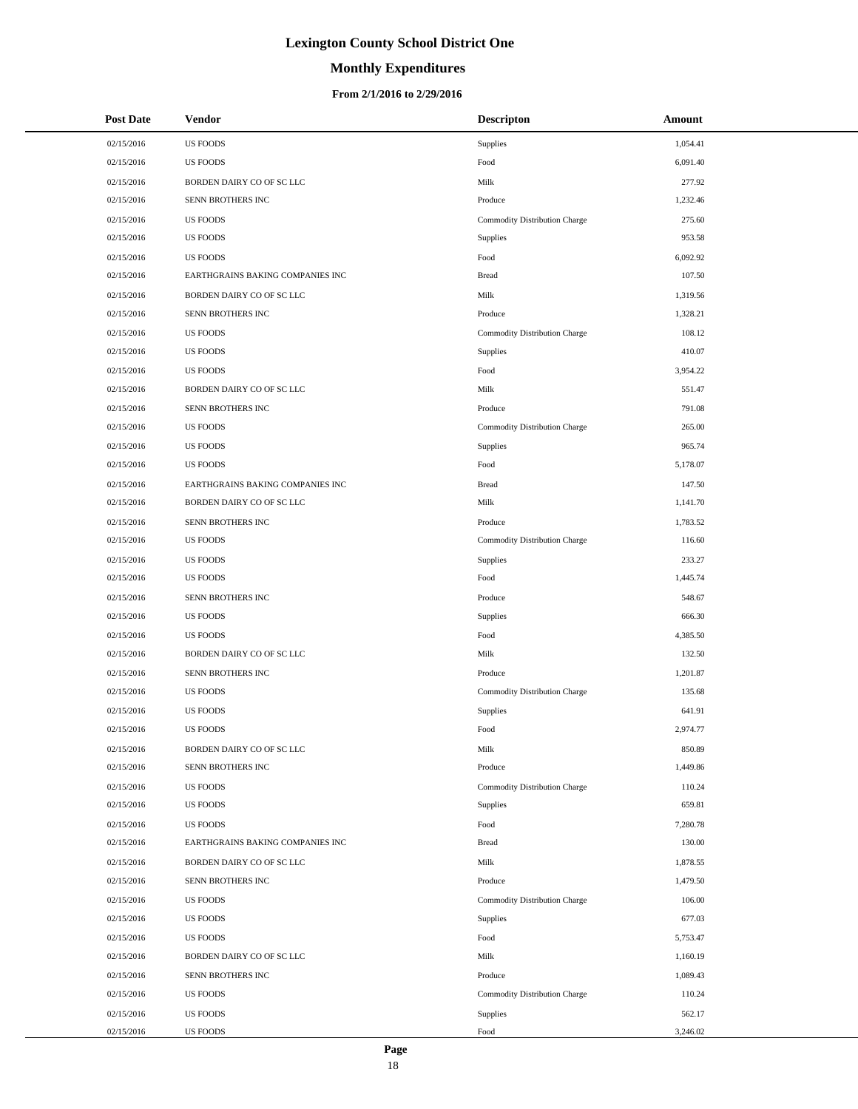# **Monthly Expenditures**

#### **From 2/1/2016 to 2/29/2016**

| <b>Post Date</b> | <b>Vendor</b>                    | <b>Descripton</b>             | Amount   |
|------------------|----------------------------------|-------------------------------|----------|
| 02/15/2016       | <b>US FOODS</b>                  | Supplies                      | 1,054.41 |
| 02/15/2016       | <b>US FOODS</b>                  | Food                          | 6,091.40 |
| 02/15/2016       | BORDEN DAIRY CO OF SC LLC        | Milk                          | 277.92   |
| 02/15/2016       | SENN BROTHERS INC                | Produce                       | 1,232.46 |
| 02/15/2016       | <b>US FOODS</b>                  | Commodity Distribution Charge | 275.60   |
| 02/15/2016       | <b>US FOODS</b>                  | Supplies                      | 953.58   |
| 02/15/2016       | <b>US FOODS</b>                  | Food                          | 6,092.92 |
| 02/15/2016       | EARTHGRAINS BAKING COMPANIES INC | <b>Bread</b>                  | 107.50   |
| 02/15/2016       | BORDEN DAIRY CO OF SC LLC        | Milk                          | 1,319.56 |
| 02/15/2016       | SENN BROTHERS INC                | Produce                       | 1,328.21 |
| 02/15/2016       | <b>US FOODS</b>                  | Commodity Distribution Charge | 108.12   |
| 02/15/2016       | <b>US FOODS</b>                  | Supplies                      | 410.07   |
| 02/15/2016       | <b>US FOODS</b>                  | Food                          | 3,954.22 |
| 02/15/2016       | BORDEN DAIRY CO OF SC LLC        | Milk                          | 551.47   |
| 02/15/2016       | SENN BROTHERS INC                | Produce                       | 791.08   |
| 02/15/2016       | <b>US FOODS</b>                  | Commodity Distribution Charge | 265.00   |
| 02/15/2016       | <b>US FOODS</b>                  | Supplies                      | 965.74   |
| 02/15/2016       | <b>US FOODS</b>                  | Food                          | 5,178.07 |
| 02/15/2016       | EARTHGRAINS BAKING COMPANIES INC | <b>Bread</b>                  | 147.50   |
| 02/15/2016       | BORDEN DAIRY CO OF SC LLC        | Milk                          | 1,141.70 |
| 02/15/2016       | SENN BROTHERS INC                | Produce                       | 1,783.52 |
| 02/15/2016       | <b>US FOODS</b>                  | Commodity Distribution Charge | 116.60   |
| 02/15/2016       | <b>US FOODS</b>                  | Supplies                      | 233.27   |
| 02/15/2016       | <b>US FOODS</b>                  | Food                          | 1,445.74 |
| 02/15/2016       | SENN BROTHERS INC                | Produce                       | 548.67   |
| 02/15/2016       | <b>US FOODS</b>                  | Supplies                      | 666.30   |
| 02/15/2016       | <b>US FOODS</b>                  | Food                          | 4,385.50 |
| 02/15/2016       | BORDEN DAIRY CO OF SC LLC        | Milk                          | 132.50   |
| 02/15/2016       | SENN BROTHERS INC                | Produce                       | 1,201.87 |
| 02/15/2016       | <b>US FOODS</b>                  | Commodity Distribution Charge | 135.68   |
| 02/15/2016       | <b>US FOODS</b>                  | Supplies                      | 641.91   |
| 02/15/2016       | <b>US FOODS</b>                  | Food                          | 2,974.77 |
| 02/15/2016       | BORDEN DAIRY CO OF SC LLC        | Milk                          | 850.89   |
| 02/15/2016       | SENN BROTHERS INC                | Produce                       | 1,449.86 |
| 02/15/2016       | <b>US FOODS</b>                  | Commodity Distribution Charge | 110.24   |
| 02/15/2016       | <b>US FOODS</b>                  | Supplies                      | 659.81   |
| 02/15/2016       | <b>US FOODS</b>                  | Food                          | 7,280.78 |
| 02/15/2016       | EARTHGRAINS BAKING COMPANIES INC | <b>Bread</b>                  | 130.00   |
| 02/15/2016       | BORDEN DAIRY CO OF SC LLC        | Milk                          | 1,878.55 |
| 02/15/2016       | SENN BROTHERS INC                | Produce                       | 1,479.50 |
| 02/15/2016       | <b>US FOODS</b>                  | Commodity Distribution Charge | 106.00   |
| 02/15/2016       | <b>US FOODS</b>                  | Supplies                      | 677.03   |
| 02/15/2016       | <b>US FOODS</b>                  | Food                          | 5,753.47 |
| 02/15/2016       | BORDEN DAIRY CO OF SC LLC        | Milk                          | 1,160.19 |
| 02/15/2016       | SENN BROTHERS INC                | Produce                       | 1,089.43 |
| 02/15/2016       | <b>US FOODS</b>                  | Commodity Distribution Charge | 110.24   |
| 02/15/2016       | <b>US FOODS</b>                  | Supplies                      | 562.17   |
| 02/15/2016       | <b>US FOODS</b>                  | Food                          | 3,246.02 |

L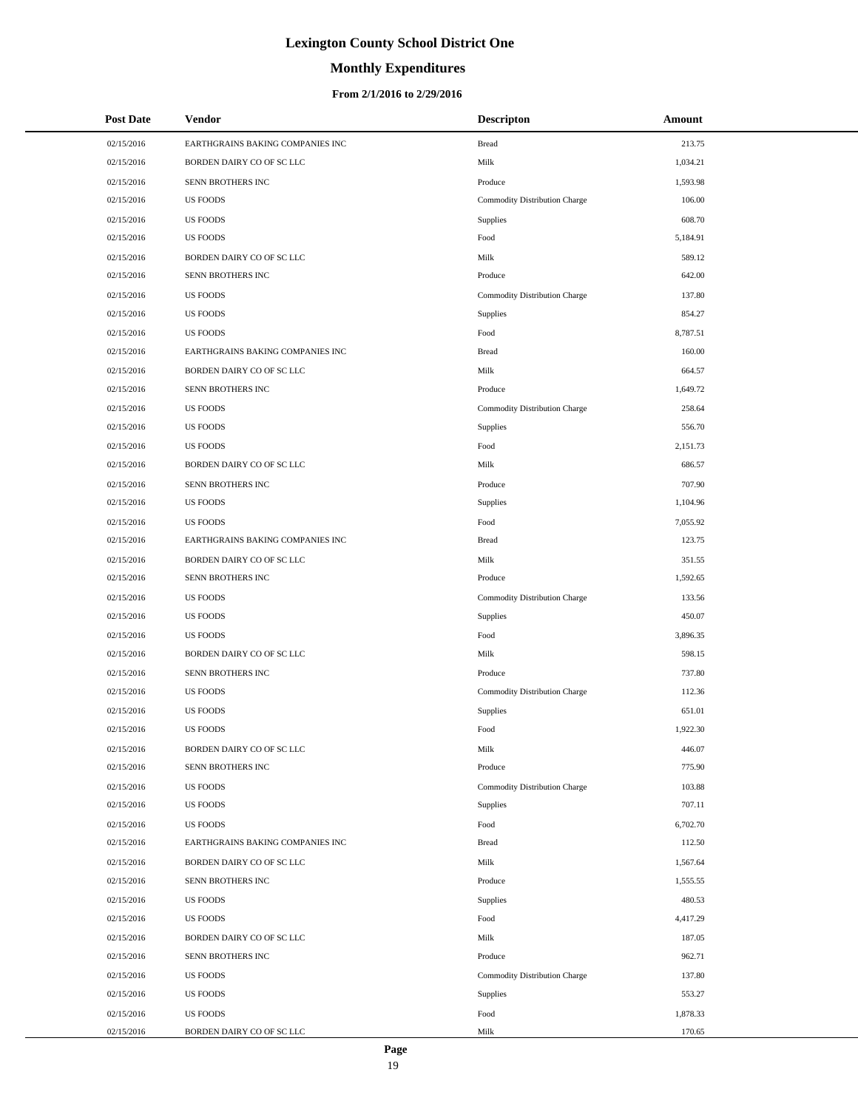# **Monthly Expenditures**

| <b>Post Date</b> | <b>Vendor</b>                    | <b>Descripton</b>             | Amount   |
|------------------|----------------------------------|-------------------------------|----------|
| 02/15/2016       | EARTHGRAINS BAKING COMPANIES INC | <b>Bread</b>                  | 213.75   |
| 02/15/2016       | BORDEN DAIRY CO OF SC LLC        | Milk                          | 1,034.21 |
| 02/15/2016       | SENN BROTHERS INC                | Produce                       | 1,593.98 |
| 02/15/2016       | <b>US FOODS</b>                  | Commodity Distribution Charge | 106.00   |
| 02/15/2016       | <b>US FOODS</b>                  | Supplies                      | 608.70   |
| 02/15/2016       | <b>US FOODS</b>                  | Food                          | 5,184.91 |
| 02/15/2016       | BORDEN DAIRY CO OF SC LLC        | Milk                          | 589.12   |
| 02/15/2016       | SENN BROTHERS INC                | Produce                       | 642.00   |
| 02/15/2016       | <b>US FOODS</b>                  | Commodity Distribution Charge | 137.80   |
| 02/15/2016       | <b>US FOODS</b>                  | Supplies                      | 854.27   |
| 02/15/2016       | <b>US FOODS</b>                  | Food                          | 8,787.51 |
| 02/15/2016       | EARTHGRAINS BAKING COMPANIES INC | <b>Bread</b>                  | 160.00   |
| 02/15/2016       | BORDEN DAIRY CO OF SC LLC        | Milk                          | 664.57   |
| 02/15/2016       | SENN BROTHERS INC                | Produce                       | 1,649.72 |
| 02/15/2016       | <b>US FOODS</b>                  | Commodity Distribution Charge | 258.64   |
| 02/15/2016       | <b>US FOODS</b>                  | Supplies                      | 556.70   |
| 02/15/2016       | <b>US FOODS</b>                  | Food                          | 2,151.73 |
| 02/15/2016       | BORDEN DAIRY CO OF SC LLC        | Milk                          | 686.57   |
| 02/15/2016       | SENN BROTHERS INC                | Produce                       | 707.90   |
| 02/15/2016       | <b>US FOODS</b>                  | Supplies                      | 1,104.96 |
| 02/15/2016       | <b>US FOODS</b>                  | Food                          | 7,055.92 |
| 02/15/2016       | EARTHGRAINS BAKING COMPANIES INC | <b>Bread</b>                  | 123.75   |
| 02/15/2016       | BORDEN DAIRY CO OF SC LLC        | Milk                          | 351.55   |
| 02/15/2016       | SENN BROTHERS INC                | Produce                       | 1,592.65 |
| 02/15/2016       | <b>US FOODS</b>                  | Commodity Distribution Charge | 133.56   |
| 02/15/2016       | <b>US FOODS</b>                  | Supplies                      | 450.07   |
| 02/15/2016       | <b>US FOODS</b>                  | Food                          | 3,896.35 |
| 02/15/2016       | BORDEN DAIRY CO OF SC LLC        | Milk                          | 598.15   |
| 02/15/2016       | SENN BROTHERS INC                | Produce                       | 737.80   |
| 02/15/2016       | <b>US FOODS</b>                  | Commodity Distribution Charge | 112.36   |
| 02/15/2016       | <b>US FOODS</b>                  | Supplies                      | 651.01   |
| 02/15/2016       | <b>US FOODS</b>                  | Food                          | 1,922.30 |
| 02/15/2016       | BORDEN DAIRY CO OF SC LLC        | Milk                          | 446.07   |
| 02/15/2016       | SENN BROTHERS INC                | Produce                       | 775.90   |
| 02/15/2016       | <b>US FOODS</b>                  | Commodity Distribution Charge | 103.88   |
| 02/15/2016       | <b>US FOODS</b>                  | Supplies                      | 707.11   |
| 02/15/2016       | <b>US FOODS</b>                  | Food                          | 6,702.70 |
| 02/15/2016       | EARTHGRAINS BAKING COMPANIES INC | <b>Bread</b>                  | 112.50   |
| 02/15/2016       | BORDEN DAIRY CO OF SC LLC        | Milk                          | 1,567.64 |
| 02/15/2016       | SENN BROTHERS INC                | Produce                       | 1,555.55 |
| 02/15/2016       | <b>US FOODS</b>                  | Supplies                      | 480.53   |
| 02/15/2016       | <b>US FOODS</b>                  | Food                          | 4,417.29 |
| 02/15/2016       | BORDEN DAIRY CO OF SC LLC        | Milk                          | 187.05   |
| 02/15/2016       | SENN BROTHERS INC                | Produce                       | 962.71   |
| 02/15/2016       | <b>US FOODS</b>                  | Commodity Distribution Charge | 137.80   |
| 02/15/2016       | <b>US FOODS</b>                  | Supplies                      | 553.27   |
| 02/15/2016       | <b>US FOODS</b>                  | Food                          | 1,878.33 |
| 02/15/2016       | BORDEN DAIRY CO OF SC LLC        | Milk                          | 170.65   |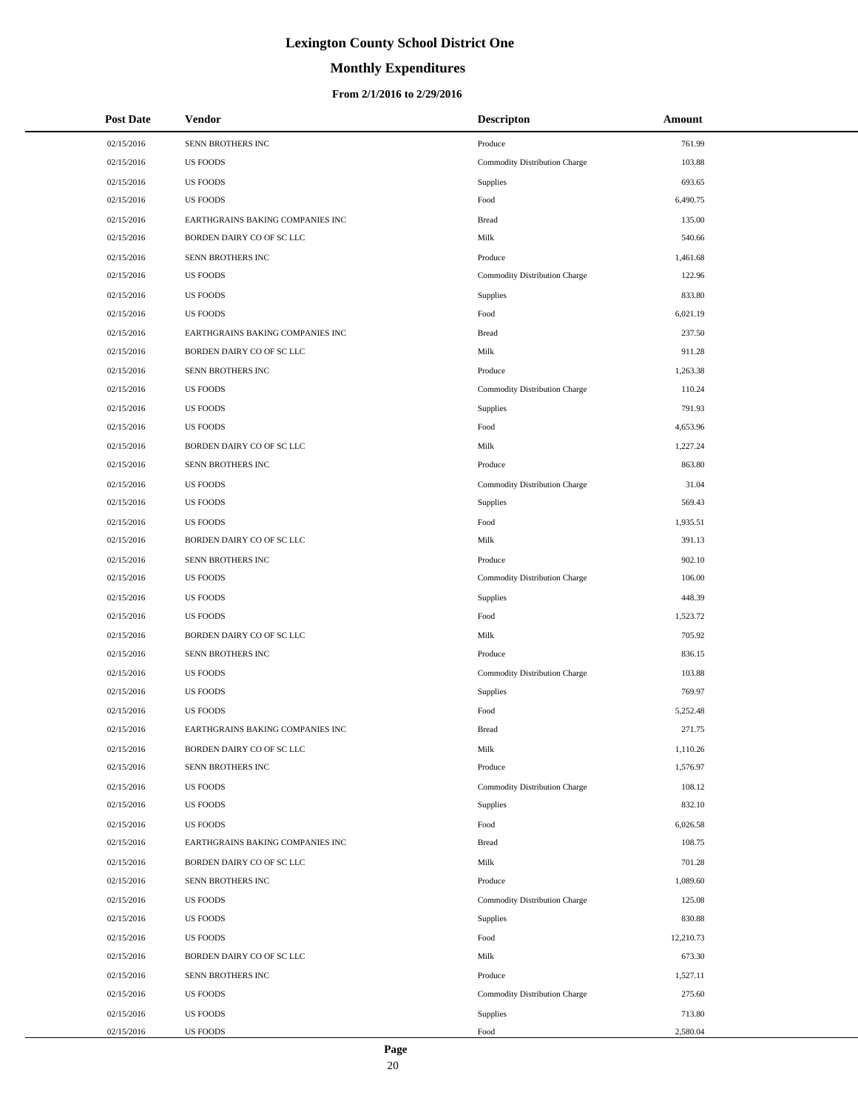# **Monthly Expenditures**

#### **From 2/1/2016 to 2/29/2016**

| <b>Post Date</b> | <b>Vendor</b>                    | <b>Descripton</b>             | Amount    |
|------------------|----------------------------------|-------------------------------|-----------|
| 02/15/2016       | SENN BROTHERS INC                | Produce                       | 761.99    |
| 02/15/2016       | <b>US FOODS</b>                  | Commodity Distribution Charge | 103.88    |
| 02/15/2016       | <b>US FOODS</b>                  | Supplies                      | 693.65    |
| 02/15/2016       | <b>US FOODS</b>                  | Food                          | 6,490.75  |
| 02/15/2016       | EARTHGRAINS BAKING COMPANIES INC | <b>Bread</b>                  | 135.00    |
| 02/15/2016       | BORDEN DAIRY CO OF SC LLC        | Milk                          | 540.66    |
| 02/15/2016       | SENN BROTHERS INC                | Produce                       | 1,461.68  |
| 02/15/2016       | <b>US FOODS</b>                  | Commodity Distribution Charge | 122.96    |
| 02/15/2016       | <b>US FOODS</b>                  | <b>Supplies</b>               | 833.80    |
| 02/15/2016       | <b>US FOODS</b>                  | Food                          | 6,021.19  |
| 02/15/2016       | EARTHGRAINS BAKING COMPANIES INC | <b>Bread</b>                  | 237.50    |
| 02/15/2016       | BORDEN DAIRY CO OF SC LLC        | Milk                          | 911.28    |
| 02/15/2016       | SENN BROTHERS INC                | Produce                       | 1,263.38  |
| 02/15/2016       | <b>US FOODS</b>                  | Commodity Distribution Charge | 110.24    |
| 02/15/2016       | <b>US FOODS</b>                  | <b>Supplies</b>               | 791.93    |
| 02/15/2016       | <b>US FOODS</b>                  | Food                          | 4,653.96  |
| 02/15/2016       | BORDEN DAIRY CO OF SC LLC        | Milk                          | 1,227.24  |
| 02/15/2016       | SENN BROTHERS INC                | Produce                       | 863.80    |
| 02/15/2016       | <b>US FOODS</b>                  | Commodity Distribution Charge | 31.04     |
| 02/15/2016       | <b>US FOODS</b>                  | <b>Supplies</b>               | 569.43    |
| 02/15/2016       | <b>US FOODS</b>                  | Food                          | 1,935.51  |
| 02/15/2016       | BORDEN DAIRY CO OF SC LLC        | Milk                          | 391.13    |
| 02/15/2016       | SENN BROTHERS INC                | Produce                       | 902.10    |
| 02/15/2016       | <b>US FOODS</b>                  | Commodity Distribution Charge | 106.00    |
| 02/15/2016       | <b>US FOODS</b>                  | Supplies                      | 448.39    |
| 02/15/2016       | <b>US FOODS</b>                  | Food                          | 1,523.72  |
| 02/15/2016       | BORDEN DAIRY CO OF SC LLC        | Milk                          | 705.92    |
| 02/15/2016       | SENN BROTHERS INC                | Produce                       | 836.15    |
| 02/15/2016       | <b>US FOODS</b>                  | Commodity Distribution Charge | 103.88    |
| 02/15/2016       | <b>US FOODS</b>                  | Supplies                      | 769.97    |
| 02/15/2016       | <b>US FOODS</b>                  | Food                          | 5,252.48  |
| 02/15/2016       | EARTHGRAINS BAKING COMPANIES INC | <b>Bread</b>                  | 271.75    |
| 02/15/2016       | BORDEN DAIRY CO OF SC LLC        | Milk                          | 1,110.26  |
| 02/15/2016       | SENN BROTHERS INC                | Produce                       | 1,576.97  |
| 02/15/2016       | <b>US FOODS</b>                  | Commodity Distribution Charge | 108.12    |
| 02/15/2016       | <b>US FOODS</b>                  | <b>Supplies</b>               | 832.10    |
| 02/15/2016       | <b>US FOODS</b>                  | Food                          | 6,026.58  |
| 02/15/2016       | EARTHGRAINS BAKING COMPANIES INC | <b>Bread</b>                  | 108.75    |
| 02/15/2016       | BORDEN DAIRY CO OF SC LLC        | Milk                          | 701.28    |
| 02/15/2016       | SENN BROTHERS INC                | Produce                       | 1,089.60  |
| 02/15/2016       | <b>US FOODS</b>                  | Commodity Distribution Charge | 125.08    |
| 02/15/2016       | <b>US FOODS</b>                  | <b>Supplies</b>               | 830.88    |
| 02/15/2016       | <b>US FOODS</b>                  | Food                          | 12,210.73 |
| 02/15/2016       | BORDEN DAIRY CO OF SC LLC        | Milk                          | 673.30    |
| 02/15/2016       | SENN BROTHERS INC                | Produce                       | 1,527.11  |
| 02/15/2016       | <b>US FOODS</b>                  | Commodity Distribution Charge | 275.60    |
| 02/15/2016       | <b>US FOODS</b>                  | <b>Supplies</b>               | 713.80    |
| 02/15/2016       | <b>US FOODS</b>                  | $\operatorname*{Food}$        | 2,580.04  |

 $\overline{\phantom{0}}$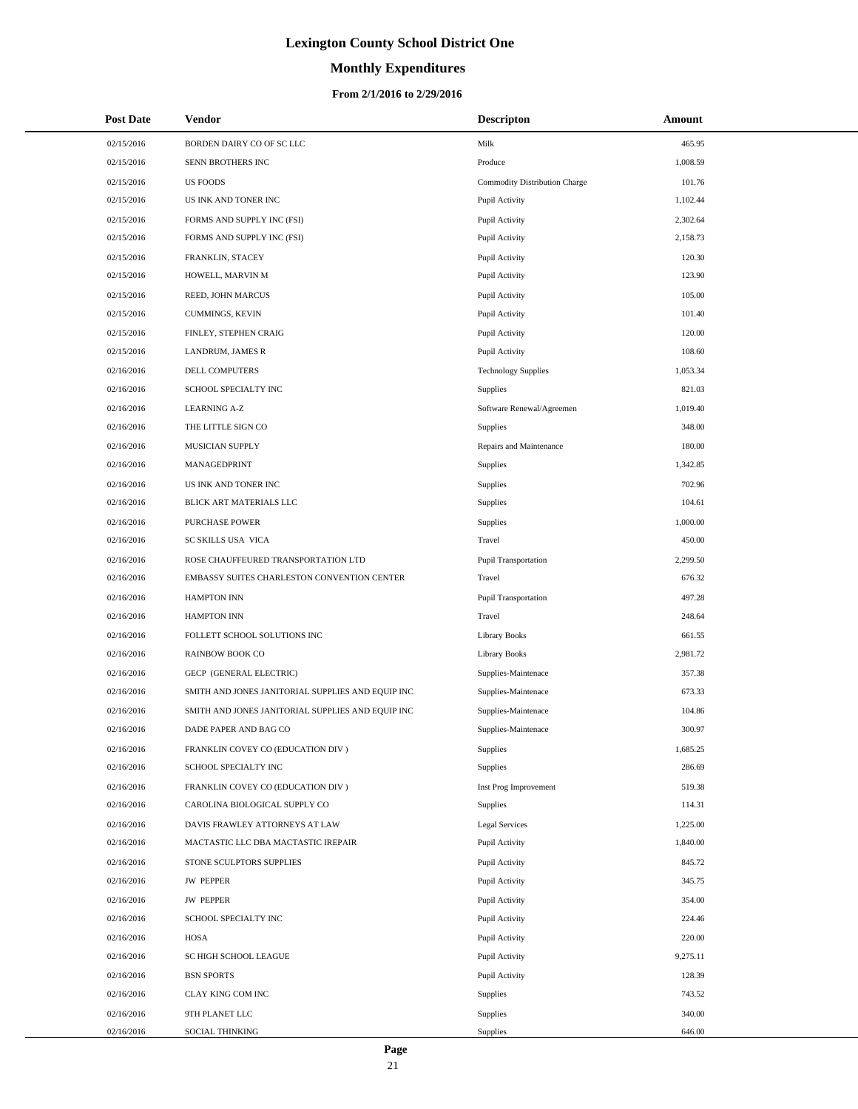# **Monthly Expenditures**

#### **From 2/1/2016 to 2/29/2016**

| <b>Post Date</b> | Vendor                                            | <b>Descripton</b>             | Amount   |
|------------------|---------------------------------------------------|-------------------------------|----------|
| 02/15/2016       | BORDEN DAIRY CO OF SC LLC                         | Milk                          | 465.95   |
| 02/15/2016       | SENN BROTHERS INC                                 | Produce                       | 1,008.59 |
| 02/15/2016       | <b>US FOODS</b>                                   | Commodity Distribution Charge | 101.76   |
| 02/15/2016       | US INK AND TONER INC                              | Pupil Activity                | 1,102.44 |
| 02/15/2016       | FORMS AND SUPPLY INC (FSI)                        | Pupil Activity                | 2,302.64 |
| 02/15/2016       | FORMS AND SUPPLY INC (FSI)                        | Pupil Activity                | 2,158.73 |
| 02/15/2016       | FRANKLIN, STACEY                                  | Pupil Activity                | 120.30   |
| 02/15/2016       | HOWELL, MARVIN M                                  | Pupil Activity                | 123.90   |
| 02/15/2016       | REED, JOHN MARCUS                                 | Pupil Activity                | 105.00   |
| 02/15/2016       | CUMMINGS, KEVIN                                   | Pupil Activity                | 101.40   |
| 02/15/2016       | FINLEY, STEPHEN CRAIG                             | Pupil Activity                | 120.00   |
| 02/15/2016       | LANDRUM, JAMES R                                  | Pupil Activity                | 108.60   |
| 02/16/2016       | DELL COMPUTERS                                    | <b>Technology Supplies</b>    | 1,053.34 |
| 02/16/2016       | SCHOOL SPECIALTY INC                              | Supplies                      | 821.03   |
| 02/16/2016       | <b>LEARNING A-Z</b>                               | Software Renewal/Agreemen     | 1,019.40 |
| 02/16/2016       | THE LITTLE SIGN CO                                | <b>Supplies</b>               | 348.00   |
| 02/16/2016       | MUSICIAN SUPPLY                                   | Repairs and Maintenance       | 180.00   |
| 02/16/2016       | MANAGEDPRINT                                      | Supplies                      | 1,342.85 |
| 02/16/2016       | US INK AND TONER INC                              | Supplies                      | 702.96   |
| 02/16/2016       | BLICK ART MATERIALS LLC                           | Supplies                      | 104.61   |
| 02/16/2016       | <b>PURCHASE POWER</b>                             | Supplies                      | 1,000.00 |
| 02/16/2016       | SC SKILLS USA VICA                                | Travel                        | 450.00   |
| 02/16/2016       | ROSE CHAUFFEURED TRANSPORTATION LTD               | Pupil Transportation          | 2,299.50 |
| 02/16/2016       | EMBASSY SUITES CHARLESTON CONVENTION CENTER       | Travel                        | 676.32   |
| 02/16/2016       | <b>HAMPTON INN</b>                                | Pupil Transportation          | 497.28   |
| 02/16/2016       | <b>HAMPTON INN</b>                                | Travel                        | 248.64   |
| 02/16/2016       | FOLLETT SCHOOL SOLUTIONS INC                      | <b>Library Books</b>          | 661.55   |
| 02/16/2016       | <b>RAINBOW BOOK CO</b>                            | <b>Library Books</b>          | 2,981.72 |
| 02/16/2016       | GECP (GENERAL ELECTRIC)                           | Supplies-Maintenace           | 357.38   |
| 02/16/2016       | SMITH AND JONES JANITORIAL SUPPLIES AND EQUIP INC | Supplies-Maintenace           | 673.33   |
| 02/16/2016       | SMITH AND JONES JANITORIAL SUPPLIES AND EQUIP INC | Supplies-Maintenace           | 104.86   |
| 02/16/2016       | DADE PAPER AND BAG CO                             | Supplies-Maintenace           | 300.97   |
| 02/16/2016       | FRANKLIN COVEY CO (EDUCATION DIV )                | Supplies                      | 1,685.25 |
| 02/16/2016       | SCHOOL SPECIALTY INC                              | <b>Supplies</b>               | 286.69   |
| 02/16/2016       | FRANKLIN COVEY CO (EDUCATION DIV)                 | Inst Prog Improvement         | 519.38   |
| 02/16/2016       | CAROLINA BIOLOGICAL SUPPLY CO                     | <b>Supplies</b>               | 114.31   |
| 02/16/2016       | DAVIS FRAWLEY ATTORNEYS AT LAW                    | Legal Services                | 1,225.00 |
| 02/16/2016       | MACTASTIC LLC DBA MACTASTIC IREPAIR               | Pupil Activity                | 1,840.00 |
| 02/16/2016       | STONE SCULPTORS SUPPLIES                          | Pupil Activity                | 845.72   |
| 02/16/2016       | <b>JW PEPPER</b>                                  | Pupil Activity                | 345.75   |
| 02/16/2016       | <b>JW PEPPER</b>                                  | Pupil Activity                | 354.00   |
| 02/16/2016       | SCHOOL SPECIALTY INC                              | Pupil Activity                | 224.46   |
| 02/16/2016       | HOSA                                              | Pupil Activity                | 220.00   |
| 02/16/2016       | SC HIGH SCHOOL LEAGUE                             | Pupil Activity                | 9,275.11 |
| 02/16/2016       | <b>BSN SPORTS</b>                                 | Pupil Activity                | 128.39   |
| 02/16/2016       | CLAY KING COM INC                                 | Supplies                      | 743.52   |
| 02/16/2016       | 9TH PLANET LLC                                    | Supplies                      | 340.00   |
| 02/16/2016       | SOCIAL THINKING                                   | Supplies                      | 646.00   |

 $\overline{\phantom{0}}$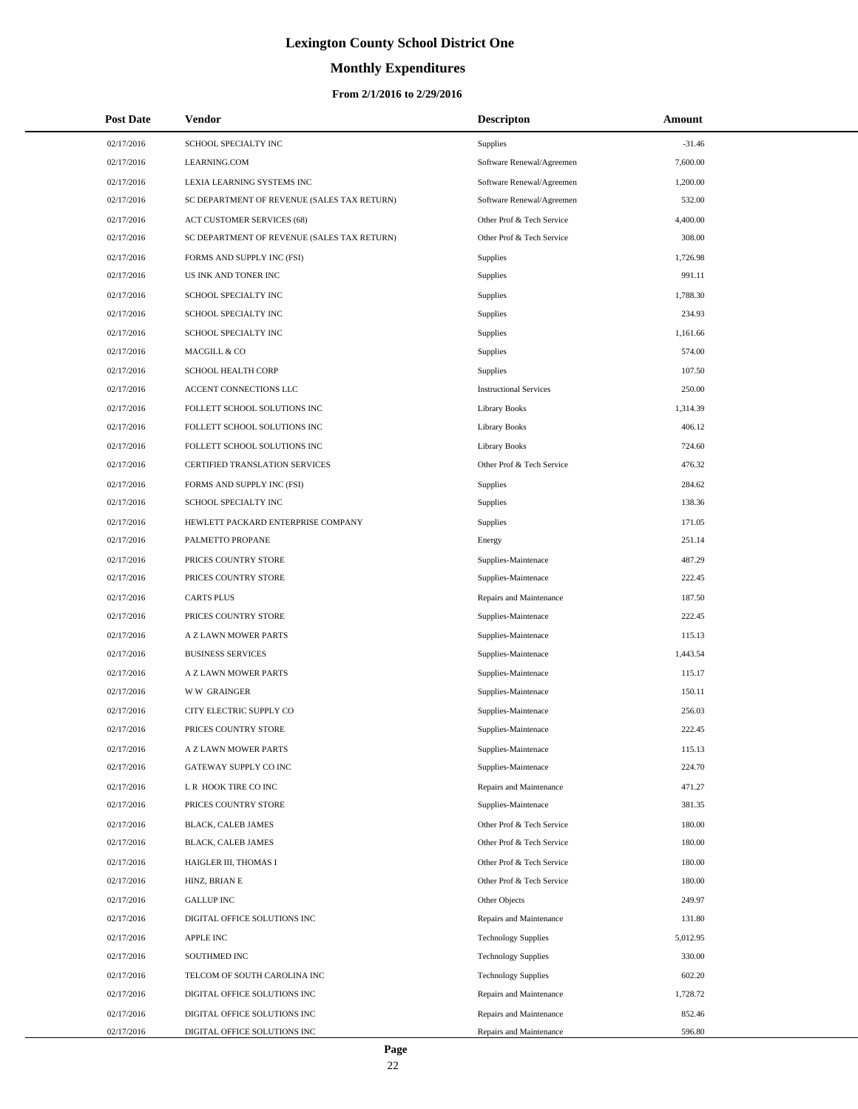# **Monthly Expenditures**

| <b>Post Date</b> | Vendor                                      | <b>Descripton</b>             | Amount   |
|------------------|---------------------------------------------|-------------------------------|----------|
| 02/17/2016       | SCHOOL SPECIALTY INC                        | Supplies                      | $-31.46$ |
| 02/17/2016       | LEARNING.COM                                | Software Renewal/Agreemen     | 7,600.00 |
| 02/17/2016       | LEXIA LEARNING SYSTEMS INC                  | Software Renewal/Agreemen     | 1,200.00 |
| 02/17/2016       | SC DEPARTMENT OF REVENUE (SALES TAX RETURN) | Software Renewal/Agreemen     | 532.00   |
| 02/17/2016       | <b>ACT CUSTOMER SERVICES (68)</b>           | Other Prof & Tech Service     | 4,400.00 |
| 02/17/2016       | SC DEPARTMENT OF REVENUE (SALES TAX RETURN) | Other Prof & Tech Service     | 308.00   |
| 02/17/2016       | FORMS AND SUPPLY INC (FSI)                  | Supplies                      | 1,726.98 |
| 02/17/2016       | US INK AND TONER INC                        | Supplies                      | 991.11   |
| 02/17/2016       | SCHOOL SPECIALTY INC                        | Supplies                      | 1,788.30 |
| 02/17/2016       | SCHOOL SPECIALTY INC                        | Supplies                      | 234.93   |
| 02/17/2016       | SCHOOL SPECIALTY INC                        | Supplies                      | 1,161.66 |
| 02/17/2016       | MACGILL & CO                                | Supplies                      | 574.00   |
| 02/17/2016       | SCHOOL HEALTH CORP                          | <b>Supplies</b>               | 107.50   |
| 02/17/2016       | ACCENT CONNECTIONS LLC                      | <b>Instructional Services</b> | 250.00   |
| 02/17/2016       | FOLLETT SCHOOL SOLUTIONS INC                | <b>Library Books</b>          | 1,314.39 |
| 02/17/2016       | FOLLETT SCHOOL SOLUTIONS INC                | <b>Library Books</b>          | 406.12   |
| 02/17/2016       | FOLLETT SCHOOL SOLUTIONS INC                | <b>Library Books</b>          | 724.60   |
| 02/17/2016       | CERTIFIED TRANSLATION SERVICES              | Other Prof & Tech Service     | 476.32   |
| 02/17/2016       | FORMS AND SUPPLY INC (FSI)                  | Supplies                      | 284.62   |
| 02/17/2016       | SCHOOL SPECIALTY INC                        | Supplies                      | 138.36   |
| 02/17/2016       | HEWLETT PACKARD ENTERPRISE COMPANY          | Supplies                      | 171.05   |
| 02/17/2016       | PALMETTO PROPANE                            | Energy                        | 251.14   |
| 02/17/2016       | PRICES COUNTRY STORE                        | Supplies-Maintenace           | 487.29   |
| 02/17/2016       | PRICES COUNTRY STORE                        | Supplies-Maintenace           | 222.45   |
| 02/17/2016       | <b>CARTS PLUS</b>                           | Repairs and Maintenance       | 187.50   |
| 02/17/2016       | PRICES COUNTRY STORE                        | Supplies-Maintenace           | 222.45   |
| 02/17/2016       | A Z LAWN MOWER PARTS                        | Supplies-Maintenace           | 115.13   |
| 02/17/2016       | <b>BUSINESS SERVICES</b>                    | Supplies-Maintenace           | 1,443.54 |
| 02/17/2016       | A Z LAWN MOWER PARTS                        | Supplies-Maintenace           | 115.17   |
| 02/17/2016       | <b>WW GRAINGER</b>                          | Supplies-Maintenace           | 150.11   |
| 02/17/2016       | CITY ELECTRIC SUPPLY CO                     | Supplies-Maintenace           | 256.03   |
| 02/17/2016       | PRICES COUNTRY STORE                        | Supplies-Maintenace           | 222.45   |
| 02/17/2016       | A Z LAWN MOWER PARTS                        | Supplies-Maintenace           | 115.13   |
| 02/17/2016       | GATEWAY SUPPLY CO INC                       | Supplies-Maintenace           | 224.70   |
| 02/17/2016       | L R HOOK TIRE CO INC                        | Repairs and Maintenance       | 471.27   |
| 02/17/2016       | PRICES COUNTRY STORE                        | Supplies-Maintenace           | 381.35   |
| 02/17/2016       | <b>BLACK, CALEB JAMES</b>                   | Other Prof & Tech Service     | 180.00   |
| 02/17/2016       | BLACK, CALEB JAMES                          | Other Prof & Tech Service     | 180.00   |
| 02/17/2016       | HAIGLER III, THOMAS I                       | Other Prof & Tech Service     | 180.00   |
| 02/17/2016       | HINZ, BRIAN E                               | Other Prof & Tech Service     | 180.00   |
| 02/17/2016       | <b>GALLUP INC</b>                           | Other Objects                 | 249.97   |
| 02/17/2016       | DIGITAL OFFICE SOLUTIONS INC                | Repairs and Maintenance       | 131.80   |
| 02/17/2016       | <b>APPLE INC</b>                            | <b>Technology Supplies</b>    | 5,012.95 |
| 02/17/2016       | SOUTHMED INC                                | <b>Technology Supplies</b>    | 330.00   |
| 02/17/2016       | TELCOM OF SOUTH CAROLINA INC                | <b>Technology Supplies</b>    | 602.20   |
| 02/17/2016       | DIGITAL OFFICE SOLUTIONS INC                | Repairs and Maintenance       | 1,728.72 |
| 02/17/2016       | DIGITAL OFFICE SOLUTIONS INC                | Repairs and Maintenance       | 852.46   |
| 02/17/2016       | DIGITAL OFFICE SOLUTIONS INC                | Repairs and Maintenance       | 596.80   |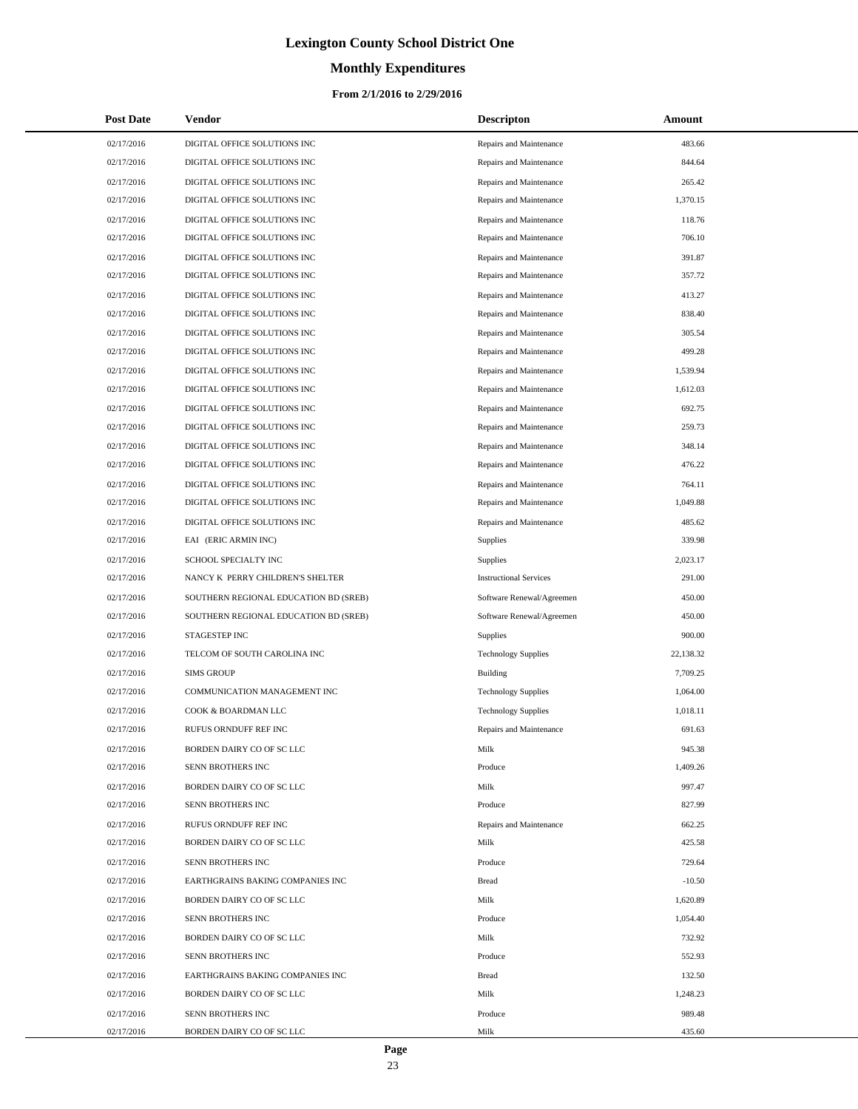# **Monthly Expenditures**

#### **From 2/1/2016 to 2/29/2016**

| <b>Post Date</b> | <b>Vendor</b>                         | <b>Descripton</b>             | Amount    |
|------------------|---------------------------------------|-------------------------------|-----------|
| 02/17/2016       | DIGITAL OFFICE SOLUTIONS INC          | Repairs and Maintenance       | 483.66    |
| 02/17/2016       | DIGITAL OFFICE SOLUTIONS INC          | Repairs and Maintenance       | 844.64    |
| 02/17/2016       | DIGITAL OFFICE SOLUTIONS INC          | Repairs and Maintenance       | 265.42    |
| 02/17/2016       | DIGITAL OFFICE SOLUTIONS INC          | Repairs and Maintenance       | 1,370.15  |
| 02/17/2016       | DIGITAL OFFICE SOLUTIONS INC          | Repairs and Maintenance       | 118.76    |
| 02/17/2016       | DIGITAL OFFICE SOLUTIONS INC          | Repairs and Maintenance       | 706.10    |
| 02/17/2016       | DIGITAL OFFICE SOLUTIONS INC          | Repairs and Maintenance       | 391.87    |
| 02/17/2016       | DIGITAL OFFICE SOLUTIONS INC          | Repairs and Maintenance       | 357.72    |
| 02/17/2016       | DIGITAL OFFICE SOLUTIONS INC          | Repairs and Maintenance       | 413.27    |
| 02/17/2016       | DIGITAL OFFICE SOLUTIONS INC          | Repairs and Maintenance       | 838.40    |
| 02/17/2016       | DIGITAL OFFICE SOLUTIONS INC          | Repairs and Maintenance       | 305.54    |
| 02/17/2016       | DIGITAL OFFICE SOLUTIONS INC          | Repairs and Maintenance       | 499.28    |
| 02/17/2016       | DIGITAL OFFICE SOLUTIONS INC          | Repairs and Maintenance       | 1,539.94  |
| 02/17/2016       | DIGITAL OFFICE SOLUTIONS INC          | Repairs and Maintenance       | 1,612.03  |
| 02/17/2016       | DIGITAL OFFICE SOLUTIONS INC          | Repairs and Maintenance       | 692.75    |
| 02/17/2016       | DIGITAL OFFICE SOLUTIONS INC          | Repairs and Maintenance       | 259.73    |
| 02/17/2016       | DIGITAL OFFICE SOLUTIONS INC          | Repairs and Maintenance       | 348.14    |
| 02/17/2016       | DIGITAL OFFICE SOLUTIONS INC          | Repairs and Maintenance       | 476.22    |
| 02/17/2016       | DIGITAL OFFICE SOLUTIONS INC          | Repairs and Maintenance       | 764.11    |
| 02/17/2016       | DIGITAL OFFICE SOLUTIONS INC          | Repairs and Maintenance       | 1,049.88  |
| 02/17/2016       | DIGITAL OFFICE SOLUTIONS INC          | Repairs and Maintenance       | 485.62    |
| 02/17/2016       | EAI (ERIC ARMIN INC)                  | <b>Supplies</b>               | 339.98    |
| 02/17/2016       | SCHOOL SPECIALTY INC                  | <b>Supplies</b>               | 2,023.17  |
| 02/17/2016       | NANCY K PERRY CHILDREN'S SHELTER      | <b>Instructional Services</b> | 291.00    |
| 02/17/2016       | SOUTHERN REGIONAL EDUCATION BD (SREB) | Software Renewal/Agreemen     | 450.00    |
| 02/17/2016       | SOUTHERN REGIONAL EDUCATION BD (SREB) | Software Renewal/Agreemen     | 450.00    |
| 02/17/2016       | STAGESTEP INC                         | Supplies                      | 900.00    |
| 02/17/2016       | TELCOM OF SOUTH CAROLINA INC          | <b>Technology Supplies</b>    | 22,138.32 |
| 02/17/2016       | <b>SIMS GROUP</b>                     | Building                      | 7,709.25  |
| 02/17/2016       | COMMUNICATION MANAGEMENT INC          | <b>Technology Supplies</b>    | 1,064.00  |
| 02/17/2016       | COOK & BOARDMAN LLC                   | <b>Technology Supplies</b>    | 1,018.11  |
| 02/17/2016       | RUFUS ORNDUFF REF INC                 | Repairs and Maintenance       | 691.63    |
| 02/17/2016       | BORDEN DAIRY CO OF SC LLC             | Milk                          | 945.38    |
| 02/17/2016       | SENN BROTHERS INC                     | Produce                       | 1,409.26  |
| 02/17/2016       | BORDEN DAIRY CO OF SC LLC             | Milk                          | 997.47    |
| 02/17/2016       | SENN BROTHERS INC                     | Produce                       | 827.99    |
| 02/17/2016       | RUFUS ORNDUFF REF INC                 | Repairs and Maintenance       | 662.25    |
| 02/17/2016       | BORDEN DAIRY CO OF SC LLC             | Milk                          | 425.58    |
| 02/17/2016       | SENN BROTHERS INC                     | Produce                       | 729.64    |
| 02/17/2016       | EARTHGRAINS BAKING COMPANIES INC      | <b>Bread</b>                  | $-10.50$  |
| 02/17/2016       | BORDEN DAIRY CO OF SC LLC             | Milk                          | 1,620.89  |
| 02/17/2016       | SENN BROTHERS INC                     | Produce                       | 1,054.40  |
| 02/17/2016       | BORDEN DAIRY CO OF SC LLC             | Milk                          | 732.92    |
| 02/17/2016       | SENN BROTHERS INC                     | Produce                       | 552.93    |
| 02/17/2016       | EARTHGRAINS BAKING COMPANIES INC      | <b>Bread</b>                  | 132.50    |
| 02/17/2016       | BORDEN DAIRY CO OF SC LLC             | Milk                          | 1,248.23  |
| 02/17/2016       | SENN BROTHERS INC                     | Produce                       | 989.48    |
| 02/17/2016       | BORDEN DAIRY CO OF SC LLC             | Milk                          | 435.60    |

 $\overline{a}$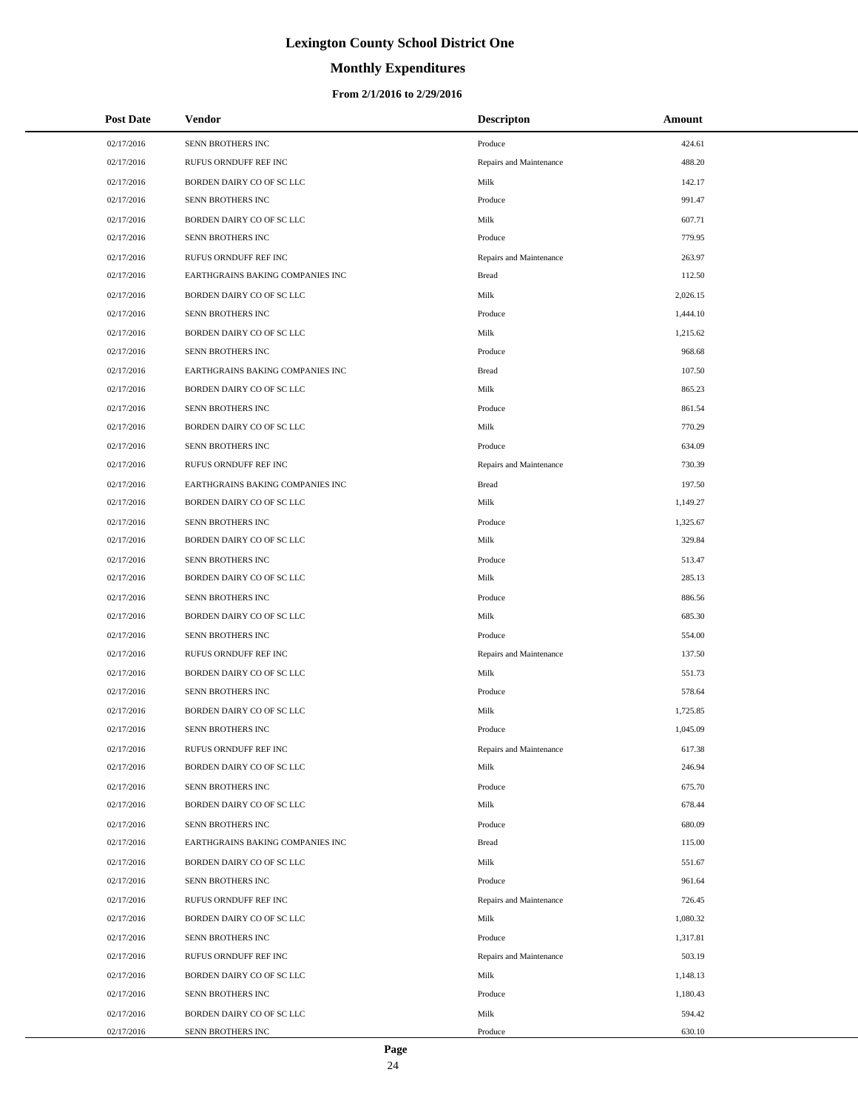# **Monthly Expenditures**

| <b>Post Date</b> | Vendor                           | <b>Descripton</b>       | Amount   |
|------------------|----------------------------------|-------------------------|----------|
| 02/17/2016       | SENN BROTHERS INC                | Produce                 | 424.61   |
| 02/17/2016       | RUFUS ORNDUFF REF INC            | Repairs and Maintenance | 488.20   |
| 02/17/2016       | BORDEN DAIRY CO OF SC LLC        | Milk                    | 142.17   |
| 02/17/2016       | SENN BROTHERS INC                | Produce                 | 991.47   |
| 02/17/2016       | BORDEN DAIRY CO OF SC LLC        | Milk                    | 607.71   |
| 02/17/2016       | SENN BROTHERS INC                | Produce                 | 779.95   |
| 02/17/2016       | RUFUS ORNDUFF REF INC            | Repairs and Maintenance | 263.97   |
| 02/17/2016       | EARTHGRAINS BAKING COMPANIES INC | <b>Bread</b>            | 112.50   |
| 02/17/2016       | BORDEN DAIRY CO OF SC LLC        | Milk                    | 2,026.15 |
| 02/17/2016       | SENN BROTHERS INC                | Produce                 | 1,444.10 |
| 02/17/2016       | BORDEN DAIRY CO OF SC LLC        | Milk                    | 1,215.62 |
| 02/17/2016       | SENN BROTHERS INC                | Produce                 | 968.68   |
| 02/17/2016       | EARTHGRAINS BAKING COMPANIES INC | <b>Bread</b>            | 107.50   |
| 02/17/2016       | BORDEN DAIRY CO OF SC LLC        | Milk                    | 865.23   |
| 02/17/2016       | SENN BROTHERS INC                | Produce                 | 861.54   |
| 02/17/2016       | BORDEN DAIRY CO OF SC LLC        | Milk                    | 770.29   |
| 02/17/2016       | SENN BROTHERS INC                | Produce                 | 634.09   |
| 02/17/2016       | RUFUS ORNDUFF REF INC            | Repairs and Maintenance | 730.39   |
| 02/17/2016       | EARTHGRAINS BAKING COMPANIES INC | <b>Bread</b>            | 197.50   |
| 02/17/2016       | BORDEN DAIRY CO OF SC LLC        | Milk                    | 1,149.27 |
| 02/17/2016       | SENN BROTHERS INC                | Produce                 | 1,325.67 |
| 02/17/2016       | BORDEN DAIRY CO OF SC LLC        | Milk                    | 329.84   |
| 02/17/2016       | SENN BROTHERS INC                | Produce                 | 513.47   |
| 02/17/2016       | BORDEN DAIRY CO OF SC LLC        | Milk                    | 285.13   |
| 02/17/2016       | SENN BROTHERS INC                | Produce                 | 886.56   |
| 02/17/2016       | BORDEN DAIRY CO OF SC LLC        | Milk                    | 685.30   |
| 02/17/2016       | SENN BROTHERS INC                | Produce                 | 554.00   |
| 02/17/2016       | RUFUS ORNDUFF REF INC            | Repairs and Maintenance | 137.50   |
| 02/17/2016       | BORDEN DAIRY CO OF SC LLC        | Milk                    | 551.73   |
| 02/17/2016       | SENN BROTHERS INC                | Produce                 | 578.64   |
| 02/17/2016       | BORDEN DAIRY CO OF SC LLC        | Milk                    | 1,725.85 |
| 02/17/2016       | SENN BROTHERS INC                | Produce                 | 1,045.09 |
| 02/17/2016       | RUFUS ORNDUFF REF INC            | Repairs and Maintenance | 617.38   |
| 02/17/2016       | BORDEN DAIRY CO OF SC LLC        | Milk                    | 246.94   |
| 02/17/2016       | SENN BROTHERS INC                | Produce                 | 675.70   |
| 02/17/2016       | BORDEN DAIRY CO OF SC LLC        | Milk                    | 678.44   |
| 02/17/2016       | SENN BROTHERS INC                | Produce                 | 680.09   |
| 02/17/2016       | EARTHGRAINS BAKING COMPANIES INC | <b>Bread</b>            | 115.00   |
| 02/17/2016       | BORDEN DAIRY CO OF SC LLC        | Milk                    | 551.67   |
| 02/17/2016       | SENN BROTHERS INC                | Produce                 | 961.64   |
| 02/17/2016       | RUFUS ORNDUFF REF INC            | Repairs and Maintenance | 726.45   |
| 02/17/2016       | BORDEN DAIRY CO OF SC LLC        | Milk                    | 1,080.32 |
| 02/17/2016       | SENN BROTHERS INC                | Produce                 | 1,317.81 |
| 02/17/2016       | RUFUS ORNDUFF REF INC            | Repairs and Maintenance | 503.19   |
| 02/17/2016       | BORDEN DAIRY CO OF SC LLC        | Milk                    | 1,148.13 |
| 02/17/2016       | SENN BROTHERS INC                | Produce                 | 1,180.43 |
| 02/17/2016       | BORDEN DAIRY CO OF SC LLC        | Milk                    | 594.42   |
| 02/17/2016       | SENN BROTHERS INC                | Produce                 | 630.10   |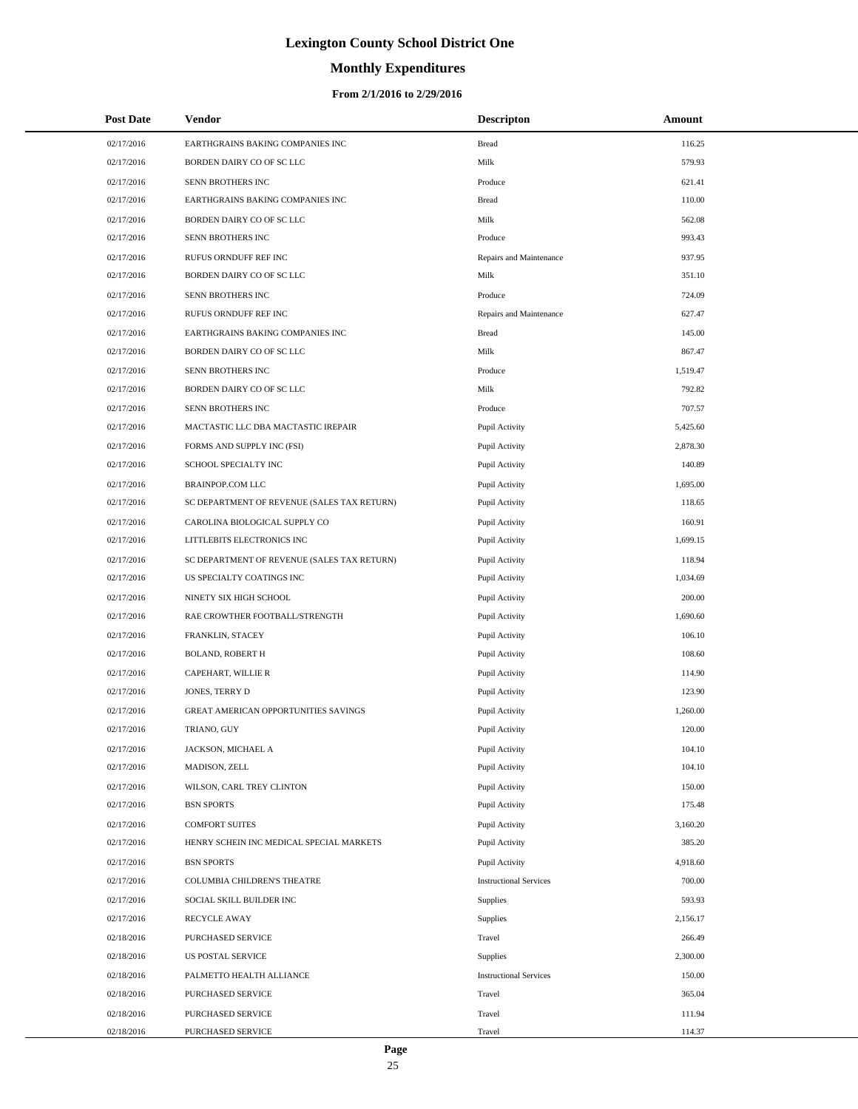# **Monthly Expenditures**

#### **From 2/1/2016 to 2/29/2016**

| <b>Post Date</b> | <b>Vendor</b>                               | <b>Descripton</b>             | Amount   |
|------------------|---------------------------------------------|-------------------------------|----------|
| 02/17/2016       | EARTHGRAINS BAKING COMPANIES INC            | <b>Bread</b>                  | 116.25   |
| 02/17/2016       | BORDEN DAIRY CO OF SC LLC                   | Milk                          | 579.93   |
| 02/17/2016       | SENN BROTHERS INC                           | Produce                       | 621.41   |
| 02/17/2016       | EARTHGRAINS BAKING COMPANIES INC            | <b>Bread</b>                  | 110.00   |
| 02/17/2016       | BORDEN DAIRY CO OF SC LLC                   | Milk                          | 562.08   |
| 02/17/2016       | SENN BROTHERS INC                           | Produce                       | 993.43   |
| 02/17/2016       | RUFUS ORNDUFF REF INC                       | Repairs and Maintenance       | 937.95   |
| 02/17/2016       | BORDEN DAIRY CO OF SC LLC                   | Milk                          | 351.10   |
| 02/17/2016       | SENN BROTHERS INC                           | Produce                       | 724.09   |
| 02/17/2016       | RUFUS ORNDUFF REF INC                       | Repairs and Maintenance       | 627.47   |
| 02/17/2016       | EARTHGRAINS BAKING COMPANIES INC            | <b>Bread</b>                  | 145.00   |
| 02/17/2016       | BORDEN DAIRY CO OF SC LLC                   | Milk                          | 867.47   |
| 02/17/2016       | SENN BROTHERS INC                           | Produce                       | 1,519.47 |
| 02/17/2016       | BORDEN DAIRY CO OF SC LLC                   | Milk                          | 792.82   |
| 02/17/2016       | SENN BROTHERS INC                           | Produce                       | 707.57   |
| 02/17/2016       | MACTASTIC LLC DBA MACTASTIC IREPAIR         | Pupil Activity                | 5,425.60 |
| 02/17/2016       | FORMS AND SUPPLY INC (FSI)                  | Pupil Activity                | 2,878.30 |
| 02/17/2016       | SCHOOL SPECIALTY INC                        | Pupil Activity                | 140.89   |
| 02/17/2016       | <b>BRAINPOP.COM LLC</b>                     | Pupil Activity                | 1,695.00 |
| 02/17/2016       | SC DEPARTMENT OF REVENUE (SALES TAX RETURN) | Pupil Activity                | 118.65   |
| 02/17/2016       | CAROLINA BIOLOGICAL SUPPLY CO               | Pupil Activity                | 160.91   |
| 02/17/2016       | LITTLEBITS ELECTRONICS INC                  | Pupil Activity                | 1,699.15 |
| 02/17/2016       | SC DEPARTMENT OF REVENUE (SALES TAX RETURN) | Pupil Activity                | 118.94   |
| 02/17/2016       | US SPECIALTY COATINGS INC                   | Pupil Activity                | 1,034.69 |
| 02/17/2016       | NINETY SIX HIGH SCHOOL                      | Pupil Activity                | 200.00   |
| 02/17/2016       | RAE CROWTHER FOOTBALL/STRENGTH              | Pupil Activity                | 1,690.60 |
| 02/17/2016       | FRANKLIN, STACEY                            | Pupil Activity                | 106.10   |
| 02/17/2016       | <b>BOLAND, ROBERT H</b>                     | Pupil Activity                | 108.60   |
| 02/17/2016       | CAPEHART, WILLIE R                          | Pupil Activity                | 114.90   |
| 02/17/2016       | JONES, TERRY D                              | Pupil Activity                | 123.90   |
| 02/17/2016       | <b>GREAT AMERICAN OPPORTUNITIES SAVINGS</b> | Pupil Activity                | 1,260.00 |
| 02/17/2016       | TRIANO, GUY                                 | Pupil Activity                | 120.00   |
| 02/17/2016       | JACKSON, MICHAEL A                          | Pupil Activity                | 104.10   |
| 02/17/2016       | MADISON, ZELL                               | Pupil Activity                | 104.10   |
| 02/17/2016       | WILSON, CARL TREY CLINTON                   | Pupil Activity                | 150.00   |
| 02/17/2016       | <b>BSN SPORTS</b>                           | Pupil Activity                | 175.48   |
| 02/17/2016       | <b>COMFORT SUITES</b>                       | Pupil Activity                | 3,160.20 |
| 02/17/2016       | HENRY SCHEIN INC MEDICAL SPECIAL MARKETS    | Pupil Activity                | 385.20   |
| 02/17/2016       | <b>BSN SPORTS</b>                           | Pupil Activity                | 4,918.60 |
| 02/17/2016       | COLUMBIA CHILDREN'S THEATRE                 | <b>Instructional Services</b> | 700.00   |
| 02/17/2016       | SOCIAL SKILL BUILDER INC                    | Supplies                      | 593.93   |
| 02/17/2016       | <b>RECYCLE AWAY</b>                         | Supplies                      | 2,156.17 |
| 02/18/2016       | PURCHASED SERVICE                           | Travel                        | 266.49   |
| 02/18/2016       | US POSTAL SERVICE                           | Supplies                      | 2,300.00 |
| 02/18/2016       | PALMETTO HEALTH ALLIANCE                    | <b>Instructional Services</b> | 150.00   |
| 02/18/2016       | PURCHASED SERVICE                           | Travel                        | 365.04   |
| 02/18/2016       | PURCHASED SERVICE                           | Travel                        | 111.94   |
| 02/18/2016       | PURCHASED SERVICE                           | Travel                        | 114.37   |

 $\overline{a}$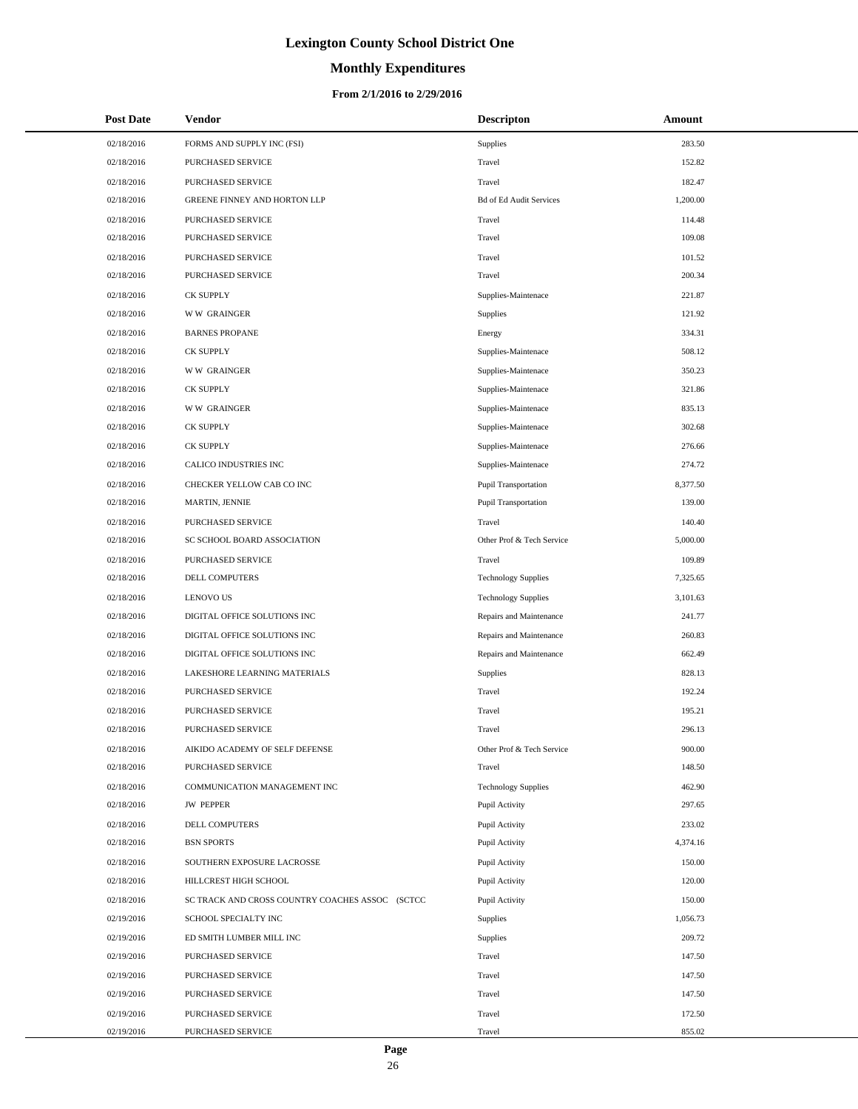# **Monthly Expenditures**

| <b>Post Date</b> | Vendor                                          | <b>Descripton</b>              | Amount   |
|------------------|-------------------------------------------------|--------------------------------|----------|
| 02/18/2016       | FORMS AND SUPPLY INC (FSI)                      | Supplies                       | 283.50   |
| 02/18/2016       | PURCHASED SERVICE                               | Travel                         | 152.82   |
| 02/18/2016       | PURCHASED SERVICE                               | Travel                         | 182.47   |
| 02/18/2016       | GREENE FINNEY AND HORTON LLP                    | <b>Bd of Ed Audit Services</b> | 1,200.00 |
| 02/18/2016       | PURCHASED SERVICE                               | Travel                         | 114.48   |
| 02/18/2016       | PURCHASED SERVICE                               | Travel                         | 109.08   |
| 02/18/2016       | PURCHASED SERVICE                               | Travel                         | 101.52   |
| 02/18/2016       | PURCHASED SERVICE                               | Travel                         | 200.34   |
| 02/18/2016       | <b>CK SUPPLY</b>                                | Supplies-Maintenace            | 221.87   |
| 02/18/2016       | <b>WW GRAINGER</b>                              | Supplies                       | 121.92   |
| 02/18/2016       | <b>BARNES PROPANE</b>                           | Energy                         | 334.31   |
| 02/18/2016       | <b>CK SUPPLY</b>                                | Supplies-Maintenace            | 508.12   |
| 02/18/2016       | <b>WW GRAINGER</b>                              | Supplies-Maintenace            | 350.23   |
| 02/18/2016       | <b>CK SUPPLY</b>                                | Supplies-Maintenace            | 321.86   |
| 02/18/2016       | <b>WW GRAINGER</b>                              | Supplies-Maintenace            | 835.13   |
| 02/18/2016       | <b>CK SUPPLY</b>                                | Supplies-Maintenace            | 302.68   |
| 02/18/2016       | <b>CK SUPPLY</b>                                | Supplies-Maintenace            | 276.66   |
| 02/18/2016       | CALICO INDUSTRIES INC                           | Supplies-Maintenace            | 274.72   |
| 02/18/2016       | CHECKER YELLOW CAB CO INC                       | <b>Pupil Transportation</b>    | 8,377.50 |
| 02/18/2016       | MARTIN, JENNIE                                  | <b>Pupil Transportation</b>    | 139.00   |
| 02/18/2016       | PURCHASED SERVICE                               | Travel                         | 140.40   |
| 02/18/2016       | SC SCHOOL BOARD ASSOCIATION                     | Other Prof & Tech Service      | 5,000.00 |
| 02/18/2016       | PURCHASED SERVICE                               | Travel                         | 109.89   |
| 02/18/2016       | DELL COMPUTERS                                  | <b>Technology Supplies</b>     | 7,325.65 |
| 02/18/2016       | <b>LENOVO US</b>                                | <b>Technology Supplies</b>     | 3,101.63 |
| 02/18/2016       | DIGITAL OFFICE SOLUTIONS INC                    | Repairs and Maintenance        | 241.77   |
| 02/18/2016       | DIGITAL OFFICE SOLUTIONS INC                    | Repairs and Maintenance        | 260.83   |
| 02/18/2016       | DIGITAL OFFICE SOLUTIONS INC                    | Repairs and Maintenance        | 662.49   |
| 02/18/2016       | LAKESHORE LEARNING MATERIALS                    | Supplies                       | 828.13   |
| 02/18/2016       | PURCHASED SERVICE                               | Travel                         | 192.24   |
| 02/18/2016       | PURCHASED SERVICE                               | Travel                         | 195.21   |
| 02/18/2016       | PURCHASED SERVICE                               | Travel                         | 296.13   |
| 02/18/2016       | AIKIDO ACADEMY OF SELF DEFENSE                  | Other Prof & Tech Service      | 900.00   |
| 02/18/2016       | PURCHASED SERVICE                               | Travel                         | 148.50   |
| 02/18/2016       | COMMUNICATION MANAGEMENT INC                    | <b>Technology Supplies</b>     | 462.90   |
| 02/18/2016       | <b>JW PEPPER</b>                                | Pupil Activity                 | 297.65   |
| 02/18/2016       | DELL COMPUTERS                                  | Pupil Activity                 | 233.02   |
| 02/18/2016       | <b>BSN SPORTS</b>                               | Pupil Activity                 | 4,374.16 |
| 02/18/2016       | SOUTHERN EXPOSURE LACROSSE                      | Pupil Activity                 | 150.00   |
| 02/18/2016       | HILLCREST HIGH SCHOOL                           | Pupil Activity                 | 120.00   |
| 02/18/2016       | SC TRACK AND CROSS COUNTRY COACHES ASSOC (SCTCC | Pupil Activity                 | 150.00   |
| 02/19/2016       | SCHOOL SPECIALTY INC                            | Supplies                       | 1,056.73 |
| 02/19/2016       | ED SMITH LUMBER MILL INC                        | Supplies                       | 209.72   |
| 02/19/2016       | PURCHASED SERVICE                               | Travel                         | 147.50   |
| 02/19/2016       | PURCHASED SERVICE                               | Travel                         | 147.50   |
| 02/19/2016       | PURCHASED SERVICE                               | Travel                         | 147.50   |
| 02/19/2016       | PURCHASED SERVICE                               | Travel                         | 172.50   |
| 02/19/2016       | PURCHASED SERVICE                               | Travel                         | 855.02   |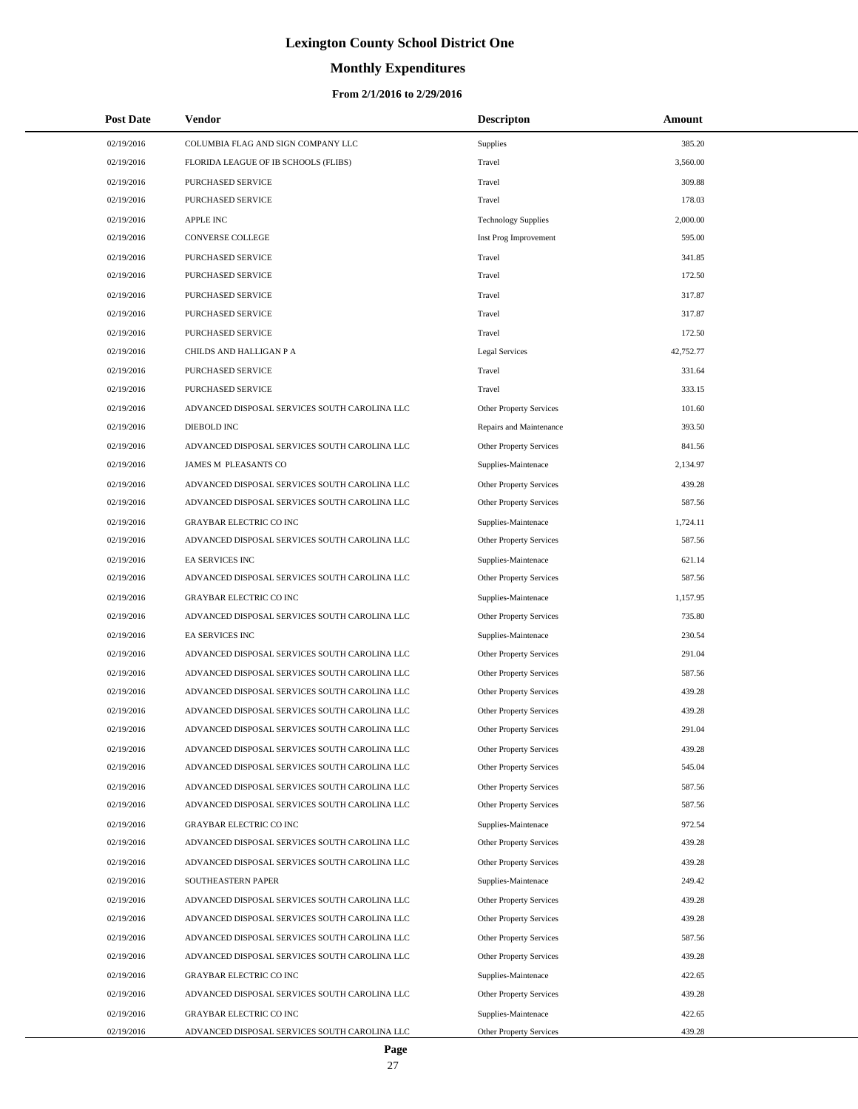# **Monthly Expenditures**

| 02/19/2016<br>385.20<br>COLUMBIA FLAG AND SIGN COMPANY LLC<br>Supplies<br>02/19/2016<br>FLORIDA LEAGUE OF IB SCHOOLS (FLIBS)<br>Travel<br>3,560.00<br>02/19/2016<br>PURCHASED SERVICE<br>Travel<br>309.88<br>02/19/2016<br>PURCHASED SERVICE<br>Travel<br>178.03<br>02/19/2016<br><b>APPLE INC</b><br>2,000.00<br><b>Technology Supplies</b><br>02/19/2016<br>CONVERSE COLLEGE<br>Inst Prog Improvement<br>595.00<br>02/19/2016<br>PURCHASED SERVICE<br>Travel<br>341.85<br>172.50<br>02/19/2016<br>PURCHASED SERVICE<br>Travel<br>02/19/2016<br>PURCHASED SERVICE<br>Travel<br>317.87<br>02/19/2016<br>PURCHASED SERVICE<br>Travel<br>317.87<br>02/19/2016<br>PURCHASED SERVICE<br>Travel<br>172.50<br>02/19/2016<br>CHILDS AND HALLIGAN P A<br><b>Legal Services</b><br>42,752.77<br>02/19/2016<br>PURCHASED SERVICE<br>331.64<br>Travel<br>02/19/2016<br>PURCHASED SERVICE<br>Travel<br>333.15<br>02/19/2016<br>ADVANCED DISPOSAL SERVICES SOUTH CAROLINA LLC<br>Other Property Services<br>101.60<br>393.50<br>02/19/2016<br>DIEBOLD INC<br>Repairs and Maintenance<br>02/19/2016<br>ADVANCED DISPOSAL SERVICES SOUTH CAROLINA LLC<br>Other Property Services<br>841.56<br>02/19/2016<br>JAMES M PLEASANTS CO<br>Supplies-Maintenace<br>2,134.97<br>02/19/2016<br>ADVANCED DISPOSAL SERVICES SOUTH CAROLINA LLC<br>Other Property Services<br>439.28<br>587.56<br>02/19/2016<br>ADVANCED DISPOSAL SERVICES SOUTH CAROLINA LLC<br>Other Property Services<br><b>GRAYBAR ELECTRIC CO INC</b><br>02/19/2016<br>Supplies-Maintenace<br>1,724.11<br>02/19/2016<br>ADVANCED DISPOSAL SERVICES SOUTH CAROLINA LLC<br>Other Property Services<br>587.56<br>02/19/2016<br>EA SERVICES INC<br>621.14<br>Supplies-Maintenace<br>587.56<br>02/19/2016<br>ADVANCED DISPOSAL SERVICES SOUTH CAROLINA LLC<br>Other Property Services<br>02/19/2016<br><b>GRAYBAR ELECTRIC CO INC</b><br>1,157.95<br>Supplies-Maintenace<br>02/19/2016<br>ADVANCED DISPOSAL SERVICES SOUTH CAROLINA LLC<br>Other Property Services<br>735.80<br>230.54<br>02/19/2016<br>EA SERVICES INC<br>Supplies-Maintenace<br>291.04<br>02/19/2016<br>ADVANCED DISPOSAL SERVICES SOUTH CAROLINA LLC<br>Other Property Services<br>02/19/2016<br>ADVANCED DISPOSAL SERVICES SOUTH CAROLINA LLC<br>Other Property Services<br>587.56<br>02/19/2016<br>ADVANCED DISPOSAL SERVICES SOUTH CAROLINA LLC<br>Other Property Services<br>439.28<br>02/19/2016<br>ADVANCED DISPOSAL SERVICES SOUTH CAROLINA LLC<br>Other Property Services<br>439.28<br>291.04<br>02/19/2016<br>ADVANCED DISPOSAL SERVICES SOUTH CAROLINA LLC<br>Other Property Services<br>02/19/2016<br>439.28<br>ADVANCED DISPOSAL SERVICES SOUTH CAROLINA LLC<br>Other Property Services<br>02/19/2016<br>ADVANCED DISPOSAL SERVICES SOUTH CAROLINA LLC<br>Other Property Services<br>545.04<br>02/19/2016<br>ADVANCED DISPOSAL SERVICES SOUTH CAROLINA LLC<br>Other Property Services<br>587.56<br>02/19/2016<br>ADVANCED DISPOSAL SERVICES SOUTH CAROLINA LLC<br><b>Other Property Services</b><br>587.56<br>02/19/2016<br><b>GRAYBAR ELECTRIC CO INC</b><br>Supplies-Maintenace<br>972.54<br>02/19/2016<br>ADVANCED DISPOSAL SERVICES SOUTH CAROLINA LLC<br>Other Property Services<br>439.28<br>02/19/2016<br>ADVANCED DISPOSAL SERVICES SOUTH CAROLINA LLC<br>Other Property Services<br>439.28<br>249.42<br>02/19/2016<br>SOUTHEASTERN PAPER<br>Supplies-Maintenace<br>ADVANCED DISPOSAL SERVICES SOUTH CAROLINA LLC<br>02/19/2016<br><b>Other Property Services</b><br>439.28<br>02/19/2016<br>ADVANCED DISPOSAL SERVICES SOUTH CAROLINA LLC<br>Other Property Services<br>439.28<br>02/19/2016<br>ADVANCED DISPOSAL SERVICES SOUTH CAROLINA LLC<br>Other Property Services<br>587.56<br>02/19/2016<br>ADVANCED DISPOSAL SERVICES SOUTH CAROLINA LLC<br>Other Property Services<br>439.28<br>02/19/2016<br><b>GRAYBAR ELECTRIC CO INC</b><br>422.65<br>Supplies-Maintenace<br>02/19/2016<br>ADVANCED DISPOSAL SERVICES SOUTH CAROLINA LLC<br>Other Property Services<br>439.28<br>422.65<br>02/19/2016<br><b>GRAYBAR ELECTRIC CO INC</b><br>Supplies-Maintenace<br>02/19/2016<br>ADVANCED DISPOSAL SERVICES SOUTH CAROLINA LLC<br>439.28<br>Other Property Services | <b>Post Date</b> | Vendor | <b>Descripton</b> | Amount |
|----------------------------------------------------------------------------------------------------------------------------------------------------------------------------------------------------------------------------------------------------------------------------------------------------------------------------------------------------------------------------------------------------------------------------------------------------------------------------------------------------------------------------------------------------------------------------------------------------------------------------------------------------------------------------------------------------------------------------------------------------------------------------------------------------------------------------------------------------------------------------------------------------------------------------------------------------------------------------------------------------------------------------------------------------------------------------------------------------------------------------------------------------------------------------------------------------------------------------------------------------------------------------------------------------------------------------------------------------------------------------------------------------------------------------------------------------------------------------------------------------------------------------------------------------------------------------------------------------------------------------------------------------------------------------------------------------------------------------------------------------------------------------------------------------------------------------------------------------------------------------------------------------------------------------------------------------------------------------------------------------------------------------------------------------------------------------------------------------------------------------------------------------------------------------------------------------------------------------------------------------------------------------------------------------------------------------------------------------------------------------------------------------------------------------------------------------------------------------------------------------------------------------------------------------------------------------------------------------------------------------------------------------------------------------------------------------------------------------------------------------------------------------------------------------------------------------------------------------------------------------------------------------------------------------------------------------------------------------------------------------------------------------------------------------------------------------------------------------------------------------------------------------------------------------------------------------------------------------------------------------------------------------------------------------------------------------------------------------------------------------------------------------------------------------------------------------------------------------------------------------------------------------------------------------------------------------------------------------------------------------------------------------------------------------------------------------------------------------------------------------------------------------------------------------------------------------------------------------------------------------------------------------------------------------------------------------------------------------------------------------------------------------------------------------------------------------------------------------------------------------------------------------------------------------------------------|------------------|--------|-------------------|--------|
|                                                                                                                                                                                                                                                                                                                                                                                                                                                                                                                                                                                                                                                                                                                                                                                                                                                                                                                                                                                                                                                                                                                                                                                                                                                                                                                                                                                                                                                                                                                                                                                                                                                                                                                                                                                                                                                                                                                                                                                                                                                                                                                                                                                                                                                                                                                                                                                                                                                                                                                                                                                                                                                                                                                                                                                                                                                                                                                                                                                                                                                                                                                                                                                                                                                                                                                                                                                                                                                                                                                                                                                                                                                                                                                                                                                                                                                                                                                                                                                                                                                                                                                                                                                              |                  |        |                   |        |
|                                                                                                                                                                                                                                                                                                                                                                                                                                                                                                                                                                                                                                                                                                                                                                                                                                                                                                                                                                                                                                                                                                                                                                                                                                                                                                                                                                                                                                                                                                                                                                                                                                                                                                                                                                                                                                                                                                                                                                                                                                                                                                                                                                                                                                                                                                                                                                                                                                                                                                                                                                                                                                                                                                                                                                                                                                                                                                                                                                                                                                                                                                                                                                                                                                                                                                                                                                                                                                                                                                                                                                                                                                                                                                                                                                                                                                                                                                                                                                                                                                                                                                                                                                                              |                  |        |                   |        |
|                                                                                                                                                                                                                                                                                                                                                                                                                                                                                                                                                                                                                                                                                                                                                                                                                                                                                                                                                                                                                                                                                                                                                                                                                                                                                                                                                                                                                                                                                                                                                                                                                                                                                                                                                                                                                                                                                                                                                                                                                                                                                                                                                                                                                                                                                                                                                                                                                                                                                                                                                                                                                                                                                                                                                                                                                                                                                                                                                                                                                                                                                                                                                                                                                                                                                                                                                                                                                                                                                                                                                                                                                                                                                                                                                                                                                                                                                                                                                                                                                                                                                                                                                                                              |                  |        |                   |        |
|                                                                                                                                                                                                                                                                                                                                                                                                                                                                                                                                                                                                                                                                                                                                                                                                                                                                                                                                                                                                                                                                                                                                                                                                                                                                                                                                                                                                                                                                                                                                                                                                                                                                                                                                                                                                                                                                                                                                                                                                                                                                                                                                                                                                                                                                                                                                                                                                                                                                                                                                                                                                                                                                                                                                                                                                                                                                                                                                                                                                                                                                                                                                                                                                                                                                                                                                                                                                                                                                                                                                                                                                                                                                                                                                                                                                                                                                                                                                                                                                                                                                                                                                                                                              |                  |        |                   |        |
|                                                                                                                                                                                                                                                                                                                                                                                                                                                                                                                                                                                                                                                                                                                                                                                                                                                                                                                                                                                                                                                                                                                                                                                                                                                                                                                                                                                                                                                                                                                                                                                                                                                                                                                                                                                                                                                                                                                                                                                                                                                                                                                                                                                                                                                                                                                                                                                                                                                                                                                                                                                                                                                                                                                                                                                                                                                                                                                                                                                                                                                                                                                                                                                                                                                                                                                                                                                                                                                                                                                                                                                                                                                                                                                                                                                                                                                                                                                                                                                                                                                                                                                                                                                              |                  |        |                   |        |
|                                                                                                                                                                                                                                                                                                                                                                                                                                                                                                                                                                                                                                                                                                                                                                                                                                                                                                                                                                                                                                                                                                                                                                                                                                                                                                                                                                                                                                                                                                                                                                                                                                                                                                                                                                                                                                                                                                                                                                                                                                                                                                                                                                                                                                                                                                                                                                                                                                                                                                                                                                                                                                                                                                                                                                                                                                                                                                                                                                                                                                                                                                                                                                                                                                                                                                                                                                                                                                                                                                                                                                                                                                                                                                                                                                                                                                                                                                                                                                                                                                                                                                                                                                                              |                  |        |                   |        |
|                                                                                                                                                                                                                                                                                                                                                                                                                                                                                                                                                                                                                                                                                                                                                                                                                                                                                                                                                                                                                                                                                                                                                                                                                                                                                                                                                                                                                                                                                                                                                                                                                                                                                                                                                                                                                                                                                                                                                                                                                                                                                                                                                                                                                                                                                                                                                                                                                                                                                                                                                                                                                                                                                                                                                                                                                                                                                                                                                                                                                                                                                                                                                                                                                                                                                                                                                                                                                                                                                                                                                                                                                                                                                                                                                                                                                                                                                                                                                                                                                                                                                                                                                                                              |                  |        |                   |        |
|                                                                                                                                                                                                                                                                                                                                                                                                                                                                                                                                                                                                                                                                                                                                                                                                                                                                                                                                                                                                                                                                                                                                                                                                                                                                                                                                                                                                                                                                                                                                                                                                                                                                                                                                                                                                                                                                                                                                                                                                                                                                                                                                                                                                                                                                                                                                                                                                                                                                                                                                                                                                                                                                                                                                                                                                                                                                                                                                                                                                                                                                                                                                                                                                                                                                                                                                                                                                                                                                                                                                                                                                                                                                                                                                                                                                                                                                                                                                                                                                                                                                                                                                                                                              |                  |        |                   |        |
|                                                                                                                                                                                                                                                                                                                                                                                                                                                                                                                                                                                                                                                                                                                                                                                                                                                                                                                                                                                                                                                                                                                                                                                                                                                                                                                                                                                                                                                                                                                                                                                                                                                                                                                                                                                                                                                                                                                                                                                                                                                                                                                                                                                                                                                                                                                                                                                                                                                                                                                                                                                                                                                                                                                                                                                                                                                                                                                                                                                                                                                                                                                                                                                                                                                                                                                                                                                                                                                                                                                                                                                                                                                                                                                                                                                                                                                                                                                                                                                                                                                                                                                                                                                              |                  |        |                   |        |
|                                                                                                                                                                                                                                                                                                                                                                                                                                                                                                                                                                                                                                                                                                                                                                                                                                                                                                                                                                                                                                                                                                                                                                                                                                                                                                                                                                                                                                                                                                                                                                                                                                                                                                                                                                                                                                                                                                                                                                                                                                                                                                                                                                                                                                                                                                                                                                                                                                                                                                                                                                                                                                                                                                                                                                                                                                                                                                                                                                                                                                                                                                                                                                                                                                                                                                                                                                                                                                                                                                                                                                                                                                                                                                                                                                                                                                                                                                                                                                                                                                                                                                                                                                                              |                  |        |                   |        |
|                                                                                                                                                                                                                                                                                                                                                                                                                                                                                                                                                                                                                                                                                                                                                                                                                                                                                                                                                                                                                                                                                                                                                                                                                                                                                                                                                                                                                                                                                                                                                                                                                                                                                                                                                                                                                                                                                                                                                                                                                                                                                                                                                                                                                                                                                                                                                                                                                                                                                                                                                                                                                                                                                                                                                                                                                                                                                                                                                                                                                                                                                                                                                                                                                                                                                                                                                                                                                                                                                                                                                                                                                                                                                                                                                                                                                                                                                                                                                                                                                                                                                                                                                                                              |                  |        |                   |        |
|                                                                                                                                                                                                                                                                                                                                                                                                                                                                                                                                                                                                                                                                                                                                                                                                                                                                                                                                                                                                                                                                                                                                                                                                                                                                                                                                                                                                                                                                                                                                                                                                                                                                                                                                                                                                                                                                                                                                                                                                                                                                                                                                                                                                                                                                                                                                                                                                                                                                                                                                                                                                                                                                                                                                                                                                                                                                                                                                                                                                                                                                                                                                                                                                                                                                                                                                                                                                                                                                                                                                                                                                                                                                                                                                                                                                                                                                                                                                                                                                                                                                                                                                                                                              |                  |        |                   |        |
|                                                                                                                                                                                                                                                                                                                                                                                                                                                                                                                                                                                                                                                                                                                                                                                                                                                                                                                                                                                                                                                                                                                                                                                                                                                                                                                                                                                                                                                                                                                                                                                                                                                                                                                                                                                                                                                                                                                                                                                                                                                                                                                                                                                                                                                                                                                                                                                                                                                                                                                                                                                                                                                                                                                                                                                                                                                                                                                                                                                                                                                                                                                                                                                                                                                                                                                                                                                                                                                                                                                                                                                                                                                                                                                                                                                                                                                                                                                                                                                                                                                                                                                                                                                              |                  |        |                   |        |
|                                                                                                                                                                                                                                                                                                                                                                                                                                                                                                                                                                                                                                                                                                                                                                                                                                                                                                                                                                                                                                                                                                                                                                                                                                                                                                                                                                                                                                                                                                                                                                                                                                                                                                                                                                                                                                                                                                                                                                                                                                                                                                                                                                                                                                                                                                                                                                                                                                                                                                                                                                                                                                                                                                                                                                                                                                                                                                                                                                                                                                                                                                                                                                                                                                                                                                                                                                                                                                                                                                                                                                                                                                                                                                                                                                                                                                                                                                                                                                                                                                                                                                                                                                                              |                  |        |                   |        |
|                                                                                                                                                                                                                                                                                                                                                                                                                                                                                                                                                                                                                                                                                                                                                                                                                                                                                                                                                                                                                                                                                                                                                                                                                                                                                                                                                                                                                                                                                                                                                                                                                                                                                                                                                                                                                                                                                                                                                                                                                                                                                                                                                                                                                                                                                                                                                                                                                                                                                                                                                                                                                                                                                                                                                                                                                                                                                                                                                                                                                                                                                                                                                                                                                                                                                                                                                                                                                                                                                                                                                                                                                                                                                                                                                                                                                                                                                                                                                                                                                                                                                                                                                                                              |                  |        |                   |        |
|                                                                                                                                                                                                                                                                                                                                                                                                                                                                                                                                                                                                                                                                                                                                                                                                                                                                                                                                                                                                                                                                                                                                                                                                                                                                                                                                                                                                                                                                                                                                                                                                                                                                                                                                                                                                                                                                                                                                                                                                                                                                                                                                                                                                                                                                                                                                                                                                                                                                                                                                                                                                                                                                                                                                                                                                                                                                                                                                                                                                                                                                                                                                                                                                                                                                                                                                                                                                                                                                                                                                                                                                                                                                                                                                                                                                                                                                                                                                                                                                                                                                                                                                                                                              |                  |        |                   |        |
|                                                                                                                                                                                                                                                                                                                                                                                                                                                                                                                                                                                                                                                                                                                                                                                                                                                                                                                                                                                                                                                                                                                                                                                                                                                                                                                                                                                                                                                                                                                                                                                                                                                                                                                                                                                                                                                                                                                                                                                                                                                                                                                                                                                                                                                                                                                                                                                                                                                                                                                                                                                                                                                                                                                                                                                                                                                                                                                                                                                                                                                                                                                                                                                                                                                                                                                                                                                                                                                                                                                                                                                                                                                                                                                                                                                                                                                                                                                                                                                                                                                                                                                                                                                              |                  |        |                   |        |
|                                                                                                                                                                                                                                                                                                                                                                                                                                                                                                                                                                                                                                                                                                                                                                                                                                                                                                                                                                                                                                                                                                                                                                                                                                                                                                                                                                                                                                                                                                                                                                                                                                                                                                                                                                                                                                                                                                                                                                                                                                                                                                                                                                                                                                                                                                                                                                                                                                                                                                                                                                                                                                                                                                                                                                                                                                                                                                                                                                                                                                                                                                                                                                                                                                                                                                                                                                                                                                                                                                                                                                                                                                                                                                                                                                                                                                                                                                                                                                                                                                                                                                                                                                                              |                  |        |                   |        |
|                                                                                                                                                                                                                                                                                                                                                                                                                                                                                                                                                                                                                                                                                                                                                                                                                                                                                                                                                                                                                                                                                                                                                                                                                                                                                                                                                                                                                                                                                                                                                                                                                                                                                                                                                                                                                                                                                                                                                                                                                                                                                                                                                                                                                                                                                                                                                                                                                                                                                                                                                                                                                                                                                                                                                                                                                                                                                                                                                                                                                                                                                                                                                                                                                                                                                                                                                                                                                                                                                                                                                                                                                                                                                                                                                                                                                                                                                                                                                                                                                                                                                                                                                                                              |                  |        |                   |        |
|                                                                                                                                                                                                                                                                                                                                                                                                                                                                                                                                                                                                                                                                                                                                                                                                                                                                                                                                                                                                                                                                                                                                                                                                                                                                                                                                                                                                                                                                                                                                                                                                                                                                                                                                                                                                                                                                                                                                                                                                                                                                                                                                                                                                                                                                                                                                                                                                                                                                                                                                                                                                                                                                                                                                                                                                                                                                                                                                                                                                                                                                                                                                                                                                                                                                                                                                                                                                                                                                                                                                                                                                                                                                                                                                                                                                                                                                                                                                                                                                                                                                                                                                                                                              |                  |        |                   |        |
|                                                                                                                                                                                                                                                                                                                                                                                                                                                                                                                                                                                                                                                                                                                                                                                                                                                                                                                                                                                                                                                                                                                                                                                                                                                                                                                                                                                                                                                                                                                                                                                                                                                                                                                                                                                                                                                                                                                                                                                                                                                                                                                                                                                                                                                                                                                                                                                                                                                                                                                                                                                                                                                                                                                                                                                                                                                                                                                                                                                                                                                                                                                                                                                                                                                                                                                                                                                                                                                                                                                                                                                                                                                                                                                                                                                                                                                                                                                                                                                                                                                                                                                                                                                              |                  |        |                   |        |
|                                                                                                                                                                                                                                                                                                                                                                                                                                                                                                                                                                                                                                                                                                                                                                                                                                                                                                                                                                                                                                                                                                                                                                                                                                                                                                                                                                                                                                                                                                                                                                                                                                                                                                                                                                                                                                                                                                                                                                                                                                                                                                                                                                                                                                                                                                                                                                                                                                                                                                                                                                                                                                                                                                                                                                                                                                                                                                                                                                                                                                                                                                                                                                                                                                                                                                                                                                                                                                                                                                                                                                                                                                                                                                                                                                                                                                                                                                                                                                                                                                                                                                                                                                                              |                  |        |                   |        |
|                                                                                                                                                                                                                                                                                                                                                                                                                                                                                                                                                                                                                                                                                                                                                                                                                                                                                                                                                                                                                                                                                                                                                                                                                                                                                                                                                                                                                                                                                                                                                                                                                                                                                                                                                                                                                                                                                                                                                                                                                                                                                                                                                                                                                                                                                                                                                                                                                                                                                                                                                                                                                                                                                                                                                                                                                                                                                                                                                                                                                                                                                                                                                                                                                                                                                                                                                                                                                                                                                                                                                                                                                                                                                                                                                                                                                                                                                                                                                                                                                                                                                                                                                                                              |                  |        |                   |        |
|                                                                                                                                                                                                                                                                                                                                                                                                                                                                                                                                                                                                                                                                                                                                                                                                                                                                                                                                                                                                                                                                                                                                                                                                                                                                                                                                                                                                                                                                                                                                                                                                                                                                                                                                                                                                                                                                                                                                                                                                                                                                                                                                                                                                                                                                                                                                                                                                                                                                                                                                                                                                                                                                                                                                                                                                                                                                                                                                                                                                                                                                                                                                                                                                                                                                                                                                                                                                                                                                                                                                                                                                                                                                                                                                                                                                                                                                                                                                                                                                                                                                                                                                                                                              |                  |        |                   |        |
|                                                                                                                                                                                                                                                                                                                                                                                                                                                                                                                                                                                                                                                                                                                                                                                                                                                                                                                                                                                                                                                                                                                                                                                                                                                                                                                                                                                                                                                                                                                                                                                                                                                                                                                                                                                                                                                                                                                                                                                                                                                                                                                                                                                                                                                                                                                                                                                                                                                                                                                                                                                                                                                                                                                                                                                                                                                                                                                                                                                                                                                                                                                                                                                                                                                                                                                                                                                                                                                                                                                                                                                                                                                                                                                                                                                                                                                                                                                                                                                                                                                                                                                                                                                              |                  |        |                   |        |
|                                                                                                                                                                                                                                                                                                                                                                                                                                                                                                                                                                                                                                                                                                                                                                                                                                                                                                                                                                                                                                                                                                                                                                                                                                                                                                                                                                                                                                                                                                                                                                                                                                                                                                                                                                                                                                                                                                                                                                                                                                                                                                                                                                                                                                                                                                                                                                                                                                                                                                                                                                                                                                                                                                                                                                                                                                                                                                                                                                                                                                                                                                                                                                                                                                                                                                                                                                                                                                                                                                                                                                                                                                                                                                                                                                                                                                                                                                                                                                                                                                                                                                                                                                                              |                  |        |                   |        |
|                                                                                                                                                                                                                                                                                                                                                                                                                                                                                                                                                                                                                                                                                                                                                                                                                                                                                                                                                                                                                                                                                                                                                                                                                                                                                                                                                                                                                                                                                                                                                                                                                                                                                                                                                                                                                                                                                                                                                                                                                                                                                                                                                                                                                                                                                                                                                                                                                                                                                                                                                                                                                                                                                                                                                                                                                                                                                                                                                                                                                                                                                                                                                                                                                                                                                                                                                                                                                                                                                                                                                                                                                                                                                                                                                                                                                                                                                                                                                                                                                                                                                                                                                                                              |                  |        |                   |        |
|                                                                                                                                                                                                                                                                                                                                                                                                                                                                                                                                                                                                                                                                                                                                                                                                                                                                                                                                                                                                                                                                                                                                                                                                                                                                                                                                                                                                                                                                                                                                                                                                                                                                                                                                                                                                                                                                                                                                                                                                                                                                                                                                                                                                                                                                                                                                                                                                                                                                                                                                                                                                                                                                                                                                                                                                                                                                                                                                                                                                                                                                                                                                                                                                                                                                                                                                                                                                                                                                                                                                                                                                                                                                                                                                                                                                                                                                                                                                                                                                                                                                                                                                                                                              |                  |        |                   |        |
|                                                                                                                                                                                                                                                                                                                                                                                                                                                                                                                                                                                                                                                                                                                                                                                                                                                                                                                                                                                                                                                                                                                                                                                                                                                                                                                                                                                                                                                                                                                                                                                                                                                                                                                                                                                                                                                                                                                                                                                                                                                                                                                                                                                                                                                                                                                                                                                                                                                                                                                                                                                                                                                                                                                                                                                                                                                                                                                                                                                                                                                                                                                                                                                                                                                                                                                                                                                                                                                                                                                                                                                                                                                                                                                                                                                                                                                                                                                                                                                                                                                                                                                                                                                              |                  |        |                   |        |
|                                                                                                                                                                                                                                                                                                                                                                                                                                                                                                                                                                                                                                                                                                                                                                                                                                                                                                                                                                                                                                                                                                                                                                                                                                                                                                                                                                                                                                                                                                                                                                                                                                                                                                                                                                                                                                                                                                                                                                                                                                                                                                                                                                                                                                                                                                                                                                                                                                                                                                                                                                                                                                                                                                                                                                                                                                                                                                                                                                                                                                                                                                                                                                                                                                                                                                                                                                                                                                                                                                                                                                                                                                                                                                                                                                                                                                                                                                                                                                                                                                                                                                                                                                                              |                  |        |                   |        |
|                                                                                                                                                                                                                                                                                                                                                                                                                                                                                                                                                                                                                                                                                                                                                                                                                                                                                                                                                                                                                                                                                                                                                                                                                                                                                                                                                                                                                                                                                                                                                                                                                                                                                                                                                                                                                                                                                                                                                                                                                                                                                                                                                                                                                                                                                                                                                                                                                                                                                                                                                                                                                                                                                                                                                                                                                                                                                                                                                                                                                                                                                                                                                                                                                                                                                                                                                                                                                                                                                                                                                                                                                                                                                                                                                                                                                                                                                                                                                                                                                                                                                                                                                                                              |                  |        |                   |        |
|                                                                                                                                                                                                                                                                                                                                                                                                                                                                                                                                                                                                                                                                                                                                                                                                                                                                                                                                                                                                                                                                                                                                                                                                                                                                                                                                                                                                                                                                                                                                                                                                                                                                                                                                                                                                                                                                                                                                                                                                                                                                                                                                                                                                                                                                                                                                                                                                                                                                                                                                                                                                                                                                                                                                                                                                                                                                                                                                                                                                                                                                                                                                                                                                                                                                                                                                                                                                                                                                                                                                                                                                                                                                                                                                                                                                                                                                                                                                                                                                                                                                                                                                                                                              |                  |        |                   |        |
|                                                                                                                                                                                                                                                                                                                                                                                                                                                                                                                                                                                                                                                                                                                                                                                                                                                                                                                                                                                                                                                                                                                                                                                                                                                                                                                                                                                                                                                                                                                                                                                                                                                                                                                                                                                                                                                                                                                                                                                                                                                                                                                                                                                                                                                                                                                                                                                                                                                                                                                                                                                                                                                                                                                                                                                                                                                                                                                                                                                                                                                                                                                                                                                                                                                                                                                                                                                                                                                                                                                                                                                                                                                                                                                                                                                                                                                                                                                                                                                                                                                                                                                                                                                              |                  |        |                   |        |
|                                                                                                                                                                                                                                                                                                                                                                                                                                                                                                                                                                                                                                                                                                                                                                                                                                                                                                                                                                                                                                                                                                                                                                                                                                                                                                                                                                                                                                                                                                                                                                                                                                                                                                                                                                                                                                                                                                                                                                                                                                                                                                                                                                                                                                                                                                                                                                                                                                                                                                                                                                                                                                                                                                                                                                                                                                                                                                                                                                                                                                                                                                                                                                                                                                                                                                                                                                                                                                                                                                                                                                                                                                                                                                                                                                                                                                                                                                                                                                                                                                                                                                                                                                                              |                  |        |                   |        |
|                                                                                                                                                                                                                                                                                                                                                                                                                                                                                                                                                                                                                                                                                                                                                                                                                                                                                                                                                                                                                                                                                                                                                                                                                                                                                                                                                                                                                                                                                                                                                                                                                                                                                                                                                                                                                                                                                                                                                                                                                                                                                                                                                                                                                                                                                                                                                                                                                                                                                                                                                                                                                                                                                                                                                                                                                                                                                                                                                                                                                                                                                                                                                                                                                                                                                                                                                                                                                                                                                                                                                                                                                                                                                                                                                                                                                                                                                                                                                                                                                                                                                                                                                                                              |                  |        |                   |        |
|                                                                                                                                                                                                                                                                                                                                                                                                                                                                                                                                                                                                                                                                                                                                                                                                                                                                                                                                                                                                                                                                                                                                                                                                                                                                                                                                                                                                                                                                                                                                                                                                                                                                                                                                                                                                                                                                                                                                                                                                                                                                                                                                                                                                                                                                                                                                                                                                                                                                                                                                                                                                                                                                                                                                                                                                                                                                                                                                                                                                                                                                                                                                                                                                                                                                                                                                                                                                                                                                                                                                                                                                                                                                                                                                                                                                                                                                                                                                                                                                                                                                                                                                                                                              |                  |        |                   |        |
|                                                                                                                                                                                                                                                                                                                                                                                                                                                                                                                                                                                                                                                                                                                                                                                                                                                                                                                                                                                                                                                                                                                                                                                                                                                                                                                                                                                                                                                                                                                                                                                                                                                                                                                                                                                                                                                                                                                                                                                                                                                                                                                                                                                                                                                                                                                                                                                                                                                                                                                                                                                                                                                                                                                                                                                                                                                                                                                                                                                                                                                                                                                                                                                                                                                                                                                                                                                                                                                                                                                                                                                                                                                                                                                                                                                                                                                                                                                                                                                                                                                                                                                                                                                              |                  |        |                   |        |
|                                                                                                                                                                                                                                                                                                                                                                                                                                                                                                                                                                                                                                                                                                                                                                                                                                                                                                                                                                                                                                                                                                                                                                                                                                                                                                                                                                                                                                                                                                                                                                                                                                                                                                                                                                                                                                                                                                                                                                                                                                                                                                                                                                                                                                                                                                                                                                                                                                                                                                                                                                                                                                                                                                                                                                                                                                                                                                                                                                                                                                                                                                                                                                                                                                                                                                                                                                                                                                                                                                                                                                                                                                                                                                                                                                                                                                                                                                                                                                                                                                                                                                                                                                                              |                  |        |                   |        |
|                                                                                                                                                                                                                                                                                                                                                                                                                                                                                                                                                                                                                                                                                                                                                                                                                                                                                                                                                                                                                                                                                                                                                                                                                                                                                                                                                                                                                                                                                                                                                                                                                                                                                                                                                                                                                                                                                                                                                                                                                                                                                                                                                                                                                                                                                                                                                                                                                                                                                                                                                                                                                                                                                                                                                                                                                                                                                                                                                                                                                                                                                                                                                                                                                                                                                                                                                                                                                                                                                                                                                                                                                                                                                                                                                                                                                                                                                                                                                                                                                                                                                                                                                                                              |                  |        |                   |        |
|                                                                                                                                                                                                                                                                                                                                                                                                                                                                                                                                                                                                                                                                                                                                                                                                                                                                                                                                                                                                                                                                                                                                                                                                                                                                                                                                                                                                                                                                                                                                                                                                                                                                                                                                                                                                                                                                                                                                                                                                                                                                                                                                                                                                                                                                                                                                                                                                                                                                                                                                                                                                                                                                                                                                                                                                                                                                                                                                                                                                                                                                                                                                                                                                                                                                                                                                                                                                                                                                                                                                                                                                                                                                                                                                                                                                                                                                                                                                                                                                                                                                                                                                                                                              |                  |        |                   |        |
|                                                                                                                                                                                                                                                                                                                                                                                                                                                                                                                                                                                                                                                                                                                                                                                                                                                                                                                                                                                                                                                                                                                                                                                                                                                                                                                                                                                                                                                                                                                                                                                                                                                                                                                                                                                                                                                                                                                                                                                                                                                                                                                                                                                                                                                                                                                                                                                                                                                                                                                                                                                                                                                                                                                                                                                                                                                                                                                                                                                                                                                                                                                                                                                                                                                                                                                                                                                                                                                                                                                                                                                                                                                                                                                                                                                                                                                                                                                                                                                                                                                                                                                                                                                              |                  |        |                   |        |
|                                                                                                                                                                                                                                                                                                                                                                                                                                                                                                                                                                                                                                                                                                                                                                                                                                                                                                                                                                                                                                                                                                                                                                                                                                                                                                                                                                                                                                                                                                                                                                                                                                                                                                                                                                                                                                                                                                                                                                                                                                                                                                                                                                                                                                                                                                                                                                                                                                                                                                                                                                                                                                                                                                                                                                                                                                                                                                                                                                                                                                                                                                                                                                                                                                                                                                                                                                                                                                                                                                                                                                                                                                                                                                                                                                                                                                                                                                                                                                                                                                                                                                                                                                                              |                  |        |                   |        |
|                                                                                                                                                                                                                                                                                                                                                                                                                                                                                                                                                                                                                                                                                                                                                                                                                                                                                                                                                                                                                                                                                                                                                                                                                                                                                                                                                                                                                                                                                                                                                                                                                                                                                                                                                                                                                                                                                                                                                                                                                                                                                                                                                                                                                                                                                                                                                                                                                                                                                                                                                                                                                                                                                                                                                                                                                                                                                                                                                                                                                                                                                                                                                                                                                                                                                                                                                                                                                                                                                                                                                                                                                                                                                                                                                                                                                                                                                                                                                                                                                                                                                                                                                                                              |                  |        |                   |        |
|                                                                                                                                                                                                                                                                                                                                                                                                                                                                                                                                                                                                                                                                                                                                                                                                                                                                                                                                                                                                                                                                                                                                                                                                                                                                                                                                                                                                                                                                                                                                                                                                                                                                                                                                                                                                                                                                                                                                                                                                                                                                                                                                                                                                                                                                                                                                                                                                                                                                                                                                                                                                                                                                                                                                                                                                                                                                                                                                                                                                                                                                                                                                                                                                                                                                                                                                                                                                                                                                                                                                                                                                                                                                                                                                                                                                                                                                                                                                                                                                                                                                                                                                                                                              |                  |        |                   |        |
|                                                                                                                                                                                                                                                                                                                                                                                                                                                                                                                                                                                                                                                                                                                                                                                                                                                                                                                                                                                                                                                                                                                                                                                                                                                                                                                                                                                                                                                                                                                                                                                                                                                                                                                                                                                                                                                                                                                                                                                                                                                                                                                                                                                                                                                                                                                                                                                                                                                                                                                                                                                                                                                                                                                                                                                                                                                                                                                                                                                                                                                                                                                                                                                                                                                                                                                                                                                                                                                                                                                                                                                                                                                                                                                                                                                                                                                                                                                                                                                                                                                                                                                                                                                              |                  |        |                   |        |
|                                                                                                                                                                                                                                                                                                                                                                                                                                                                                                                                                                                                                                                                                                                                                                                                                                                                                                                                                                                                                                                                                                                                                                                                                                                                                                                                                                                                                                                                                                                                                                                                                                                                                                                                                                                                                                                                                                                                                                                                                                                                                                                                                                                                                                                                                                                                                                                                                                                                                                                                                                                                                                                                                                                                                                                                                                                                                                                                                                                                                                                                                                                                                                                                                                                                                                                                                                                                                                                                                                                                                                                                                                                                                                                                                                                                                                                                                                                                                                                                                                                                                                                                                                                              |                  |        |                   |        |
|                                                                                                                                                                                                                                                                                                                                                                                                                                                                                                                                                                                                                                                                                                                                                                                                                                                                                                                                                                                                                                                                                                                                                                                                                                                                                                                                                                                                                                                                                                                                                                                                                                                                                                                                                                                                                                                                                                                                                                                                                                                                                                                                                                                                                                                                                                                                                                                                                                                                                                                                                                                                                                                                                                                                                                                                                                                                                                                                                                                                                                                                                                                                                                                                                                                                                                                                                                                                                                                                                                                                                                                                                                                                                                                                                                                                                                                                                                                                                                                                                                                                                                                                                                                              |                  |        |                   |        |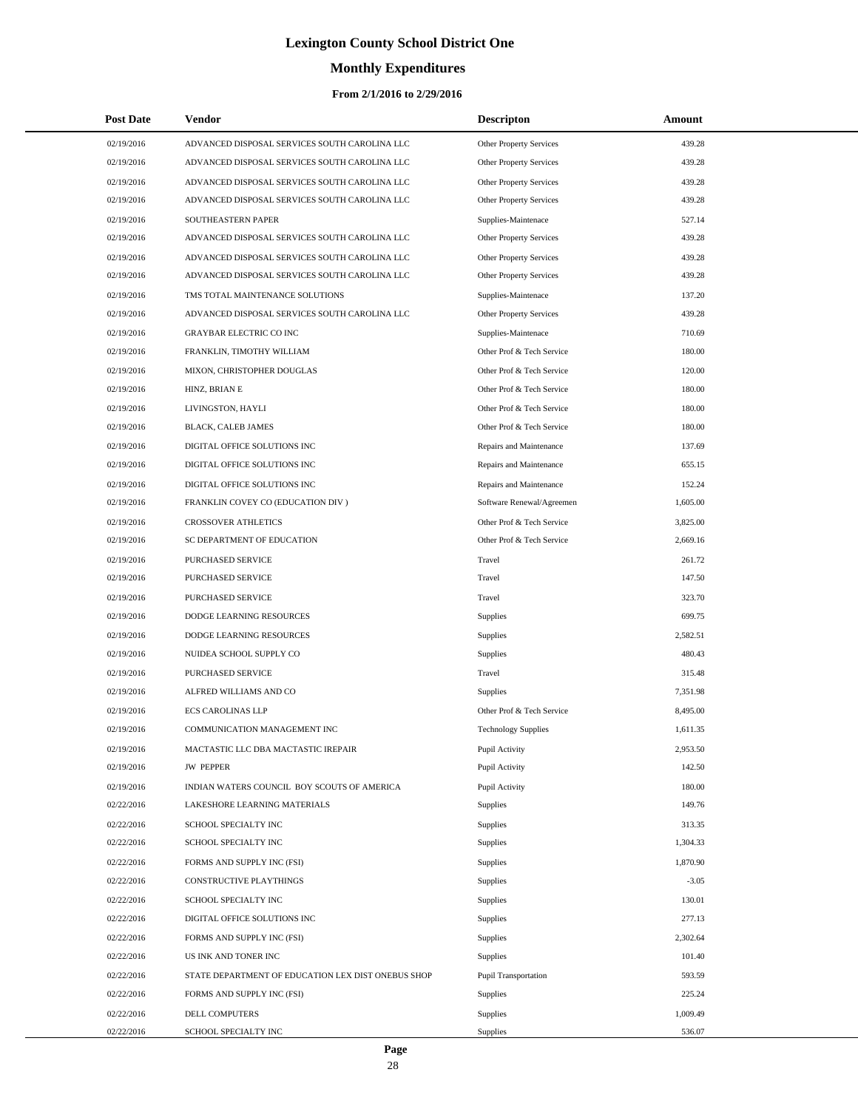# **Monthly Expenditures**

#### **From 2/1/2016 to 2/29/2016**

| <b>Post Date</b> | Vendor                                             | <b>Descripton</b>              | Amount   |
|------------------|----------------------------------------------------|--------------------------------|----------|
| 02/19/2016       | ADVANCED DISPOSAL SERVICES SOUTH CAROLINA LLC      | Other Property Services        | 439.28   |
| 02/19/2016       | ADVANCED DISPOSAL SERVICES SOUTH CAROLINA LLC      | Other Property Services        | 439.28   |
| 02/19/2016       | ADVANCED DISPOSAL SERVICES SOUTH CAROLINA LLC      | <b>Other Property Services</b> | 439.28   |
| 02/19/2016       | ADVANCED DISPOSAL SERVICES SOUTH CAROLINA LLC      | Other Property Services        | 439.28   |
| 02/19/2016       | SOUTHEASTERN PAPER                                 | Supplies-Maintenace            | 527.14   |
| 02/19/2016       | ADVANCED DISPOSAL SERVICES SOUTH CAROLINA LLC      | Other Property Services        | 439.28   |
| 02/19/2016       | ADVANCED DISPOSAL SERVICES SOUTH CAROLINA LLC      | Other Property Services        | 439.28   |
| 02/19/2016       | ADVANCED DISPOSAL SERVICES SOUTH CAROLINA LLC      | Other Property Services        | 439.28   |
| 02/19/2016       | TMS TOTAL MAINTENANCE SOLUTIONS                    | Supplies-Maintenace            | 137.20   |
| 02/19/2016       | ADVANCED DISPOSAL SERVICES SOUTH CAROLINA LLC      | Other Property Services        | 439.28   |
| 02/19/2016       | <b>GRAYBAR ELECTRIC CO INC</b>                     | Supplies-Maintenace            | 710.69   |
| 02/19/2016       | FRANKLIN, TIMOTHY WILLIAM                          | Other Prof & Tech Service      | 180.00   |
| 02/19/2016       | MIXON, CHRISTOPHER DOUGLAS                         | Other Prof & Tech Service      | 120.00   |
| 02/19/2016       | HINZ, BRIAN E                                      | Other Prof & Tech Service      | 180.00   |
| 02/19/2016       | LIVINGSTON, HAYLI                                  | Other Prof & Tech Service      | 180.00   |
| 02/19/2016       | BLACK, CALEB JAMES                                 | Other Prof & Tech Service      | 180.00   |
| 02/19/2016       | DIGITAL OFFICE SOLUTIONS INC                       | Repairs and Maintenance        | 137.69   |
| 02/19/2016       | DIGITAL OFFICE SOLUTIONS INC                       | Repairs and Maintenance        | 655.15   |
| 02/19/2016       | DIGITAL OFFICE SOLUTIONS INC                       | Repairs and Maintenance        | 152.24   |
| 02/19/2016       | FRANKLIN COVEY CO (EDUCATION DIV)                  | Software Renewal/Agreemen      | 1,605.00 |
| 02/19/2016       | CROSSOVER ATHLETICS                                | Other Prof & Tech Service      | 3,825.00 |
| 02/19/2016       | SC DEPARTMENT OF EDUCATION                         | Other Prof & Tech Service      | 2,669.16 |
| 02/19/2016       | PURCHASED SERVICE                                  | Travel                         | 261.72   |
| 02/19/2016       | PURCHASED SERVICE                                  | Travel                         | 147.50   |
| 02/19/2016       | PURCHASED SERVICE                                  | Travel                         | 323.70   |
| 02/19/2016       | DODGE LEARNING RESOURCES                           | <b>Supplies</b>                | 699.75   |
| 02/19/2016       | DODGE LEARNING RESOURCES                           | Supplies                       | 2,582.51 |
| 02/19/2016       | NUIDEA SCHOOL SUPPLY CO                            | Supplies                       | 480.43   |
| 02/19/2016       | PURCHASED SERVICE                                  | Travel                         | 315.48   |
| 02/19/2016       | ALFRED WILLIAMS AND CO                             | Supplies                       | 7,351.98 |
| 02/19/2016       | <b>ECS CAROLINAS LLP</b>                           | Other Prof & Tech Service      | 8,495.00 |
| 02/19/2016       | COMMUNICATION MANAGEMENT INC                       | <b>Technology Supplies</b>     | 1,611.35 |
| 02/19/2016       | MACTASTIC LLC DBA MACTASTIC IREPAIR                | Pupil Activity                 | 2,953.50 |
| 02/19/2016       | <b>JW PEPPER</b>                                   | Pupil Activity                 | 142.50   |
| 02/19/2016       | INDIAN WATERS COUNCIL BOY SCOUTS OF AMERICA        | Pupil Activity                 | 180.00   |
| 02/22/2016       | LAKESHORE LEARNING MATERIALS                       | Supplies                       | 149.76   |
| 02/22/2016       | SCHOOL SPECIALTY INC                               | Supplies                       | 313.35   |
| 02/22/2016       | SCHOOL SPECIALTY INC                               | Supplies                       | 1,304.33 |
| 02/22/2016       | FORMS AND SUPPLY INC (FSI)                         | Supplies                       | 1,870.90 |
| 02/22/2016       | CONSTRUCTIVE PLAYTHINGS                            | Supplies                       | $-3.05$  |
| 02/22/2016       | SCHOOL SPECIALTY INC                               | Supplies                       | 130.01   |
| 02/22/2016       | DIGITAL OFFICE SOLUTIONS INC                       | Supplies                       | 277.13   |
| 02/22/2016       | FORMS AND SUPPLY INC (FSI)                         | Supplies                       | 2,302.64 |
| 02/22/2016       | US INK AND TONER INC                               | Supplies                       | 101.40   |
| 02/22/2016       | STATE DEPARTMENT OF EDUCATION LEX DIST ONEBUS SHOP | Pupil Transportation           | 593.59   |
| 02/22/2016       | FORMS AND SUPPLY INC (FSI)                         | Supplies                       | 225.24   |
| 02/22/2016       | DELL COMPUTERS                                     | Supplies                       | 1,009.49 |
| 02/22/2016       | SCHOOL SPECIALTY INC                               | Supplies                       | 536.07   |

L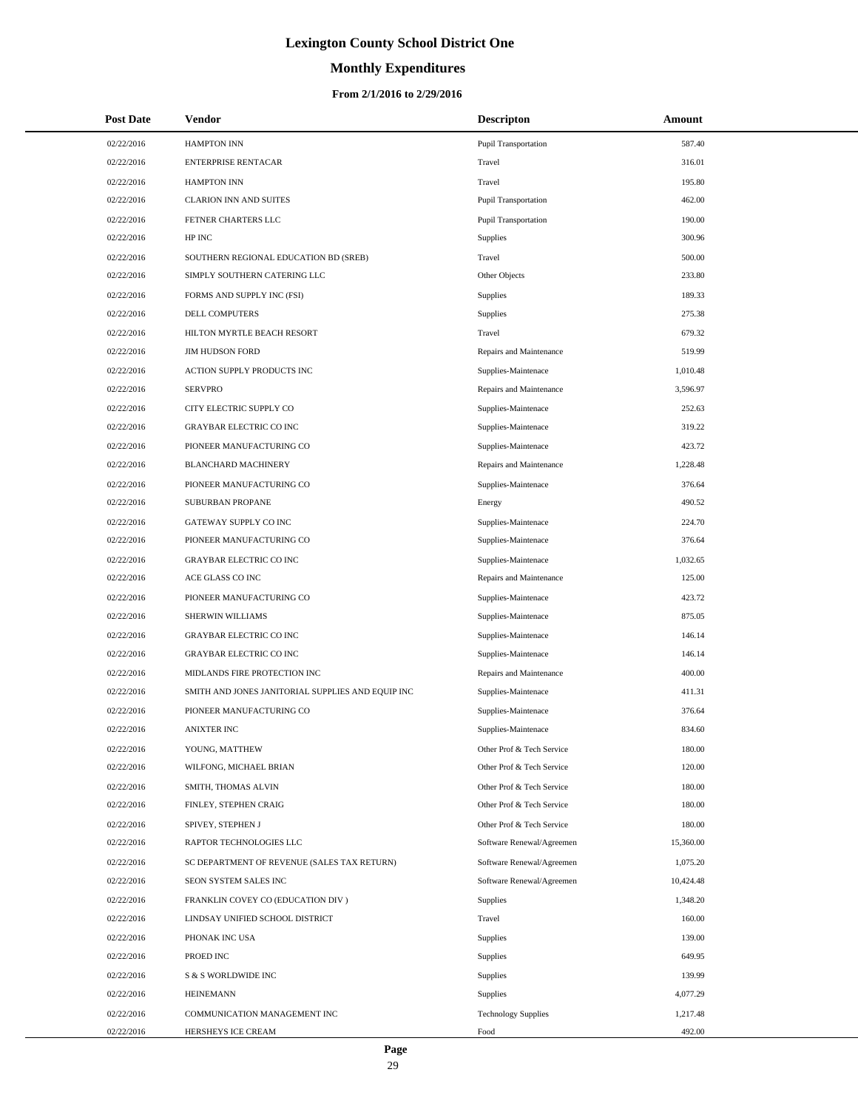# **Monthly Expenditures**

#### **From 2/1/2016 to 2/29/2016**

| <b>Post Date</b> | <b>Vendor</b>                                     | <b>Descripton</b>           | Amount    |
|------------------|---------------------------------------------------|-----------------------------|-----------|
| 02/22/2016       | <b>HAMPTON INN</b>                                | <b>Pupil Transportation</b> | 587.40    |
| 02/22/2016       | <b>ENTERPRISE RENTACAR</b>                        | Travel                      | 316.01    |
| 02/22/2016       | <b>HAMPTON INN</b>                                | Travel                      | 195.80    |
| 02/22/2016       | <b>CLARION INN AND SUITES</b>                     | <b>Pupil Transportation</b> | 462.00    |
| 02/22/2016       | FETNER CHARTERS LLC                               | <b>Pupil Transportation</b> | 190.00    |
| 02/22/2016       | HP INC                                            | Supplies                    | 300.96    |
| 02/22/2016       | SOUTHERN REGIONAL EDUCATION BD (SREB)             | Travel                      | 500.00    |
| 02/22/2016       | SIMPLY SOUTHERN CATERING LLC                      | Other Objects               | 233.80    |
| 02/22/2016       | FORMS AND SUPPLY INC (FSI)                        | Supplies                    | 189.33    |
| 02/22/2016       | DELL COMPUTERS                                    | Supplies                    | 275.38    |
| 02/22/2016       | HILTON MYRTLE BEACH RESORT                        | Travel                      | 679.32    |
| 02/22/2016       | <b>JIM HUDSON FORD</b>                            | Repairs and Maintenance     | 519.99    |
| 02/22/2016       | ACTION SUPPLY PRODUCTS INC                        | Supplies-Maintenace         | 1,010.48  |
| 02/22/2016       | <b>SERVPRO</b>                                    | Repairs and Maintenance     | 3,596.97  |
| 02/22/2016       | CITY ELECTRIC SUPPLY CO                           | Supplies-Maintenace         | 252.63    |
| 02/22/2016       | <b>GRAYBAR ELECTRIC CO INC</b>                    | Supplies-Maintenace         | 319.22    |
| 02/22/2016       | PIONEER MANUFACTURING CO                          | Supplies-Maintenace         | 423.72    |
| 02/22/2016       | <b>BLANCHARD MACHINERY</b>                        | Repairs and Maintenance     | 1,228.48  |
| 02/22/2016       | PIONEER MANUFACTURING CO                          | Supplies-Maintenace         | 376.64    |
| 02/22/2016       | SUBURBAN PROPANE                                  | Energy                      | 490.52    |
| 02/22/2016       | GATEWAY SUPPLY CO INC                             | Supplies-Maintenace         | 224.70    |
| 02/22/2016       | PIONEER MANUFACTURING CO                          | Supplies-Maintenace         | 376.64    |
| 02/22/2016       | <b>GRAYBAR ELECTRIC CO INC</b>                    | Supplies-Maintenace         | 1,032.65  |
| 02/22/2016       | ACE GLASS CO INC                                  | Repairs and Maintenance     | 125.00    |
| 02/22/2016       | PIONEER MANUFACTURING CO                          | Supplies-Maintenace         | 423.72    |
| 02/22/2016       | SHERWIN WILLIAMS                                  | Supplies-Maintenace         | 875.05    |
| 02/22/2016       | <b>GRAYBAR ELECTRIC CO INC</b>                    | Supplies-Maintenace         | 146.14    |
| 02/22/2016       | <b>GRAYBAR ELECTRIC CO INC</b>                    | Supplies-Maintenace         | 146.14    |
| 02/22/2016       | MIDLANDS FIRE PROTECTION INC                      | Repairs and Maintenance     | 400.00    |
| 02/22/2016       | SMITH AND JONES JANITORIAL SUPPLIES AND EQUIP INC | Supplies-Maintenace         | 411.31    |
| 02/22/2016       | PIONEER MANUFACTURING CO                          | Supplies-Maintenace         | 376.64    |
| 02/22/2016       | <b>ANIXTER INC</b>                                | Supplies-Maintenace         | 834.60    |
| 02/22/2016       | YOUNG, MATTHEW                                    | Other Prof & Tech Service   | 180.00    |
| 02/22/2016       | WILFONG, MICHAEL BRIAN                            | Other Prof & Tech Service   | 120.00    |
| 02/22/2016       | SMITH, THOMAS ALVIN                               | Other Prof & Tech Service   | 180.00    |
| 02/22/2016       | FINLEY, STEPHEN CRAIG                             | Other Prof & Tech Service   | 180.00    |
| 02/22/2016       | SPIVEY, STEPHEN J                                 | Other Prof & Tech Service   | 180.00    |
| 02/22/2016       | RAPTOR TECHNOLOGIES LLC                           | Software Renewal/Agreemen   | 15,360.00 |
| 02/22/2016       | SC DEPARTMENT OF REVENUE (SALES TAX RETURN)       | Software Renewal/Agreemen   | 1,075.20  |
| 02/22/2016       | SEON SYSTEM SALES INC                             | Software Renewal/Agreemen   | 10,424.48 |
| 02/22/2016       | FRANKLIN COVEY CO (EDUCATION DIV)                 | Supplies                    | 1,348.20  |
| 02/22/2016       | LINDSAY UNIFIED SCHOOL DISTRICT                   | Travel                      | 160.00    |
| 02/22/2016       | PHONAK INC USA                                    | Supplies                    | 139.00    |
| 02/22/2016       | PROED INC                                         | Supplies                    | 649.95    |
| 02/22/2016       | S & S WORLDWIDE INC                               | Supplies                    | 139.99    |
| 02/22/2016       | <b>HEINEMANN</b>                                  | Supplies                    | 4,077.29  |
| 02/22/2016       | COMMUNICATION MANAGEMENT INC                      | <b>Technology Supplies</b>  | 1,217.48  |
| 02/22/2016       | HERSHEYS ICE CREAM                                | Food                        | 492.00    |

 $\overline{a}$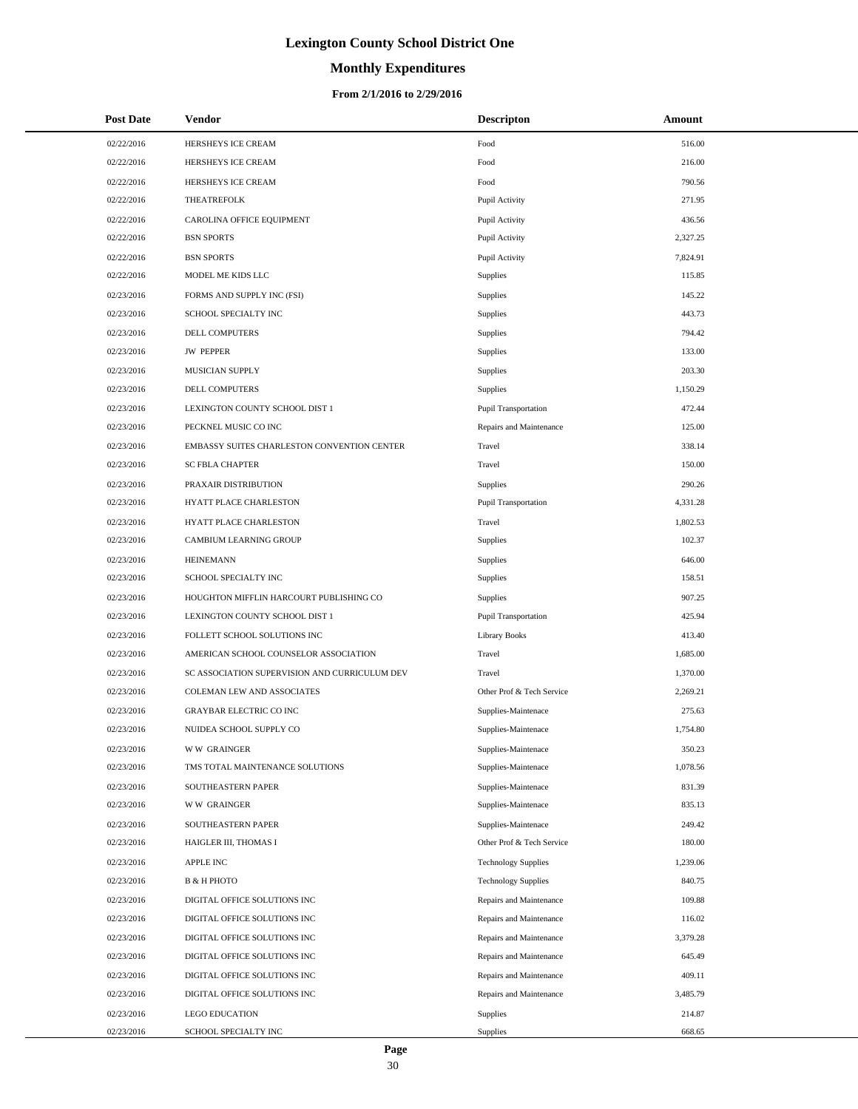# **Monthly Expenditures**

| <b>Post Date</b> | <b>Vendor</b>                                 | <b>Descripton</b>           | Amount   |
|------------------|-----------------------------------------------|-----------------------------|----------|
| 02/22/2016       | HERSHEYS ICE CREAM                            | Food                        | 516.00   |
| 02/22/2016       | HERSHEYS ICE CREAM                            | Food                        | 216.00   |
| 02/22/2016       | HERSHEYS ICE CREAM                            | Food                        | 790.56   |
| 02/22/2016       | <b>THEATREFOLK</b>                            | Pupil Activity              | 271.95   |
| 02/22/2016       | CAROLINA OFFICE EQUIPMENT                     | Pupil Activity              | 436.56   |
| 02/22/2016       | <b>BSN SPORTS</b>                             | Pupil Activity              | 2,327.25 |
| 02/22/2016       | <b>BSN SPORTS</b>                             | Pupil Activity              | 7,824.91 |
| 02/22/2016       | MODEL ME KIDS LLC                             | Supplies                    | 115.85   |
| 02/23/2016       | FORMS AND SUPPLY INC (FSI)                    | Supplies                    | 145.22   |
| 02/23/2016       | SCHOOL SPECIALTY INC                          | Supplies                    | 443.73   |
| 02/23/2016       | DELL COMPUTERS                                | Supplies                    | 794.42   |
| 02/23/2016       | <b>JW PEPPER</b>                              | Supplies                    | 133.00   |
| 02/23/2016       | MUSICIAN SUPPLY                               | Supplies                    | 203.30   |
| 02/23/2016       | DELL COMPUTERS                                | Supplies                    | 1,150.29 |
| 02/23/2016       | LEXINGTON COUNTY SCHOOL DIST 1                | <b>Pupil Transportation</b> | 472.44   |
| 02/23/2016       | PECKNEL MUSIC CO INC                          | Repairs and Maintenance     | 125.00   |
| 02/23/2016       | EMBASSY SUITES CHARLESTON CONVENTION CENTER   | Travel                      | 338.14   |
| 02/23/2016       | <b>SC FBLA CHAPTER</b>                        | Travel                      | 150.00   |
| 02/23/2016       | PRAXAIR DISTRIBUTION                          | Supplies                    | 290.26   |
| 02/23/2016       | <b>HYATT PLACE CHARLESTON</b>                 | <b>Pupil Transportation</b> | 4,331.28 |
| 02/23/2016       | HYATT PLACE CHARLESTON                        | Travel                      | 1,802.53 |
| 02/23/2016       | CAMBIUM LEARNING GROUP                        | Supplies                    | 102.37   |
| 02/23/2016       | <b>HEINEMANN</b>                              | Supplies                    | 646.00   |
| 02/23/2016       | SCHOOL SPECIALTY INC                          | Supplies                    | 158.51   |
| 02/23/2016       | HOUGHTON MIFFLIN HARCOURT PUBLISHING CO       | Supplies                    | 907.25   |
| 02/23/2016       | LEXINGTON COUNTY SCHOOL DIST 1                | <b>Pupil Transportation</b> | 425.94   |
| 02/23/2016       | FOLLETT SCHOOL SOLUTIONS INC                  | <b>Library Books</b>        | 413.40   |
| 02/23/2016       | AMERICAN SCHOOL COUNSELOR ASSOCIATION         | Travel                      | 1,685.00 |
| 02/23/2016       | SC ASSOCIATION SUPERVISION AND CURRICULUM DEV | Travel                      | 1,370.00 |
| 02/23/2016       | COLEMAN LEW AND ASSOCIATES                    | Other Prof & Tech Service   | 2,269.21 |
| 02/23/2016       | GRAYBAR ELECTRIC CO INC                       | Supplies-Maintenace         | 275.63   |
| 02/23/2016       | NUIDEA SCHOOL SUPPLY CO                       | Supplies-Maintenace         | 1,754.80 |
| 02/23/2016       | <b>WW GRAINGER</b>                            | Supplies-Maintenace         | 350.23   |
| 02/23/2016       | TMS TOTAL MAINTENANCE SOLUTIONS               | Supplies-Maintenace         | 1,078.56 |
| 02/23/2016       | SOUTHEASTERN PAPER                            | Supplies-Maintenace         | 831.39   |
| 02/23/2016       | <b>WW GRAINGER</b>                            | Supplies-Maintenace         | 835.13   |
| 02/23/2016       | SOUTHEASTERN PAPER                            | Supplies-Maintenace         | 249.42   |
| 02/23/2016       | HAIGLER III, THOMAS I                         | Other Prof & Tech Service   | 180.00   |
| 02/23/2016       | APPLE INC                                     | <b>Technology Supplies</b>  | 1,239.06 |
| 02/23/2016       | В & Н РНОТО                                   | <b>Technology Supplies</b>  | 840.75   |
| 02/23/2016       | DIGITAL OFFICE SOLUTIONS INC                  | Repairs and Maintenance     | 109.88   |
| 02/23/2016       | DIGITAL OFFICE SOLUTIONS INC                  | Repairs and Maintenance     | 116.02   |
| 02/23/2016       | DIGITAL OFFICE SOLUTIONS INC                  | Repairs and Maintenance     | 3,379.28 |
| 02/23/2016       | DIGITAL OFFICE SOLUTIONS INC                  | Repairs and Maintenance     | 645.49   |
| 02/23/2016       | DIGITAL OFFICE SOLUTIONS INC                  | Repairs and Maintenance     | 409.11   |
| 02/23/2016       | DIGITAL OFFICE SOLUTIONS INC                  | Repairs and Maintenance     | 3,485.79 |
| 02/23/2016       | <b>LEGO EDUCATION</b>                         | Supplies                    | 214.87   |
| 02/23/2016       | SCHOOL SPECIALTY INC                          | Supplies                    | 668.65   |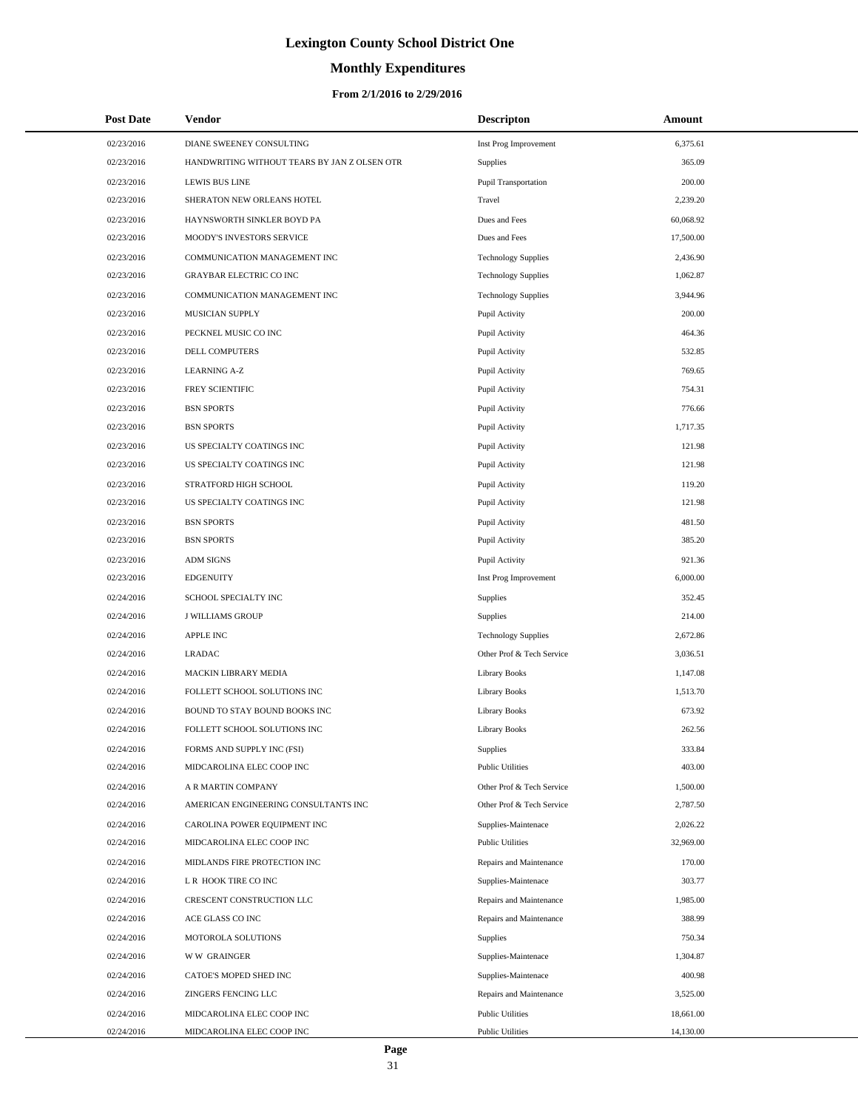# **Monthly Expenditures**

#### **From 2/1/2016 to 2/29/2016**

| <b>Post Date</b>         | Vendor                                                     | <b>Descripton</b>                                      | Amount                |
|--------------------------|------------------------------------------------------------|--------------------------------------------------------|-----------------------|
| 02/23/2016               | DIANE SWEENEY CONSULTING                                   | Inst Prog Improvement                                  | 6,375.61              |
| 02/23/2016               | HANDWRITING WITHOUT TEARS BY JAN Z OLSEN OTR               | <b>Supplies</b>                                        | 365.09                |
| 02/23/2016               | <b>LEWIS BUS LINE</b>                                      | Pupil Transportation                                   | 200.00                |
| 02/23/2016               | SHERATON NEW ORLEANS HOTEL                                 | Travel                                                 | 2,239.20              |
| 02/23/2016               | HAYNSWORTH SINKLER BOYD PA                                 | Dues and Fees                                          | 60,068.92             |
| 02/23/2016               | MOODY'S INVESTORS SERVICE                                  | Dues and Fees                                          | 17,500.00             |
| 02/23/2016               | COMMUNICATION MANAGEMENT INC                               | <b>Technology Supplies</b>                             | 2,436.90              |
| 02/23/2016               | GRAYBAR ELECTRIC CO INC                                    | <b>Technology Supplies</b>                             | 1,062.87              |
| 02/23/2016               | COMMUNICATION MANAGEMENT INC                               | <b>Technology Supplies</b>                             | 3,944.96              |
| 02/23/2016               | MUSICIAN SUPPLY                                            | Pupil Activity                                         | 200.00                |
| 02/23/2016               | PECKNEL MUSIC CO INC                                       | Pupil Activity                                         | 464.36                |
| 02/23/2016               | DELL COMPUTERS                                             | Pupil Activity                                         | 532.85                |
| 02/23/2016               | <b>LEARNING A-Z</b>                                        | Pupil Activity                                         | 769.65                |
| 02/23/2016               | FREY SCIENTIFIC                                            | Pupil Activity                                         | 754.31                |
| 02/23/2016               | <b>BSN SPORTS</b>                                          | Pupil Activity                                         | 776.66                |
| 02/23/2016               | <b>BSN SPORTS</b>                                          | Pupil Activity                                         | 1,717.35              |
| 02/23/2016               | US SPECIALTY COATINGS INC                                  | Pupil Activity                                         | 121.98                |
| 02/23/2016               | US SPECIALTY COATINGS INC                                  | Pupil Activity                                         | 121.98                |
| 02/23/2016               | STRATFORD HIGH SCHOOL                                      | Pupil Activity                                         | 119.20                |
| 02/23/2016               | US SPECIALTY COATINGS INC                                  | Pupil Activity                                         | 121.98                |
| 02/23/2016               | <b>BSN SPORTS</b>                                          | Pupil Activity                                         | 481.50                |
| 02/23/2016               | <b>BSN SPORTS</b>                                          | Pupil Activity                                         | 385.20                |
| 02/23/2016               | <b>ADM SIGNS</b>                                           | Pupil Activity                                         | 921.36                |
| 02/23/2016               | <b>EDGENUITY</b>                                           | Inst Prog Improvement                                  | 6,000.00              |
| 02/24/2016               | SCHOOL SPECIALTY INC                                       | Supplies                                               | 352.45                |
| 02/24/2016               | <b>J WILLIAMS GROUP</b>                                    | Supplies                                               | 214.00                |
| 02/24/2016               | <b>APPLE INC</b>                                           | <b>Technology Supplies</b>                             | 2,672.86              |
| 02/24/2016               | <b>LRADAC</b>                                              | Other Prof & Tech Service                              | 3,036.51              |
| 02/24/2016               | <b>MACKIN LIBRARY MEDIA</b>                                | <b>Library Books</b>                                   | 1.147.08              |
| 02/24/2016               | FOLLETT SCHOOL SOLUTIONS INC                               | <b>Library Books</b>                                   | 1,513.70              |
| 02/24/2016               | BOUND TO STAY BOUND BOOKS INC                              | <b>Library Books</b>                                   | 673.92                |
| 02/24/2016               | FOLLETT SCHOOL SOLUTIONS INC                               | <b>Library Books</b>                                   | 262.56                |
| 02/24/2016               | FORMS AND SUPPLY INC (FSI)                                 | Supplies                                               | 333.84                |
| 02/24/2016               | MIDCAROLINA ELEC COOP INC                                  | <b>Public Utilities</b>                                | 403.00                |
| 02/24/2016               | A R MARTIN COMPANY<br>AMERICAN ENGINEERING CONSULTANTS INC | Other Prof & Tech Service<br>Other Prof & Tech Service | 1,500.00              |
| 02/24/2016               |                                                            |                                                        | 2,787.50              |
| 02/24/2016<br>02/24/2016 | CAROLINA POWER EQUIPMENT INC<br>MIDCAROLINA ELEC COOP INC  | Supplies-Maintenace<br><b>Public Utilities</b>         | 2,026.22<br>32,969.00 |
|                          |                                                            |                                                        | 170.00                |
| 02/24/2016<br>02/24/2016 | MIDLANDS FIRE PROTECTION INC<br>L R HOOK TIRE CO INC       | Repairs and Maintenance<br>Supplies-Maintenace         | 303.77                |
| 02/24/2016               | CRESCENT CONSTRUCTION LLC                                  | Repairs and Maintenance                                | 1,985.00              |
| 02/24/2016               | ACE GLASS CO INC                                           | Repairs and Maintenance                                | 388.99                |
| 02/24/2016               | MOTOROLA SOLUTIONS                                         |                                                        | 750.34                |
| 02/24/2016               | <b>WW GRAINGER</b>                                         | Supplies<br>Supplies-Maintenace                        | 1,304.87              |
| 02/24/2016               | CATOE'S MOPED SHED INC                                     | Supplies-Maintenace                                    | 400.98                |
| 02/24/2016               | ZINGERS FENCING LLC                                        | Repairs and Maintenance                                | 3,525.00              |
| 02/24/2016               | MIDCAROLINA ELEC COOP INC                                  | <b>Public Utilities</b>                                | 18,661.00             |
| 02/24/2016               | MIDCAROLINA ELEC COOP INC                                  | <b>Public Utilities</b>                                | 14,130.00             |

L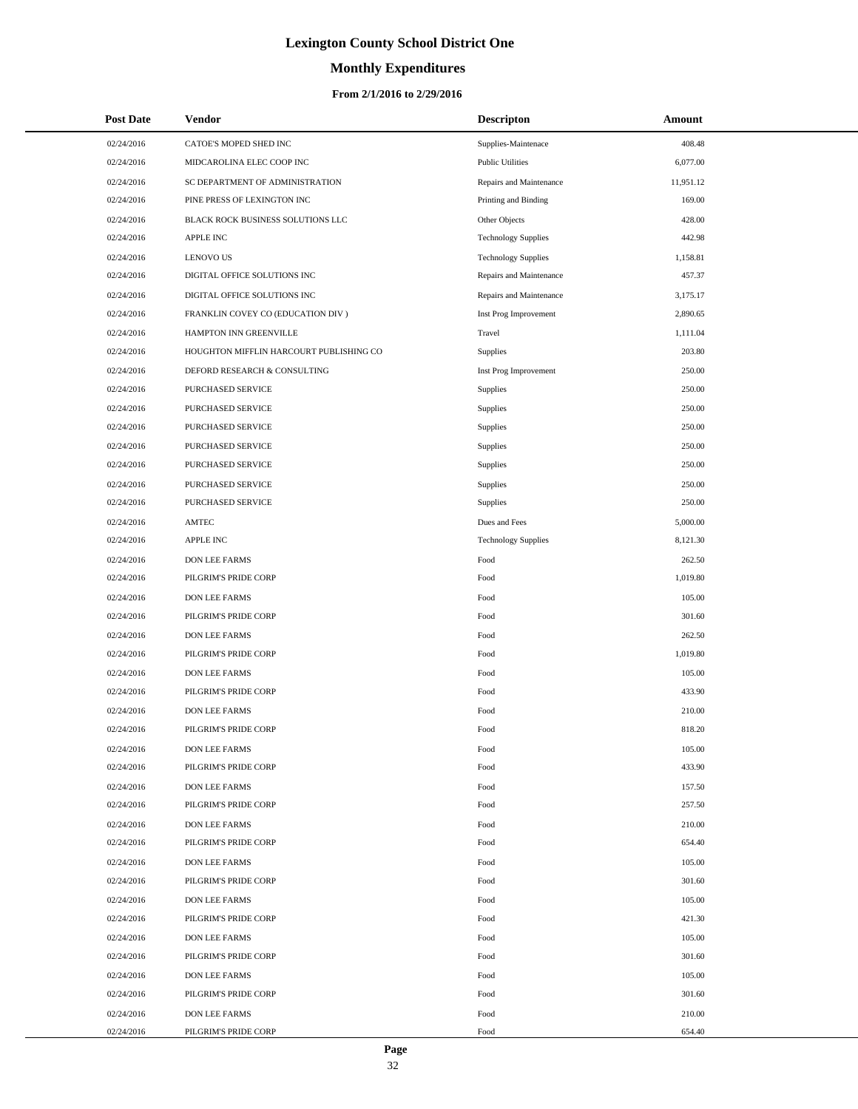# **Monthly Expenditures**

#### **From 2/1/2016 to 2/29/2016**

| <b>Post Date</b> | <b>Vendor</b>                           | <b>Descripton</b>          | Amount    |
|------------------|-----------------------------------------|----------------------------|-----------|
| 02/24/2016       | CATOE'S MOPED SHED INC                  | Supplies-Maintenace        | 408.48    |
| 02/24/2016       | MIDCAROLINA ELEC COOP INC               | <b>Public Utilities</b>    | 6,077.00  |
| 02/24/2016       | SC DEPARTMENT OF ADMINISTRATION         | Repairs and Maintenance    | 11,951.12 |
| 02/24/2016       | PINE PRESS OF LEXINGTON INC             | Printing and Binding       | 169.00    |
| 02/24/2016       | BLACK ROCK BUSINESS SOLUTIONS LLC       | Other Objects              | 428.00    |
| 02/24/2016       | <b>APPLE INC</b>                        | <b>Technology Supplies</b> | 442.98    |
| 02/24/2016       | <b>LENOVO US</b>                        | <b>Technology Supplies</b> | 1,158.81  |
| 02/24/2016       | DIGITAL OFFICE SOLUTIONS INC            | Repairs and Maintenance    | 457.37    |
| 02/24/2016       | DIGITAL OFFICE SOLUTIONS INC            | Repairs and Maintenance    | 3,175.17  |
| 02/24/2016       | FRANKLIN COVEY CO (EDUCATION DIV)       | Inst Prog Improvement      | 2,890.65  |
| 02/24/2016       | HAMPTON INN GREENVILLE                  | Travel                     | 1,111.04  |
| 02/24/2016       | HOUGHTON MIFFLIN HARCOURT PUBLISHING CO | Supplies                   | 203.80    |
| 02/24/2016       | DEFORD RESEARCH & CONSULTING            | Inst Prog Improvement      | 250.00    |
| 02/24/2016       | PURCHASED SERVICE                       | Supplies                   | 250.00    |
| 02/24/2016       | PURCHASED SERVICE                       | Supplies                   | 250.00    |
| 02/24/2016       | PURCHASED SERVICE                       | Supplies                   | 250.00    |
| 02/24/2016       | PURCHASED SERVICE                       | Supplies                   | 250.00    |
| 02/24/2016       | PURCHASED SERVICE                       | Supplies                   | 250.00    |
| 02/24/2016       | PURCHASED SERVICE                       | Supplies                   | 250.00    |
| 02/24/2016       | PURCHASED SERVICE                       | Supplies                   | 250.00    |
| 02/24/2016       | AMTEC                                   | Dues and Fees              | 5,000.00  |
| 02/24/2016       | <b>APPLE INC</b>                        | <b>Technology Supplies</b> | 8,121.30  |
| 02/24/2016       | <b>DON LEE FARMS</b>                    | Food                       | 262.50    |
| 02/24/2016       | PILGRIM'S PRIDE CORP                    | Food                       | 1,019.80  |
| 02/24/2016       | <b>DON LEE FARMS</b>                    | Food                       | 105.00    |
| 02/24/2016       | PILGRIM'S PRIDE CORP                    | Food                       | 301.60    |
| 02/24/2016       | <b>DON LEE FARMS</b>                    | Food                       | 262.50    |
| 02/24/2016       | PILGRIM'S PRIDE CORP                    | Food                       | 1,019.80  |
| 02/24/2016       | <b>DON LEE FARMS</b>                    | Food                       | 105.00    |
| 02/24/2016       | PILGRIM'S PRIDE CORP                    | Food                       | 433.90    |
| 02/24/2016       | <b>DON LEE FARMS</b>                    | Food                       | 210.00    |
| 02/24/2016       | PILGRIM'S PRIDE CORP                    | Food                       | 818.20    |
| 02/24/2016       | DON LEE FARMS                           | Food                       | 105.00    |
| 02/24/2016       | PILGRIM'S PRIDE CORP                    | Food                       | 433.90    |
| 02/24/2016       | DON LEE FARMS                           | Food                       | 157.50    |
| 02/24/2016       | PILGRIM'S PRIDE CORP                    | Food                       | 257.50    |
| 02/24/2016       | <b>DON LEE FARMS</b>                    | Food                       | 210.00    |
| 02/24/2016       | PILGRIM'S PRIDE CORP                    | Food                       | 654.40    |
| 02/24/2016       | <b>DON LEE FARMS</b>                    | Food                       | 105.00    |
| 02/24/2016       | PILGRIM'S PRIDE CORP                    | Food                       | 301.60    |
| 02/24/2016       | DON LEE FARMS                           | Food                       | 105.00    |
| 02/24/2016       | PILGRIM'S PRIDE CORP                    | Food                       | 421.30    |
| 02/24/2016       | <b>DON LEE FARMS</b>                    | Food                       | 105.00    |
| 02/24/2016       | PILGRIM'S PRIDE CORP                    | Food                       | 301.60    |
| 02/24/2016       | <b>DON LEE FARMS</b>                    | Food                       | 105.00    |
| 02/24/2016       | PILGRIM'S PRIDE CORP                    | Food                       | 301.60    |
| 02/24/2016       | <b>DON LEE FARMS</b>                    | Food                       | 210.00    |
| 02/24/2016       | PILGRIM'S PRIDE CORP                    | Food                       | 654.40    |

 $\overline{a}$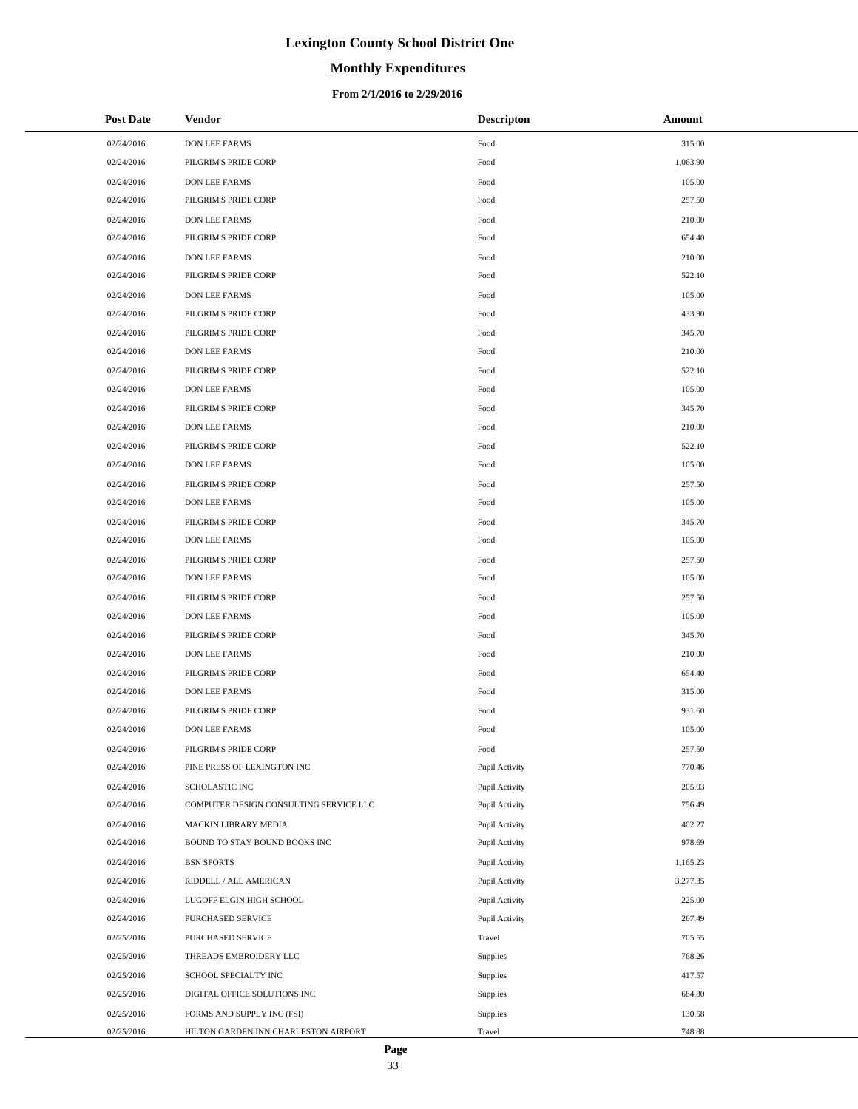# **Monthly Expenditures**

#### **From 2/1/2016 to 2/29/2016**

| <b>Post Date</b> | Vendor                                 | <b>Descripton</b> | Amount   |
|------------------|----------------------------------------|-------------------|----------|
| 02/24/2016       | DON LEE FARMS                          | Food              | 315.00   |
| 02/24/2016       | PILGRIM'S PRIDE CORP                   | Food              | 1,063.90 |
| 02/24/2016       | DON LEE FARMS                          | Food              | 105.00   |
| 02/24/2016       | PILGRIM'S PRIDE CORP                   | Food              | 257.50   |
| 02/24/2016       | DON LEE FARMS                          | Food              | 210.00   |
| 02/24/2016       | PILGRIM'S PRIDE CORP                   | Food              | 654.40   |
| 02/24/2016       | DON LEE FARMS                          | Food              | 210.00   |
| 02/24/2016       | PILGRIM'S PRIDE CORP                   | Food              | 522.10   |
| 02/24/2016       | <b>DON LEE FARMS</b>                   | Food              | 105.00   |
| 02/24/2016       | PILGRIM'S PRIDE CORP                   | Food              | 433.90   |
| 02/24/2016       | PILGRIM'S PRIDE CORP                   | Food              | 345.70   |
| 02/24/2016       | DON LEE FARMS                          | Food              | 210.00   |
| 02/24/2016       | PILGRIM'S PRIDE CORP                   | Food              | 522.10   |
| 02/24/2016       | DON LEE FARMS                          | Food              | 105.00   |
| 02/24/2016       | PILGRIM'S PRIDE CORP                   | Food              | 345.70   |
| 02/24/2016       | <b>DON LEE FARMS</b>                   | Food              | 210.00   |
| 02/24/2016       | PILGRIM'S PRIDE CORP                   | Food              | 522.10   |
| 02/24/2016       | DON LEE FARMS                          | Food              | 105.00   |
| 02/24/2016       | PILGRIM'S PRIDE CORP                   | Food              | 257.50   |
| 02/24/2016       | DON LEE FARMS                          | Food              | 105.00   |
| 02/24/2016       | PILGRIM'S PRIDE CORP                   | Food              | 345.70   |
| 02/24/2016       | DON LEE FARMS                          | Food              | 105.00   |
| 02/24/2016       | PILGRIM'S PRIDE CORP                   | Food              | 257.50   |
| 02/24/2016       | DON LEE FARMS                          | Food              | 105.00   |
| 02/24/2016       | PILGRIM'S PRIDE CORP                   | Food              | 257.50   |
| 02/24/2016       | DON LEE FARMS                          | Food              | 105.00   |
| 02/24/2016       | PILGRIM'S PRIDE CORP                   | Food              | 345.70   |
| 02/24/2016       | DON LEE FARMS                          | Food              | 210.00   |
| 02/24/2016       | PILGRIM'S PRIDE CORP                   | Food              | 654.40   |
| 02/24/2016       | DON LEE FARMS                          | Food              | 315.00   |
| 02/24/2016       | PILGRIM'S PRIDE CORP                   | Food              | 931.60   |
| 02/24/2016       | <b>DON LEE FARMS</b>                   | Food              | 105.00   |
| 02/24/2016       | PILGRIM'S PRIDE CORP                   | Food              | 257.50   |
| 02/24/2016       | PINE PRESS OF LEXINGTON INC            | Pupil Activity    | 770.46   |
| 02/24/2016       | SCHOLASTIC INC                         | Pupil Activity    | 205.03   |
| 02/24/2016       | COMPUTER DESIGN CONSULTING SERVICE LLC | Pupil Activity    | 756.49   |
| 02/24/2016       | MACKIN LIBRARY MEDIA                   | Pupil Activity    | 402.27   |
| 02/24/2016       | BOUND TO STAY BOUND BOOKS INC          | Pupil Activity    | 978.69   |
| 02/24/2016       | <b>BSN SPORTS</b>                      | Pupil Activity    | 1,165.23 |
| 02/24/2016       | RIDDELL / ALL AMERICAN                 | Pupil Activity    | 3,277.35 |
| 02/24/2016       | LUGOFF ELGIN HIGH SCHOOL               | Pupil Activity    | 225.00   |
| 02/24/2016       | PURCHASED SERVICE                      | Pupil Activity    | 267.49   |
| 02/25/2016       | PURCHASED SERVICE                      | Travel            | 705.55   |
| 02/25/2016       | THREADS EMBROIDERY LLC                 | Supplies          | 768.26   |
| 02/25/2016       | SCHOOL SPECIALTY INC                   | Supplies          | 417.57   |
| 02/25/2016       | DIGITAL OFFICE SOLUTIONS INC           | Supplies          | 684.80   |
| 02/25/2016       | FORMS AND SUPPLY INC (FSI)             | Supplies          | 130.58   |
| 02/25/2016       | HILTON GARDEN INN CHARLESTON AIRPORT   | Travel            | 748.88   |

÷.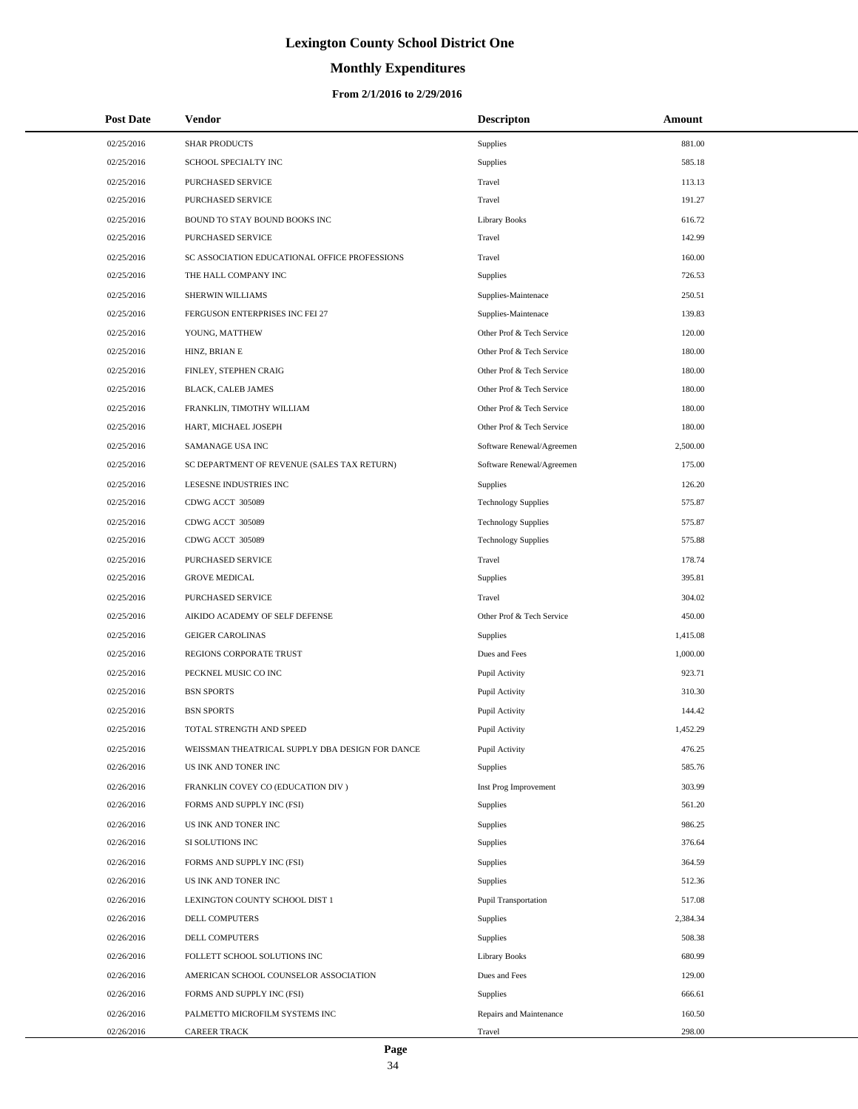# **Monthly Expenditures**

#### **From 2/1/2016 to 2/29/2016**

| <b>Post Date</b> | Vendor                                          | <b>Descripton</b>          | Amount   |  |
|------------------|-------------------------------------------------|----------------------------|----------|--|
| 02/25/2016       | <b>SHAR PRODUCTS</b>                            | Supplies                   | 881.00   |  |
| 02/25/2016       | SCHOOL SPECIALTY INC                            | Supplies                   | 585.18   |  |
| 02/25/2016       | <b>PURCHASED SERVICE</b>                        | Travel                     | 113.13   |  |
| 02/25/2016       | PURCHASED SERVICE                               | Travel                     | 191.27   |  |
| 02/25/2016       | BOUND TO STAY BOUND BOOKS INC                   | <b>Library Books</b>       | 616.72   |  |
| 02/25/2016       | PURCHASED SERVICE                               | Travel                     | 142.99   |  |
| 02/25/2016       | SC ASSOCIATION EDUCATIONAL OFFICE PROFESSIONS   | Travel                     | 160.00   |  |
| 02/25/2016       | THE HALL COMPANY INC                            | Supplies                   | 726.53   |  |
| 02/25/2016       | SHERWIN WILLIAMS                                | Supplies-Maintenace        | 250.51   |  |
| 02/25/2016       | FERGUSON ENTERPRISES INC FEI 27                 | Supplies-Maintenace        | 139.83   |  |
| 02/25/2016       | YOUNG, MATTHEW                                  | Other Prof & Tech Service  | 120.00   |  |
| 02/25/2016       | HINZ, BRIAN E                                   | Other Prof & Tech Service  | 180.00   |  |
| 02/25/2016       | FINLEY, STEPHEN CRAIG                           | Other Prof & Tech Service  | 180.00   |  |
| 02/25/2016       | BLACK, CALEB JAMES                              | Other Prof & Tech Service  | 180.00   |  |
| 02/25/2016       | FRANKLIN, TIMOTHY WILLIAM                       | Other Prof & Tech Service  | 180.00   |  |
| 02/25/2016       | HART, MICHAEL JOSEPH                            | Other Prof & Tech Service  | 180.00   |  |
| 02/25/2016       | SAMANAGE USA INC                                | Software Renewal/Agreemen  | 2,500.00 |  |
| 02/25/2016       | SC DEPARTMENT OF REVENUE (SALES TAX RETURN)     | Software Renewal/Agreemen  | 175.00   |  |
| 02/25/2016       | LESESNE INDUSTRIES INC                          | Supplies                   | 126.20   |  |
| 02/25/2016       | CDWG ACCT 305089                                | <b>Technology Supplies</b> | 575.87   |  |
| 02/25/2016       | CDWG ACCT 305089                                | <b>Technology Supplies</b> | 575.87   |  |
| 02/25/2016       | CDWG ACCT 305089                                | <b>Technology Supplies</b> | 575.88   |  |
| 02/25/2016       | PURCHASED SERVICE                               | Travel                     | 178.74   |  |
| 02/25/2016       | <b>GROVE MEDICAL</b>                            | Supplies                   | 395.81   |  |
| 02/25/2016       | PURCHASED SERVICE                               | Travel                     | 304.02   |  |
| 02/25/2016       | AIKIDO ACADEMY OF SELF DEFENSE                  | Other Prof & Tech Service  | 450.00   |  |
| 02/25/2016       | <b>GEIGER CAROLINAS</b>                         | Supplies                   | 1,415.08 |  |
| 02/25/2016       | REGIONS CORPORATE TRUST                         | Dues and Fees              | 1,000.00 |  |
| 02/25/2016       | PECKNEL MUSIC CO INC                            | Pupil Activity             | 923.71   |  |
| 02/25/2016       | <b>BSN SPORTS</b>                               | Pupil Activity             | 310.30   |  |
| 02/25/2016       | <b>BSN SPORTS</b>                               | Pupil Activity             | 144.42   |  |
| 02/25/2016       | TOTAL STRENGTH AND SPEED                        | Pupil Activity             | 1,452.29 |  |
| 02/25/2016       | WEISSMAN THEATRICAL SUPPLY DBA DESIGN FOR DANCE | Pupil Activity             | 476.25   |  |
| 02/26/2016       | US INK AND TONER INC                            | Supplies                   | 585.76   |  |
| 02/26/2016       | FRANKLIN COVEY CO (EDUCATION DIV)               | Inst Prog Improvement      | 303.99   |  |
| 02/26/2016       | FORMS AND SUPPLY INC (FSI)                      | Supplies                   | 561.20   |  |
| 02/26/2016       | US INK AND TONER INC                            | <b>Supplies</b>            | 986.25   |  |
| 02/26/2016       | SI SOLUTIONS INC                                | Supplies                   | 376.64   |  |
| 02/26/2016       | FORMS AND SUPPLY INC (FSI)                      | <b>Supplies</b>            | 364.59   |  |
| 02/26/2016       | US INK AND TONER INC                            | Supplies                   | 512.36   |  |
| 02/26/2016       | LEXINGTON COUNTY SCHOOL DIST 1                  | Pupil Transportation       | 517.08   |  |
| 02/26/2016       | DELL COMPUTERS                                  | Supplies                   | 2,384.34 |  |
| 02/26/2016       | DELL COMPUTERS                                  | <b>Supplies</b>            | 508.38   |  |
| 02/26/2016       | FOLLETT SCHOOL SOLUTIONS INC                    | <b>Library Books</b>       | 680.99   |  |
| 02/26/2016       | AMERICAN SCHOOL COUNSELOR ASSOCIATION           | Dues and Fees              | 129.00   |  |
| 02/26/2016       | FORMS AND SUPPLY INC (FSI)                      | Supplies                   | 666.61   |  |
| 02/26/2016       | PALMETTO MICROFILM SYSTEMS INC                  | Repairs and Maintenance    | 160.50   |  |
| 02/26/2016       | <b>CAREER TRACK</b>                             | Travel                     | 298.00   |  |

 $\overline{a}$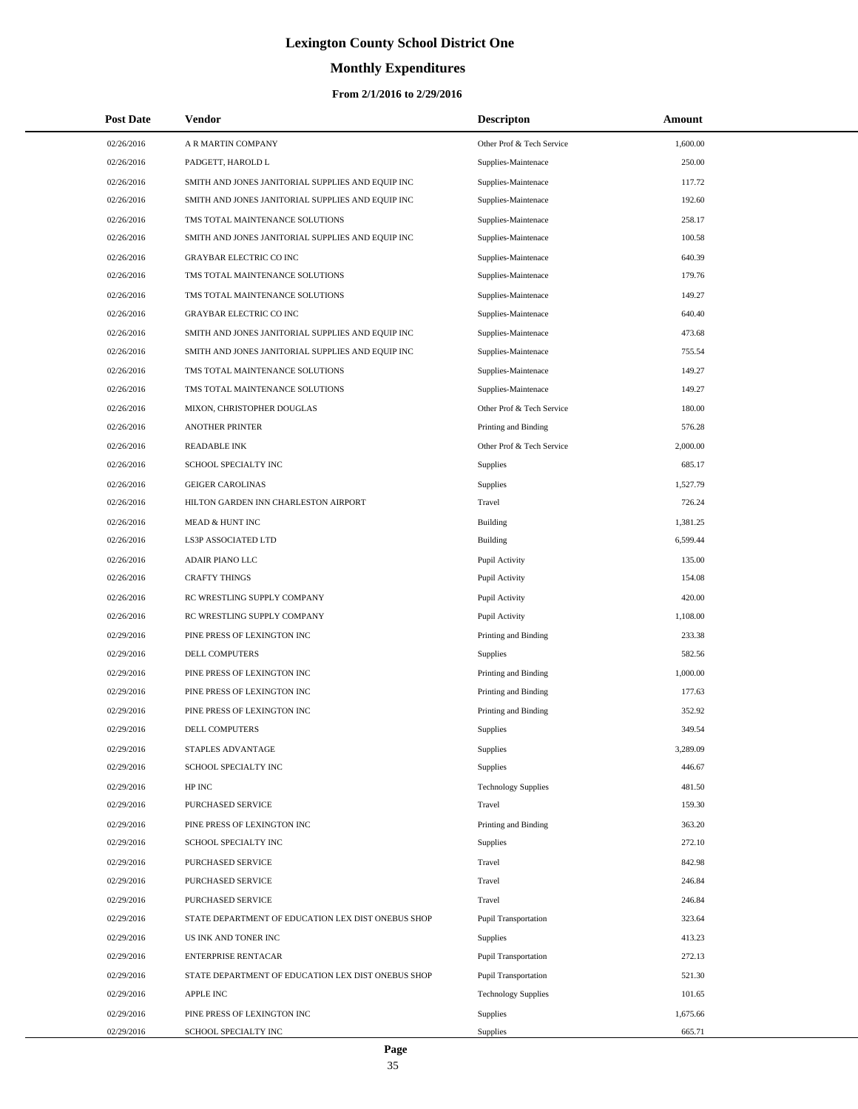# **Monthly Expenditures**

#### **From 2/1/2016 to 2/29/2016**

| <b>Post Date</b> | <b>Vendor</b>                                      | <b>Descripton</b>          | Amount   |
|------------------|----------------------------------------------------|----------------------------|----------|
| 02/26/2016       | A R MARTIN COMPANY                                 | Other Prof & Tech Service  | 1,600.00 |
| 02/26/2016       | PADGETT, HAROLD L                                  | Supplies-Maintenace        | 250.00   |
| 02/26/2016       | SMITH AND JONES JANITORIAL SUPPLIES AND EQUIP INC  | Supplies-Maintenace        | 117.72   |
| 02/26/2016       | SMITH AND JONES JANITORIAL SUPPLIES AND EQUIP INC  | Supplies-Maintenace        | 192.60   |
| 02/26/2016       | TMS TOTAL MAINTENANCE SOLUTIONS                    | Supplies-Maintenace        | 258.17   |
| 02/26/2016       | SMITH AND JONES JANITORIAL SUPPLIES AND EQUIP INC  | Supplies-Maintenace        | 100.58   |
| 02/26/2016       | GRAYBAR ELECTRIC CO INC                            | Supplies-Maintenace        | 640.39   |
| 02/26/2016       | TMS TOTAL MAINTENANCE SOLUTIONS                    | Supplies-Maintenace        | 179.76   |
| 02/26/2016       | TMS TOTAL MAINTENANCE SOLUTIONS                    | Supplies-Maintenace        | 149.27   |
| 02/26/2016       | GRAYBAR ELECTRIC CO INC                            | Supplies-Maintenace        | 640.40   |
| 02/26/2016       | SMITH AND JONES JANITORIAL SUPPLIES AND EQUIP INC  | Supplies-Maintenace        | 473.68   |
| 02/26/2016       | SMITH AND JONES JANITORIAL SUPPLIES AND EQUIP INC  | Supplies-Maintenace        | 755.54   |
| 02/26/2016       | TMS TOTAL MAINTENANCE SOLUTIONS                    | Supplies-Maintenace        | 149.27   |
| 02/26/2016       | TMS TOTAL MAINTENANCE SOLUTIONS                    | Supplies-Maintenace        | 149.27   |
| 02/26/2016       | MIXON, CHRISTOPHER DOUGLAS                         | Other Prof & Tech Service  | 180.00   |
| 02/26/2016       | <b>ANOTHER PRINTER</b>                             | Printing and Binding       | 576.28   |
| 02/26/2016       | <b>READABLE INK</b>                                | Other Prof & Tech Service  | 2,000.00 |
| 02/26/2016       | SCHOOL SPECIALTY INC                               | <b>Supplies</b>            | 685.17   |
| 02/26/2016       | <b>GEIGER CAROLINAS</b>                            | Supplies                   | 1,527.79 |
| 02/26/2016       | HILTON GARDEN INN CHARLESTON AIRPORT               | Travel                     | 726.24   |
| 02/26/2016       | MEAD & HUNT INC                                    | Building                   | 1,381.25 |
| 02/26/2016       | LS3P ASSOCIATED LTD                                | Building                   | 6,599.44 |
| 02/26/2016       | ADAIR PIANO LLC                                    | Pupil Activity             | 135.00   |
| 02/26/2016       | <b>CRAFTY THINGS</b>                               | Pupil Activity             | 154.08   |
| 02/26/2016       | RC WRESTLING SUPPLY COMPANY                        | Pupil Activity             | 420.00   |
| 02/26/2016       | RC WRESTLING SUPPLY COMPANY                        | Pupil Activity             | 1,108.00 |
| 02/29/2016       | PINE PRESS OF LEXINGTON INC                        | Printing and Binding       | 233.38   |
| 02/29/2016       | DELL COMPUTERS                                     | Supplies                   | 582.56   |
| 02/29/2016       | PINE PRESS OF LEXINGTON INC                        | Printing and Binding       | 1,000.00 |
| 02/29/2016       | PINE PRESS OF LEXINGTON INC                        | Printing and Binding       | 177.63   |
| 02/29/2016       | PINE PRESS OF LEXINGTON INC                        | Printing and Binding       | 352.92   |
| 02/29/2016       | <b>DELL COMPUTERS</b>                              | Supplies                   | 349.54   |
| 02/29/2016       | STAPLES ADVANTAGE                                  | Supplies                   | 3,289.09 |
| 02/29/2016       | SCHOOL SPECIALTY INC                               | Supplies                   | 446.67   |
| 02/29/2016       | HP INC                                             | <b>Technology Supplies</b> | 481.50   |
| 02/29/2016       | PURCHASED SERVICE                                  | Travel                     | 159.30   |
| 02/29/2016       | PINE PRESS OF LEXINGTON INC                        | Printing and Binding       | 363.20   |
| 02/29/2016       | SCHOOL SPECIALTY INC                               | Supplies                   | 272.10   |
| 02/29/2016       | PURCHASED SERVICE                                  | Travel                     | 842.98   |
| 02/29/2016       | PURCHASED SERVICE                                  | Travel                     | 246.84   |
| 02/29/2016       | PURCHASED SERVICE                                  | Travel                     | 246.84   |
| 02/29/2016       | STATE DEPARTMENT OF EDUCATION LEX DIST ONEBUS SHOP | Pupil Transportation       | 323.64   |
| 02/29/2016       | US INK AND TONER INC                               | Supplies                   | 413.23   |
| 02/29/2016       | <b>ENTERPRISE RENTACAR</b>                         | Pupil Transportation       | 272.13   |
| 02/29/2016       | STATE DEPARTMENT OF EDUCATION LEX DIST ONEBUS SHOP | Pupil Transportation       | 521.30   |
| 02/29/2016       | <b>APPLE INC</b>                                   | <b>Technology Supplies</b> | 101.65   |
| 02/29/2016       | PINE PRESS OF LEXINGTON INC                        | Supplies                   | 1,675.66 |
| 02/29/2016       | SCHOOL SPECIALTY INC                               | Supplies                   | 665.71   |

 $\overline{\phantom{0}}$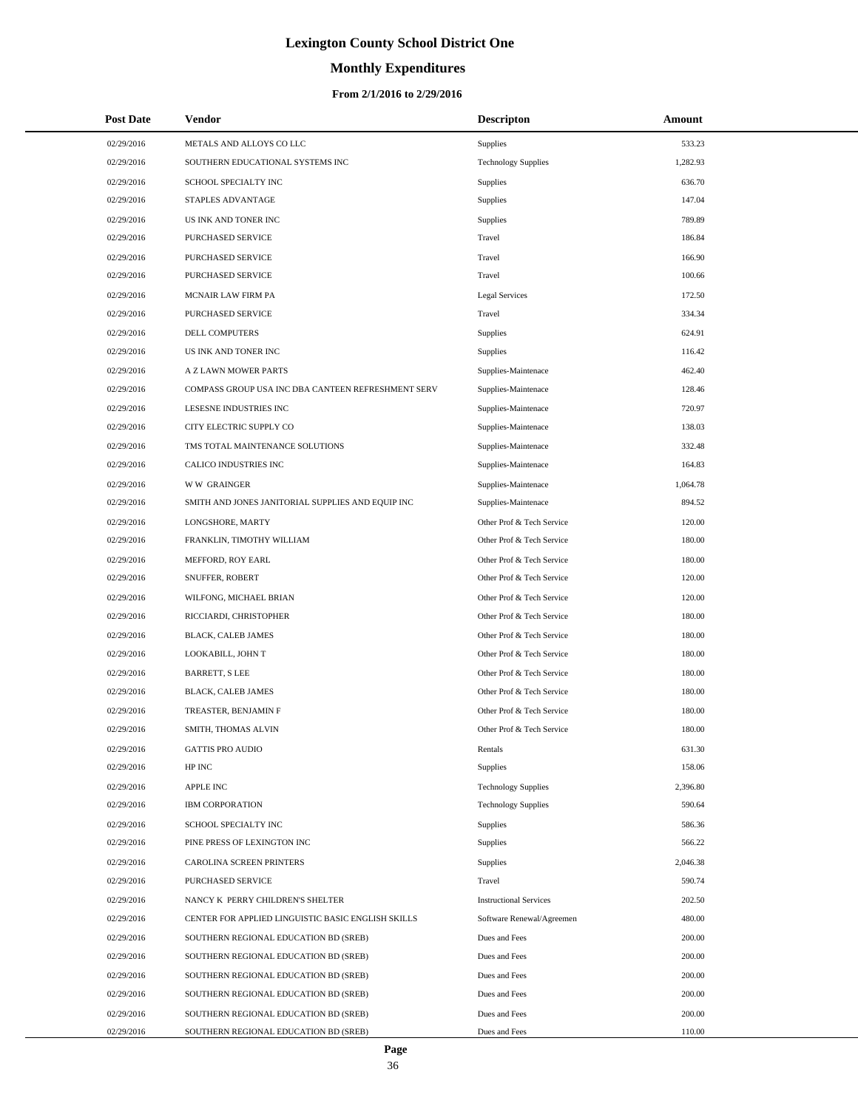# **Monthly Expenditures**

#### **From 2/1/2016 to 2/29/2016**

| <b>Post Date</b> | <b>Vendor</b>                                      | <b>Descripton</b>             | Amount   |
|------------------|----------------------------------------------------|-------------------------------|----------|
| 02/29/2016       | METALS AND ALLOYS CO LLC                           | <b>Supplies</b>               | 533.23   |
| 02/29/2016       | SOUTHERN EDUCATIONAL SYSTEMS INC                   | <b>Technology Supplies</b>    | 1,282.93 |
| 02/29/2016       | SCHOOL SPECIALTY INC                               | Supplies                      | 636.70   |
| 02/29/2016       | STAPLES ADVANTAGE                                  | Supplies                      | 147.04   |
| 02/29/2016       | US INK AND TONER INC                               | <b>Supplies</b>               | 789.89   |
| 02/29/2016       | PURCHASED SERVICE                                  | Travel                        | 186.84   |
| 02/29/2016       | PURCHASED SERVICE                                  | Travel                        | 166.90   |
| 02/29/2016       | PURCHASED SERVICE                                  | Travel                        | 100.66   |
| 02/29/2016       | MCNAIR LAW FIRM PA                                 | <b>Legal Services</b>         | 172.50   |
| 02/29/2016       | PURCHASED SERVICE                                  | Travel                        | 334.34   |
| 02/29/2016       | DELL COMPUTERS                                     | Supplies                      | 624.91   |
| 02/29/2016       | US INK AND TONER INC                               | <b>Supplies</b>               | 116.42   |
| 02/29/2016       | A Z LAWN MOWER PARTS                               | Supplies-Maintenace           | 462.40   |
| 02/29/2016       | COMPASS GROUP USA INC DBA CANTEEN REFRESHMENT SERV | Supplies-Maintenace           | 128.46   |
| 02/29/2016       | LESESNE INDUSTRIES INC                             | Supplies-Maintenace           | 720.97   |
| 02/29/2016       | CITY ELECTRIC SUPPLY CO                            | Supplies-Maintenace           | 138.03   |
| 02/29/2016       | TMS TOTAL MAINTENANCE SOLUTIONS                    | Supplies-Maintenace           | 332.48   |
| 02/29/2016       | CALICO INDUSTRIES INC                              | Supplies-Maintenace           | 164.83   |
| 02/29/2016       | <b>WW GRAINGER</b>                                 | Supplies-Maintenace           | 1,064.78 |
| 02/29/2016       | SMITH AND JONES JANITORIAL SUPPLIES AND EQUIP INC  | Supplies-Maintenace           | 894.52   |
| 02/29/2016       | LONGSHORE, MARTY                                   | Other Prof & Tech Service     | 120.00   |
| 02/29/2016       | FRANKLIN, TIMOTHY WILLIAM                          | Other Prof & Tech Service     | 180.00   |
| 02/29/2016       | MEFFORD, ROY EARL                                  | Other Prof & Tech Service     | 180.00   |
| 02/29/2016       | SNUFFER, ROBERT                                    | Other Prof & Tech Service     | 120.00   |
| 02/29/2016       | WILFONG, MICHAEL BRIAN                             | Other Prof & Tech Service     | 120.00   |
| 02/29/2016       | RICCIARDI, CHRISTOPHER                             | Other Prof & Tech Service     | 180.00   |
| 02/29/2016       | BLACK, CALEB JAMES                                 | Other Prof & Tech Service     | 180.00   |
| 02/29/2016       | LOOKABILL, JOHN T                                  | Other Prof & Tech Service     | 180.00   |
| 02/29/2016       | <b>BARRETT, S LEE</b>                              | Other Prof & Tech Service     | 180.00   |
| 02/29/2016       | BLACK, CALEB JAMES                                 | Other Prof & Tech Service     | 180.00   |
| 02/29/2016       | TREASTER, BENJAMIN F                               | Other Prof & Tech Service     | 180.00   |
| 02/29/2016       | SMITH, THOMAS ALVIN                                | Other Prof & Tech Service     | 180.00   |
| 02/29/2016       | <b>GATTIS PRO AUDIO</b>                            | Rentals                       | 631.30   |
| 02/29/2016       | HP INC                                             | <b>Supplies</b>               | 158.06   |
| 02/29/2016       | APPLE INC                                          | <b>Technology Supplies</b>    | 2,396.80 |
| 02/29/2016       | <b>IBM CORPORATION</b>                             | <b>Technology Supplies</b>    | 590.64   |
| 02/29/2016       | SCHOOL SPECIALTY INC                               | Supplies                      | 586.36   |
| 02/29/2016       | PINE PRESS OF LEXINGTON INC                        | <b>Supplies</b>               | 566.22   |
| 02/29/2016       | CAROLINA SCREEN PRINTERS                           | <b>Supplies</b>               | 2,046.38 |
| 02/29/2016       | PURCHASED SERVICE                                  | Travel                        | 590.74   |
| 02/29/2016       | NANCY K PERRY CHILDREN'S SHELTER                   | <b>Instructional Services</b> | 202.50   |
| 02/29/2016       | CENTER FOR APPLIED LINGUISTIC BASIC ENGLISH SKILLS | Software Renewal/Agreemen     | 480.00   |
| 02/29/2016       | SOUTHERN REGIONAL EDUCATION BD (SREB)              | Dues and Fees                 | 200.00   |
| 02/29/2016       | SOUTHERN REGIONAL EDUCATION BD (SREB)              | Dues and Fees                 | 200.00   |
| 02/29/2016       | SOUTHERN REGIONAL EDUCATION BD (SREB)              | Dues and Fees                 | 200.00   |
| 02/29/2016       | SOUTHERN REGIONAL EDUCATION BD (SREB)              | Dues and Fees                 | 200.00   |
| 02/29/2016       | SOUTHERN REGIONAL EDUCATION BD (SREB)              | Dues and Fees                 | 200.00   |
| 02/29/2016       | SOUTHERN REGIONAL EDUCATION BD (SREB)              | Dues and Fees                 | 110.00   |

÷.